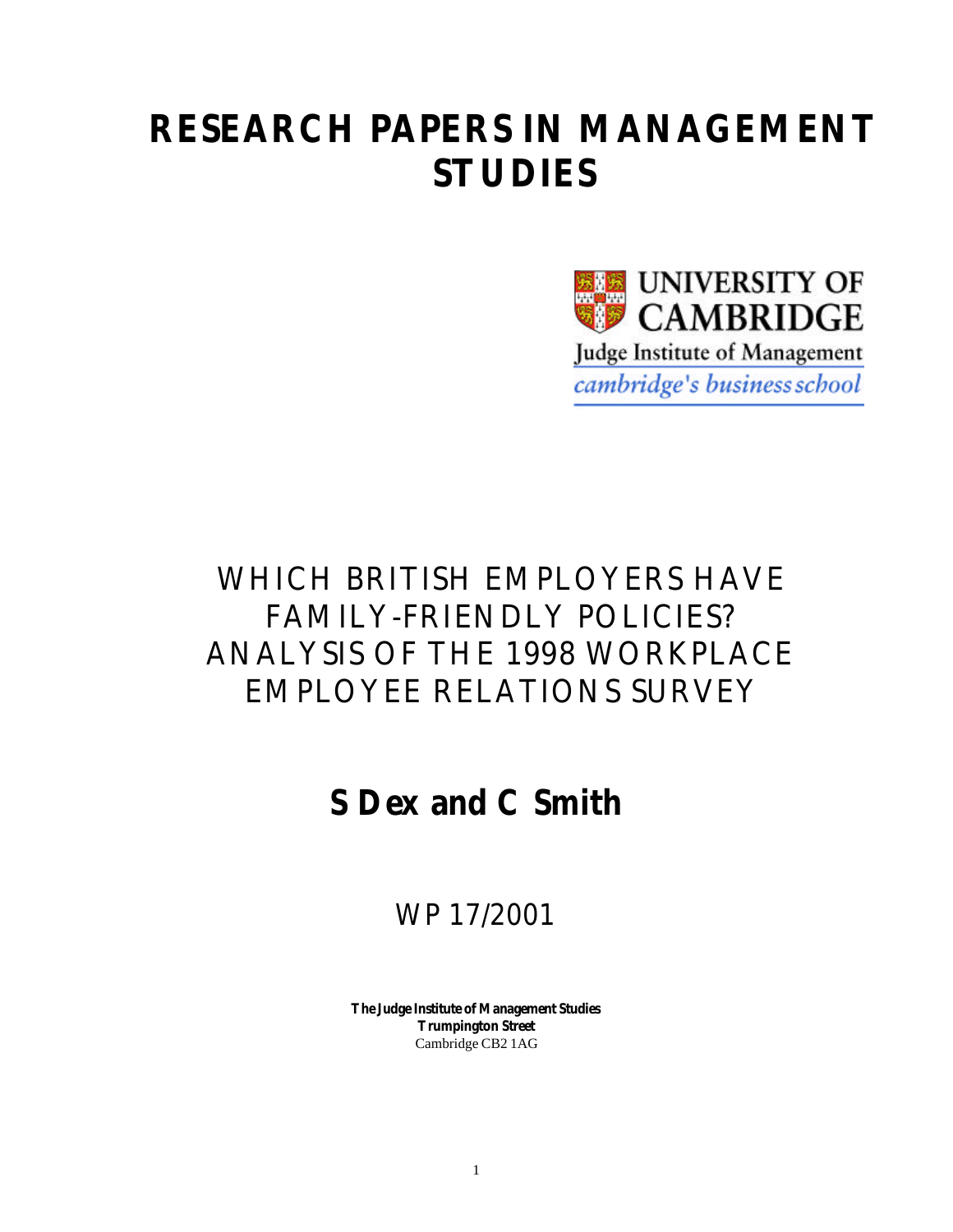# **RESEARCH PAPERS IN MANAGEMENT STUDIES**



# WHICH BRITISH EMPLOYERS HAVE FAMILY-FRIENDLY POLICIES? ANALYSIS OF THE 1998 WORKPLACE EMPLOYEE RELATIONS SURVEY

# **S Dex and C Smith**

WP 17/2001

**The Judge Institute of Management Studies Trumpington Street** Cambridge CB2 1AG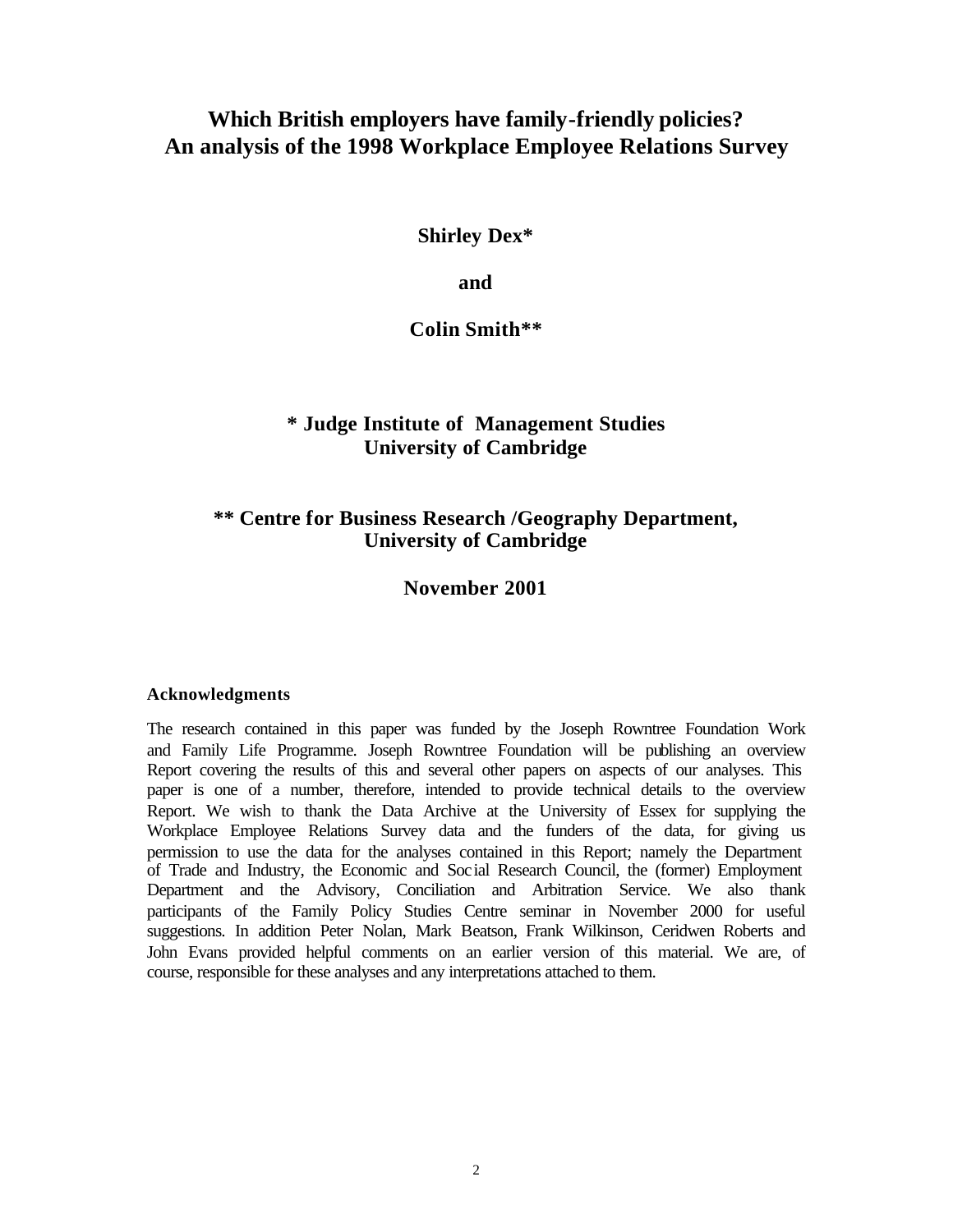# **Which British employers have family-friendly policies? An analysis of the 1998 Workplace Employee Relations Survey**

**Shirley Dex\***

**and**

**Colin Smith\*\***

# **\* Judge Institute of Management Studies University of Cambridge**

# **\*\* Centre for Business Research /Geography Department, University of Cambridge**

**November 2001**

## **Acknowledgments**

The research contained in this paper was funded by the Joseph Rowntree Foundation Work and Family Life Programme. Joseph Rowntree Foundation will be publishing an overview Report covering the results of this and several other papers on aspects of our analyses. This paper is one of a number, therefore, intended to provide technical details to the overview Report. We wish to thank the Data Archive at the University of Essex for supplying the Workplace Employee Relations Survey data and the funders of the data, for giving us permission to use the data for the analyses contained in this Report; namely the Department of Trade and Industry, the Economic and Social Research Council, the (former) Employment Department and the Advisory, Conciliation and Arbitration Service. We also thank participants of the Family Policy Studies Centre seminar in November 2000 for useful suggestions. In addition Peter Nolan, Mark Beatson, Frank Wilkinson, Ceridwen Roberts and John Evans provided helpful comments on an earlier version of this material. We are, of course, responsible for these analyses and any interpretations attached to them.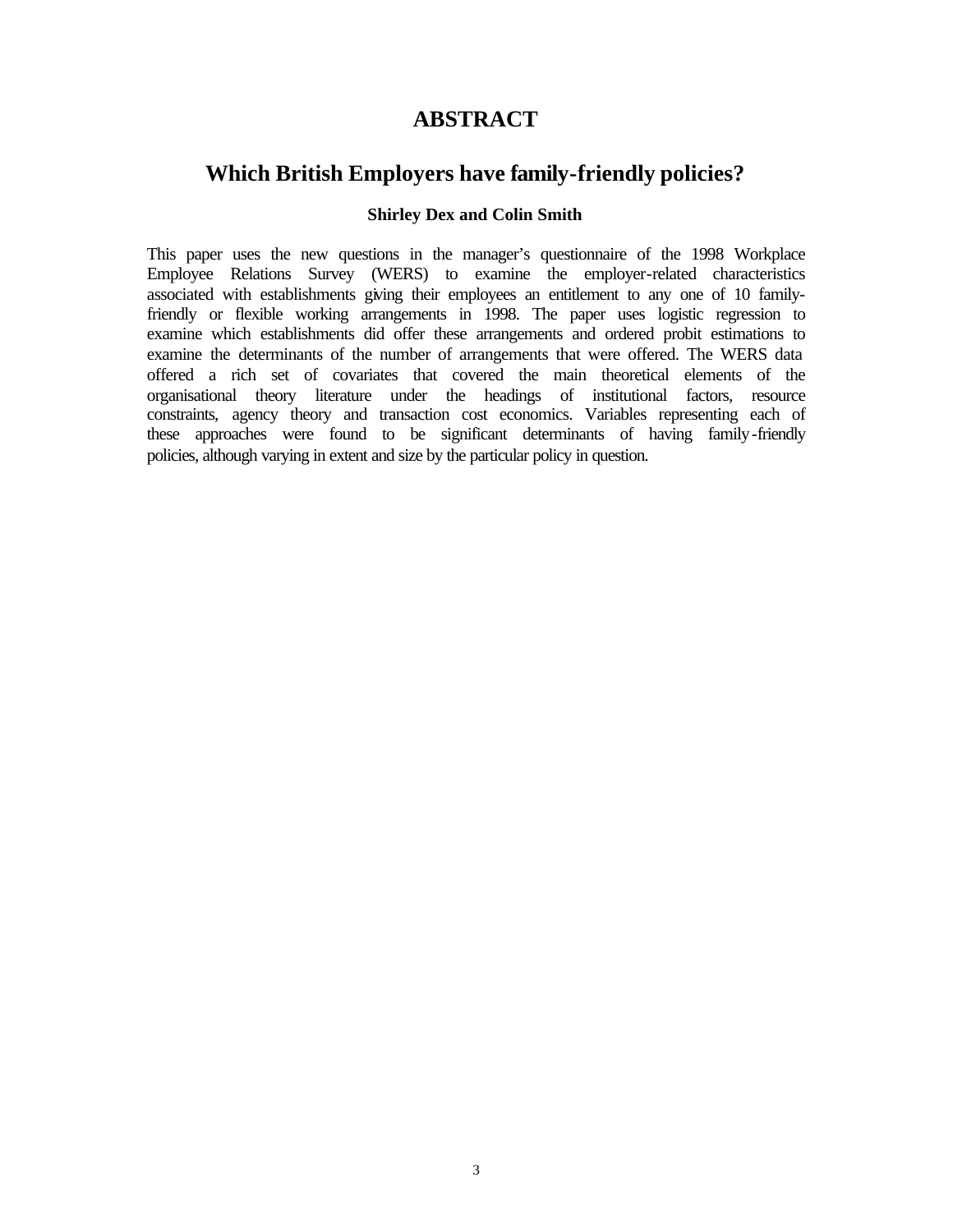# **ABSTRACT**

# **Which British Employers have family-friendly policies?**

## **Shirley Dex and Colin Smith**

This paper uses the new questions in the manager's questionnaire of the 1998 Workplace Employee Relations Survey (WERS) to examine the employer-related characteristics associated with establishments giving their employees an entitlement to any one of 10 familyfriendly or flexible working arrangements in 1998. The paper uses logistic regression to examine which establishments did offer these arrangements and ordered probit estimations to examine the determinants of the number of arrangements that were offered. The WERS data offered a rich set of covariates that covered the main theoretical elements of the organisational theory literature under the headings of institutional factors, resource constraints, agency theory and transaction cost economics. Variables representing each of these approaches were found to be significant determinants of having family-friendly policies, although varying in extent and size by the particular policy in question.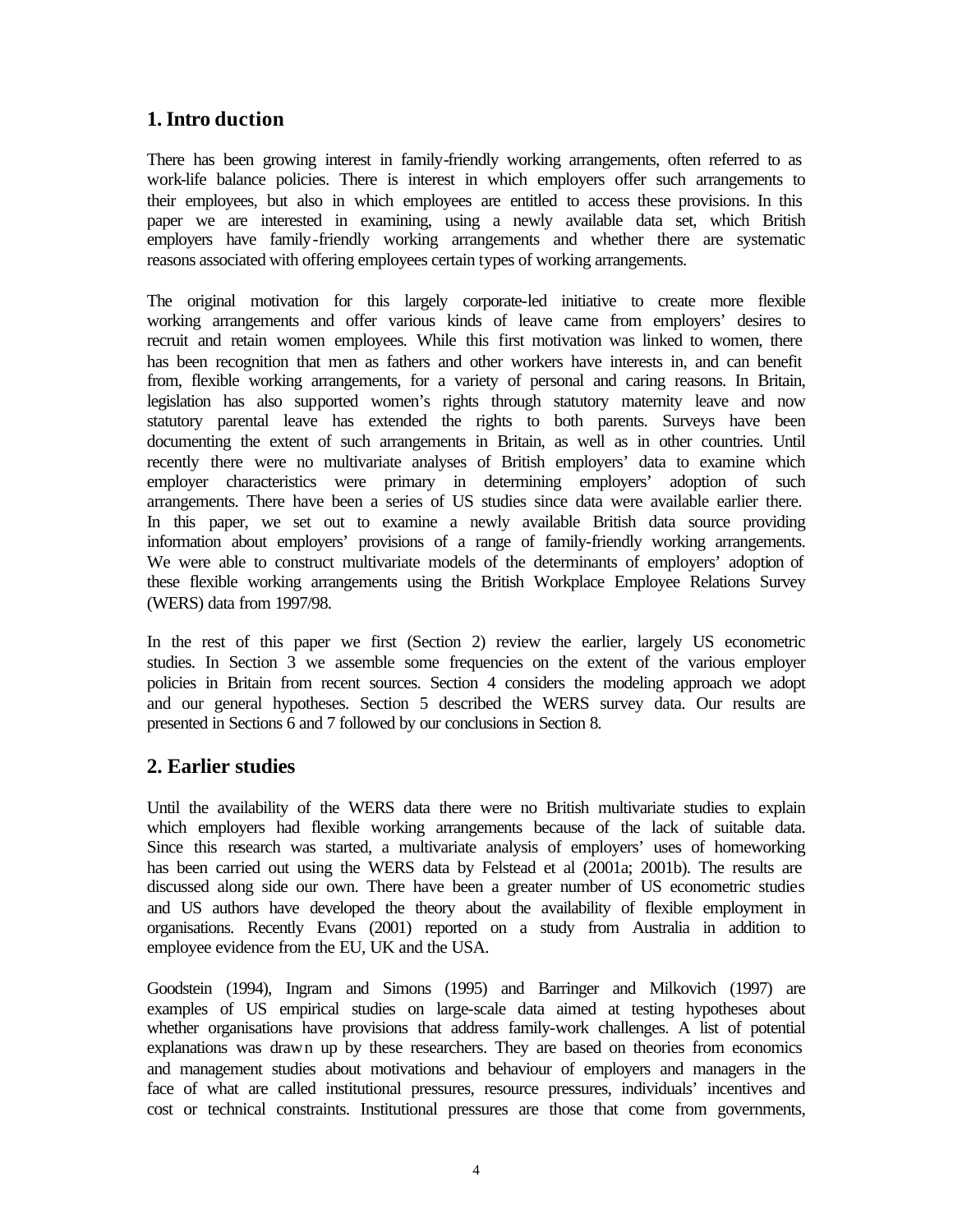# **1. Intro duction**

There has been growing interest in family-friendly working arrangements, often referred to as work-life balance policies. There is interest in which employers offer such arrangements to their employees, but also in which employees are entitled to access these provisions. In this paper we are interested in examining, using a newly available data set, which British employers have family-friendly working arrangements and whether there are systematic reasons associated with offering employees certain types of working arrangements.

The original motivation for this largely corporate-led initiative to create more flexible working arrangements and offer various kinds of leave came from employers' desires to recruit and retain women employees. While this first motivation was linked to women, there has been recognition that men as fathers and other workers have interests in, and can benefit from, flexible working arrangements, for a variety of personal and caring reasons. In Britain, legislation has also supported women's rights through statutory maternity leave and now statutory parental leave has extended the rights to both parents. Surveys have been documenting the extent of such arrangements in Britain, as well as in other countries. Until recently there were no multivariate analyses of British employers' data to examine which employer characteristics were primary in determining employers' adoption of such arrangements. There have been a series of US studies since data were available earlier there. In this paper, we set out to examine a newly available British data source providing information about employers' provisions of a range of family-friendly working arrangements. We were able to construct multivariate models of the determinants of employers' adoption of these flexible working arrangements using the British Workplace Employee Relations Survey (WERS) data from 1997/98.

In the rest of this paper we first (Section 2) review the earlier, largely US econometric studies. In Section 3 we assemble some frequencies on the extent of the various employer policies in Britain from recent sources. Section 4 considers the modeling approach we adopt and our general hypotheses. Section 5 described the WERS survey data. Our results are presented in Sections 6 and 7 followed by our conclusions in Section 8.

# **2. Earlier studies**

Until the availability of the WERS data there were no British multivariate studies to explain which employers had flexible working arrangements because of the lack of suitable data. Since this research was started, a multivariate analysis of employers' uses of homeworking has been carried out using the WERS data by Felstead et al (2001a; 2001b). The results are discussed along side our own. There have been a greater number of US econometric studies and US authors have developed the theory about the availability of flexible employment in organisations. Recently Evans (2001) reported on a study from Australia in addition to employee evidence from the EU, UK and the USA.

Goodstein (1994), Ingram and Simons (1995) and Barringer and Milkovich (1997) are examples of US empirical studies on large-scale data aimed at testing hypotheses about whether organisations have provisions that address family-work challenges. A list of potential explanations was drawn up by these researchers. They are based on theories from economics and management studies about motivations and behaviour of employers and managers in the face of what are called institutional pressures, resource pressures, individuals' incentives and cost or technical constraints. Institutional pressures are those that come from governments,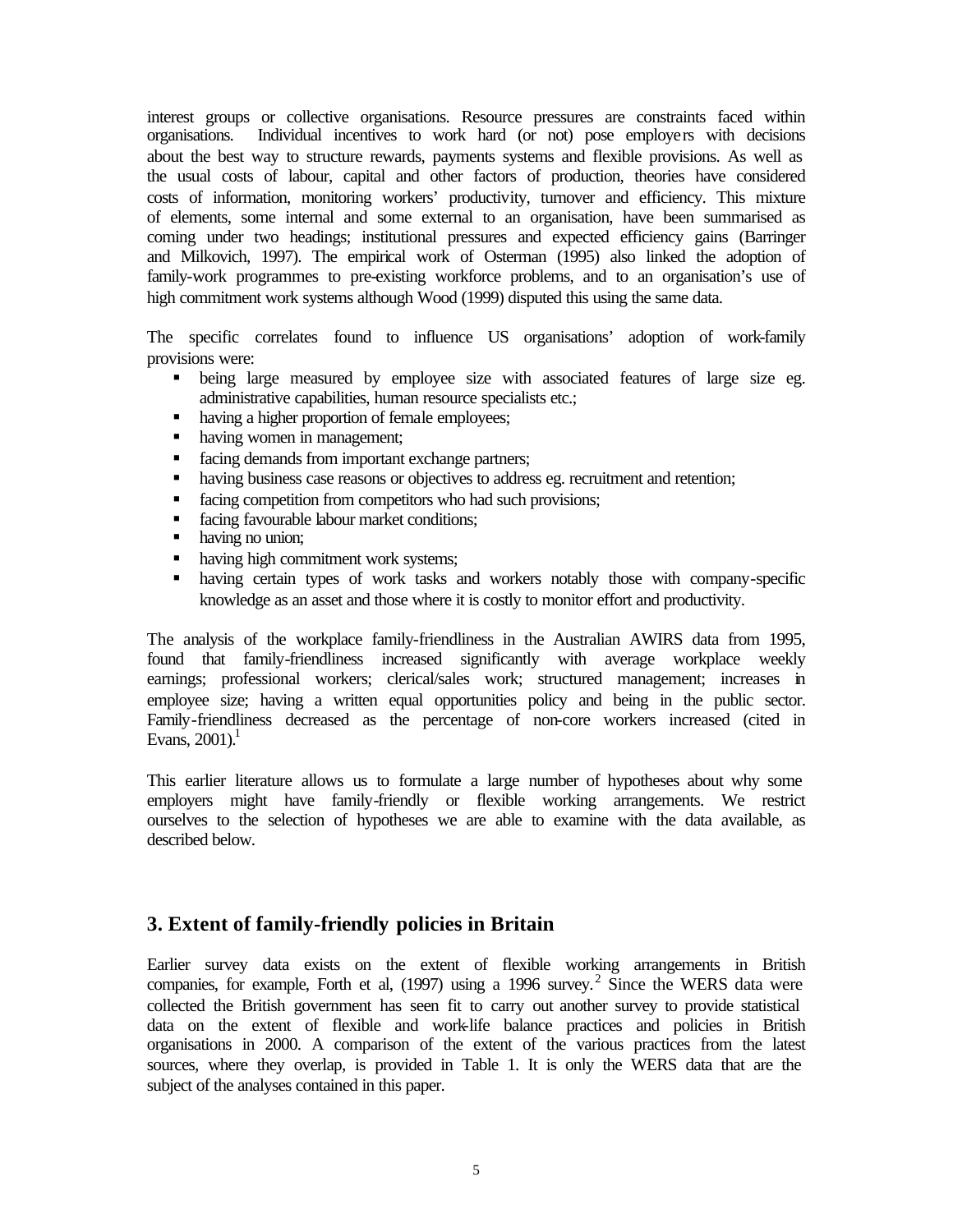interest groups or collective organisations. Resource pressures are constraints faced within organisations. Individual incentives to work hard (or not) pose employers with decisions about the best way to structure rewards, payments systems and flexible provisions. As well as the usual costs of labour, capital and other factors of production, theories have considered costs of information, monitoring workers' productivity, turnover and efficiency. This mixture of elements, some internal and some external to an organisation, have been summarised as coming under two headings; institutional pressures and expected efficiency gains (Barringer and Milkovich, 1997). The empirical work of Osterman (1995) also linked the adoption of family-work programmes to pre-existing workforce problems, and to an organisation's use of high commitment work systems although Wood (1999) disputed this using the same data.

The specific correlates found to influence US organisations' adoption of work-family provisions were:

- ß being large measured by employee size with associated features of large size eg. administrative capabilities, human resource specialists etc.;
- having a higher proportion of female employees;
- having women in management;
- **facing demands from important exchange partners;**
- having business case reasons or objectives to address eg. recruitment and retention;
- facing competition from competitors who had such provisions;
- **facing favourable labour market conditions;**
- having no union;
- having high commitment work systems;
- having certain types of work tasks and workers notably those with company-specific knowledge as an asset and those where it is costly to monitor effort and productivity.

The analysis of the workplace family-friendliness in the Australian AWIRS data from 1995, found that family-friendliness increased significantly with average workplace weekly earnings; professional workers; clerical/sales work; structured management; increases in employee size; having a written equal opportunities policy and being in the public sector. Family-friendliness decreased as the percentage of non-core workers increased (cited in Evans,  $2001$ .<sup>1</sup>

This earlier literature allows us to formulate a large number of hypotheses about why some employers might have family-friendly or flexible working arrangements. We restrict ourselves to the selection of hypotheses we are able to examine with the data available, as described below.

# **3. Extent of family-friendly policies in Britain**

Earlier survey data exists on the extent of flexible working arrangements in British companies, for example, Forth et al,  $(1997)$  using a 1996 survey.<sup>2</sup> Since the WERS data were collected the British government has seen fit to carry out another survey to provide statistical data on the extent of flexible and work-life balance practices and policies in British organisations in 2000. A comparison of the extent of the various practices from the latest sources, where they overlap, is provided in Table 1. It is only the WERS data that are the subject of the analyses contained in this paper.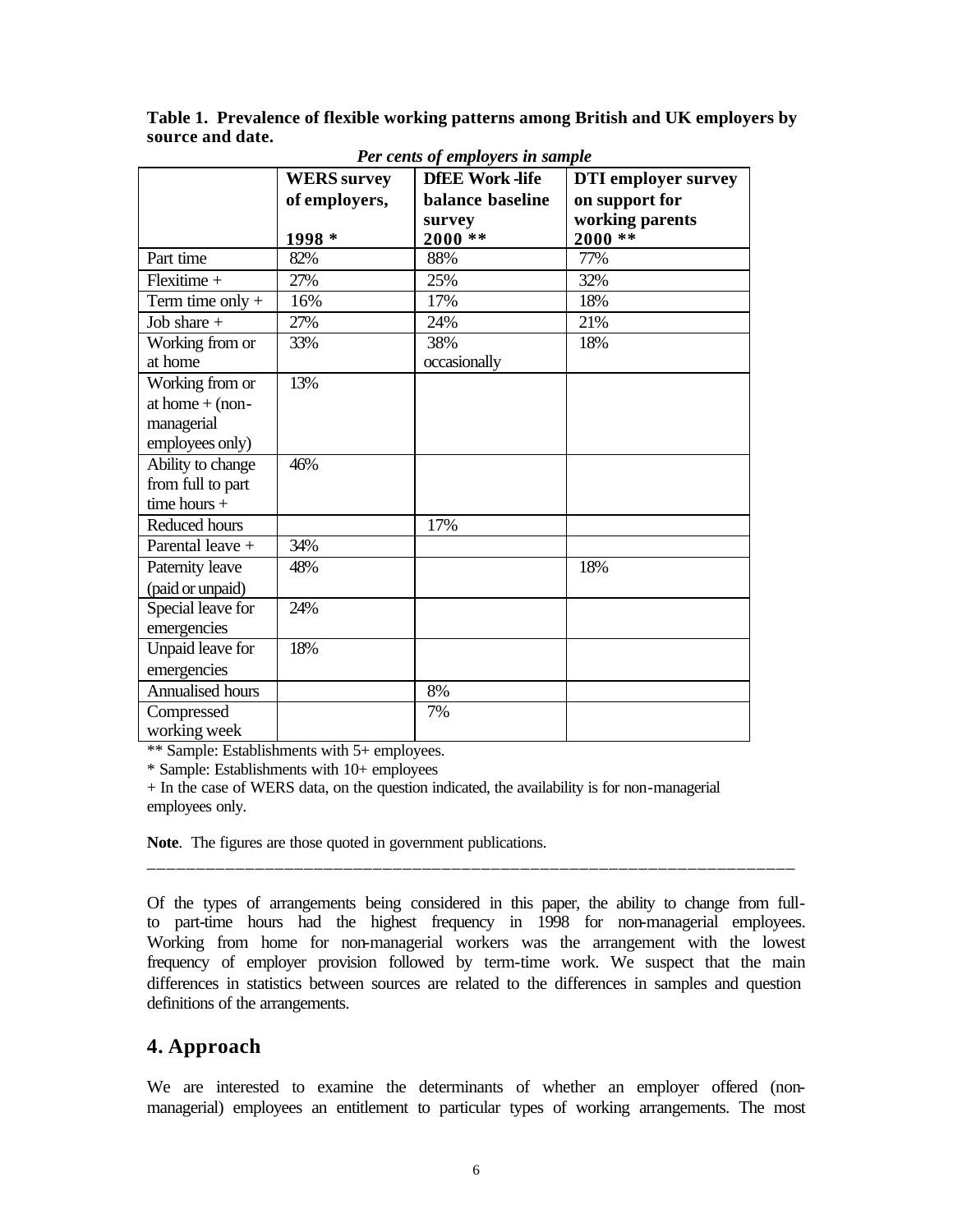**Table 1. Prevalence of flexible working patterns among British and UK employers by source and date.**

|                    | <b>WERS</b> survey | <b>DfEE Work-life</b> | <b>DTI</b> employer survey |
|--------------------|--------------------|-----------------------|----------------------------|
|                    | of employers,      | balance baseline      | on support for             |
|                    |                    | survey                | working parents            |
|                    | 1998 *             | $2000**$              | $2000**$                   |
| Part time          | 82%                | 88%                   | 77%                        |
| Flexitime +        | 27%                | 25%                   | 32%                        |
| Term time only $+$ | 16%                | 17%                   | 18%                        |
| Job share $+$      | 27%                | 24%                   | 21%                        |
| Working from or    | 33%                | 38%                   | 18%                        |
| at home            |                    | occasionally          |                            |
| Working from or    | 13%                |                       |                            |
| at home $+$ (non-  |                    |                       |                            |
| managerial         |                    |                       |                            |
| employees only)    |                    |                       |                            |
| Ability to change  | 46%                |                       |                            |
| from full to part  |                    |                       |                            |
| time hours $+$     |                    |                       |                            |
| Reduced hours      |                    | 17%                   |                            |
| Parental leave +   | 34%                |                       |                            |
| Paternity leave    | 48%                |                       | 18%                        |
| (paid or unpaid)   |                    |                       |                            |
| Special leave for  | 24%                |                       |                            |
| emergencies        |                    |                       |                            |
| Unpaid leave for   | 18%                |                       |                            |
| emergencies        |                    |                       |                            |
| Annualised hours   |                    | 8%                    |                            |
| Compressed         |                    | 7%                    |                            |
| working week       |                    |                       |                            |

*Per cents of employers in sample*

\*\* Sample: Establishments with 5+ employees.

\* Sample: Establishments with 10+ employees

+ In the case of WERS data, on the question indicated, the availability is for non-managerial employees only.

**Note**. The figures are those quoted in government publications.

Of the types of arrangements being considered in this paper, the ability to change from fullto part-time hours had the highest frequency in 1998 for non-managerial employees. Working from home for non-managerial workers was the arrangement with the lowest frequency of employer provision followed by term-time work. We suspect that the main differences in statistics between sources are related to the differences in samples and question definitions of the arrangements.

\_\_\_\_\_\_\_\_\_\_\_\_\_\_\_\_\_\_\_\_\_\_\_\_\_\_\_\_\_\_\_\_\_\_\_\_\_\_\_\_\_\_\_\_\_\_\_\_\_\_\_\_\_\_\_\_\_\_\_\_\_\_\_\_\_\_

# **4. Approach**

We are interested to examine the determinants of whether an employer offered (nonmanagerial) employees an entitlement to particular types of working arrangements. The most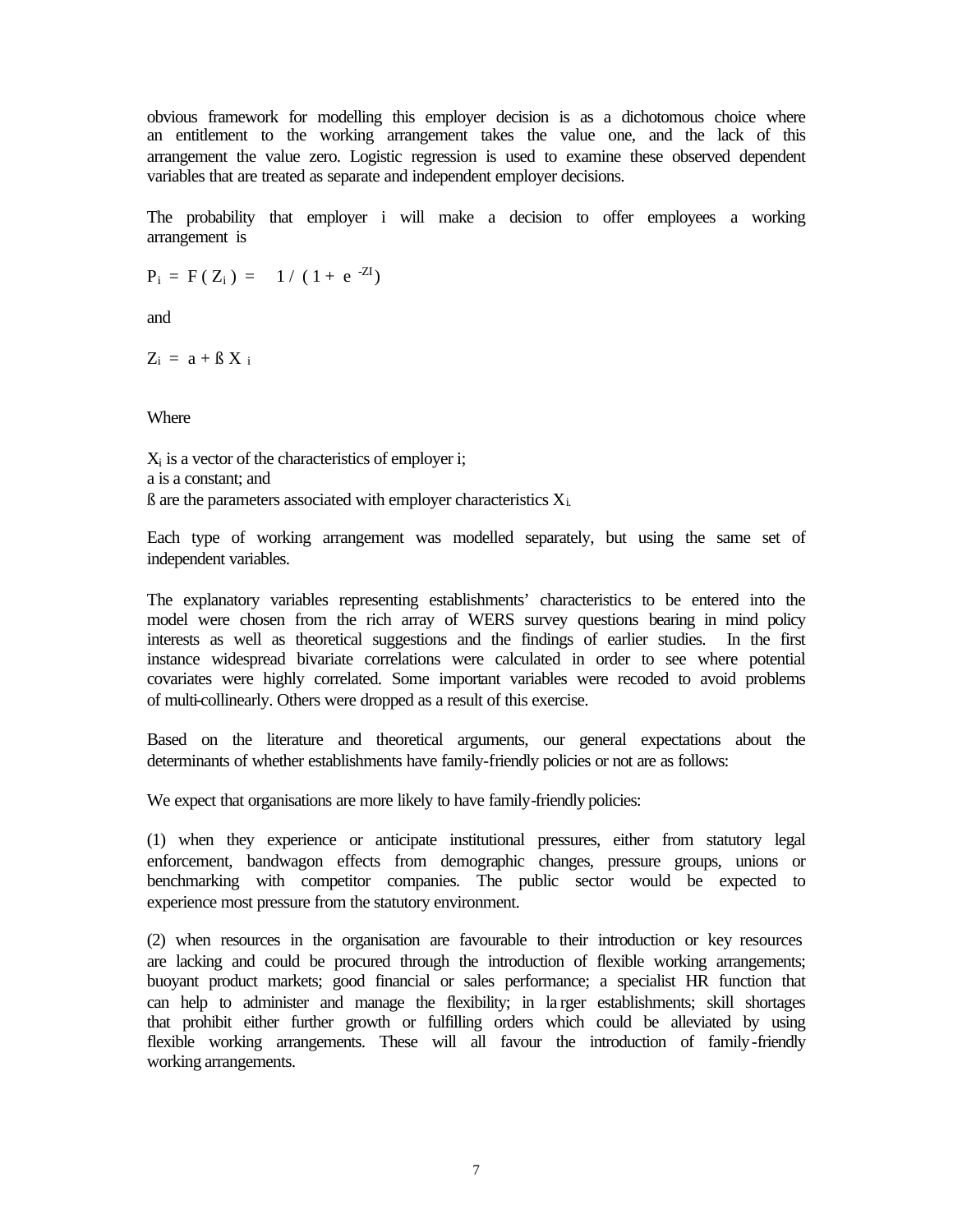obvious framework for modelling this employer decision is as a dichotomous choice where an entitlement to the working arrangement takes the value one, and the lack of this arrangement the value zero. Logistic regression is used to examine these observed dependent variables that are treated as separate and independent employer decisions.

The probability that employer i will make a decision to offer employees a working arrangement is

 $P_i = F(Z_i) = 1/(1 + e^{-ZI})$ 

and

 $Z_i = a + \beta X_i$ 

Where

Xi is a vector of the characteristics of employer i; a is a constant; and  $\beta$  are the parameters associated with employer characteristics  $X_i$ .

Each type of working arrangement was modelled separately, but using the same set of independent variables.

The explanatory variables representing establishments' characteristics to be entered into the model were chosen from the rich array of WERS survey questions bearing in mind policy interests as well as theoretical suggestions and the findings of earlier studies. In the first instance widespread bivariate correlations were calculated in order to see where potential covariates were highly correlated. Some important variables were recoded to avoid problems of multi-collinearly. Others were dropped as a result of this exercise.

Based on the literature and theoretical arguments, our general expectations about the determinants of whether establishments have family-friendly policies or not are as follows:

We expect that organisations are more likely to have family-friendly policies:

(1) when they experience or anticipate institutional pressures, either from statutory legal enforcement, bandwagon effects from demographic changes, pressure groups, unions or benchmarking with competitor companies. The public sector would be expected to experience most pressure from the statutory environment.

(2) when resources in the organisation are favourable to their introduction or key resources are lacking and could be procured through the introduction of flexible working arrangements; buoyant product markets; good financial or sales performance; a specialist HR function that can help to administer and manage the flexibility; in la rger establishments; skill shortages that prohibit either further growth or fulfilling orders which could be alleviated by using flexible working arrangements. These will all favour the introduction of family-friendly working arrangements.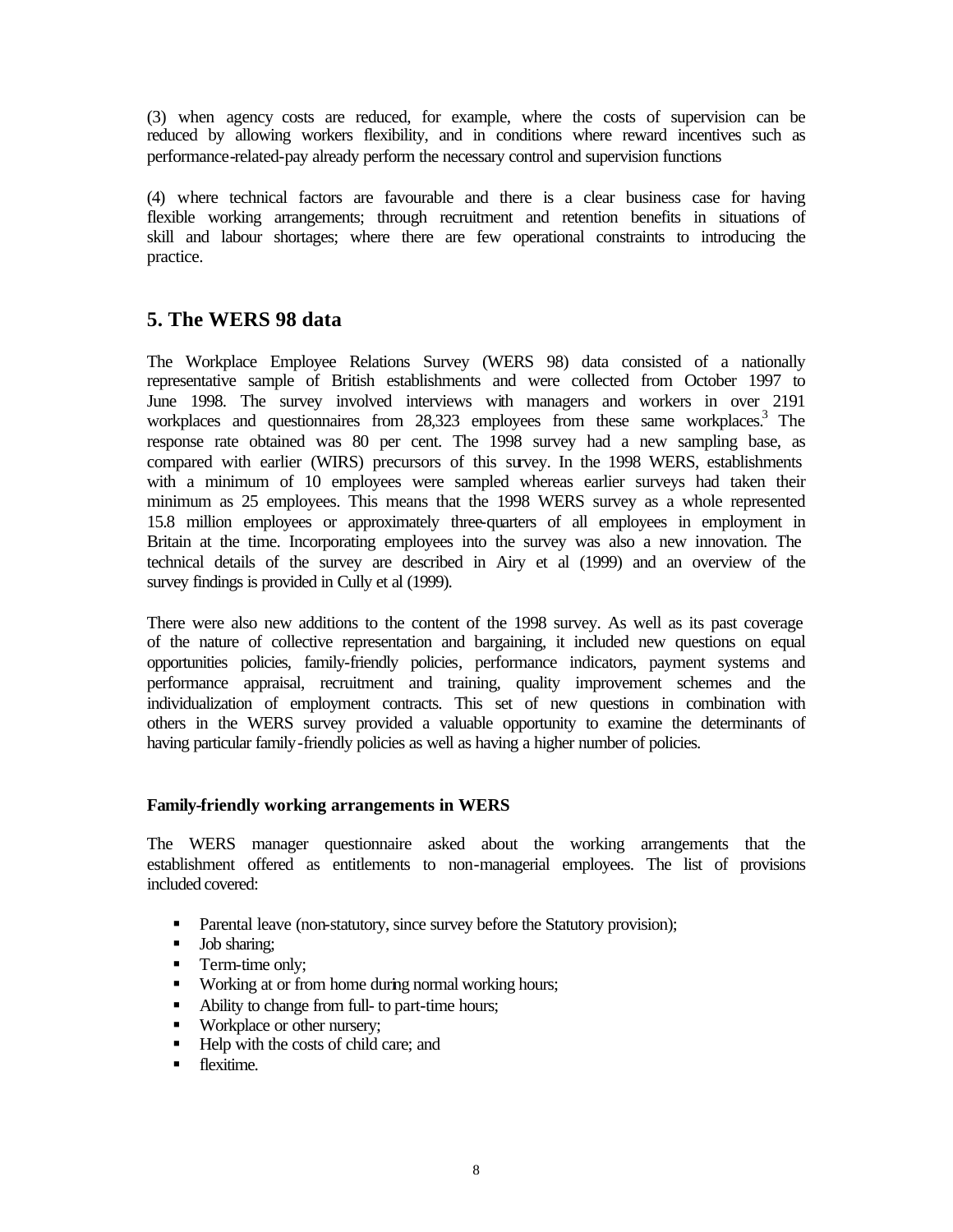(3) when agency costs are reduced, for example, where the costs of supervision can be reduced by allowing workers flexibility, and in conditions where reward incentives such as performance-related-pay already perform the necessary control and supervision functions

(4) where technical factors are favourable and there is a clear business case for having flexible working arrangements; through recruitment and retention benefits in situations of skill and labour shortages; where there are few operational constraints to introducing the practice.

# **5. The WERS 98 data**

The Workplace Employee Relations Survey (WERS 98) data consisted of a nationally representative sample of British establishments and were collected from October 1997 to June 1998. The survey involved interviews with managers and workers in over 2191 workplaces and questionnaires from 28,323 employees from these same workplaces.<sup>3</sup> The response rate obtained was 80 per cent. The 1998 survey had a new sampling base, as compared with earlier (WIRS) precursors of this survey. In the 1998 WERS, establishments with a minimum of 10 employees were sampled whereas earlier surveys had taken their minimum as 25 employees. This means that the 1998 WERS survey as a whole represented 15.8 million employees or approximately three-quarters of all employees in employment in Britain at the time. Incorporating employees into the survey was also a new innovation. The technical details of the survey are described in Airy et al (1999) and an overview of the survey findings is provided in Cully et al (1999).

There were also new additions to the content of the 1998 survey. As well as its past coverage of the nature of collective representation and bargaining, it included new questions on equal opportunities policies, family-friendly policies, performance indicators, payment systems and performance appraisal, recruitment and training, quality improvement schemes and the individualization of employment contracts. This set of new questions in combination with others in the WERS survey provided a valuable opportunity to examine the determinants of having particular family-friendly policies as well as having a higher number of policies.

## **Family-friendly working arrangements in WERS**

The WERS manager questionnaire asked about the working arrangements that the establishment offered as entitlements to non-managerial employees. The list of provisions included covered:

- Parental leave (non-statutory, since survey before the Statutory provision);
- **Job sharing;**
- Term-time only;
- Working at or from home during normal working hours;
- Ability to change from full- to part-time hours;
- Workplace or other nursery;
- Help with the costs of child care; and
- **F** flexitime.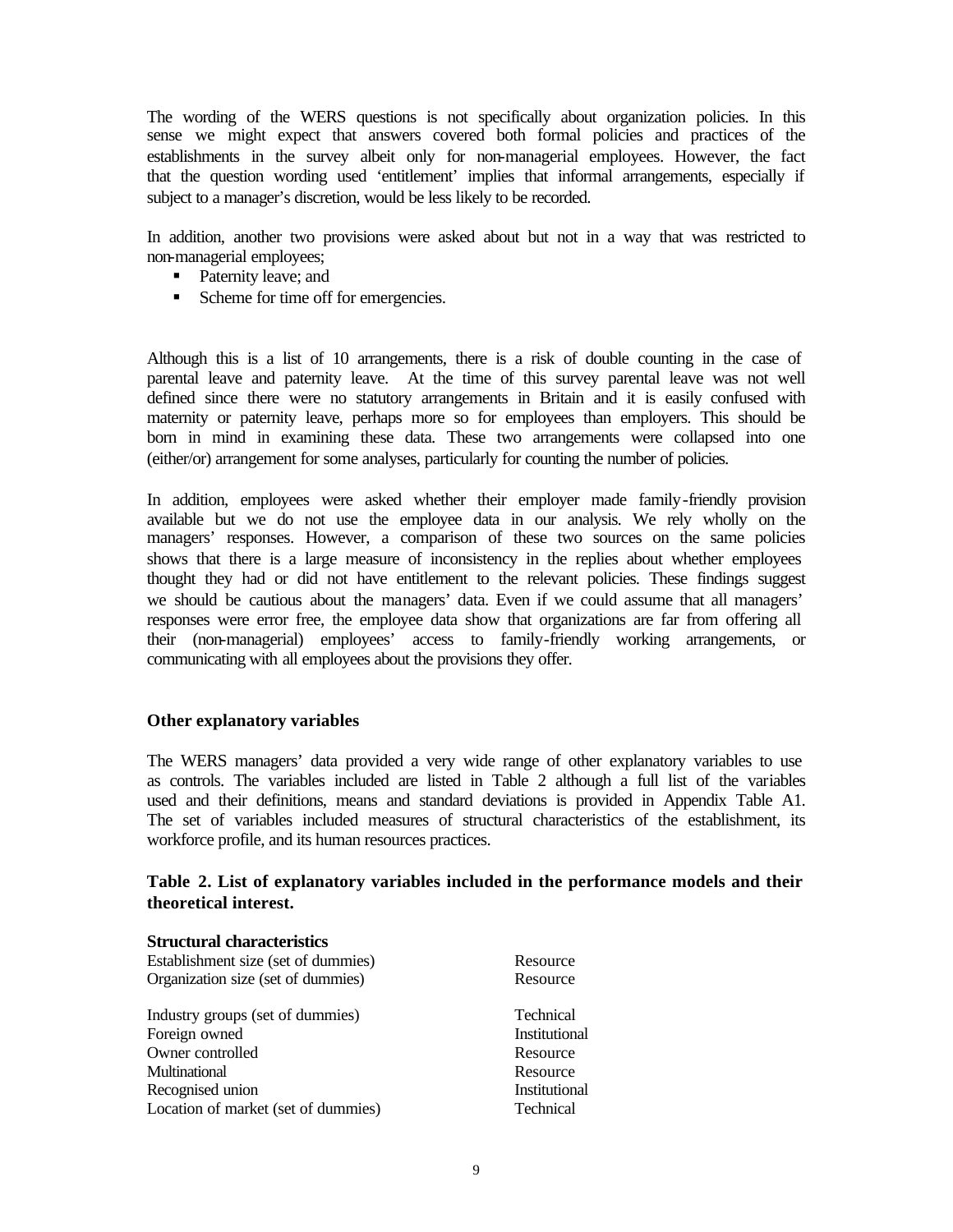The wording of the WERS questions is not specifically about organization policies. In this sense we might expect that answers covered both formal policies and practices of the establishments in the survey albeit only for non-managerial employees. However, the fact that the question wording used 'entitlement' implies that informal arrangements, especially if subject to a manager's discretion, would be less likely to be recorded.

In addition, another two provisions were asked about but not in a way that was restricted to non-managerial employees;

- Paternity leave; and
- Scheme for time off for emergencies.

Although this is a list of 10 arrangements, there is a risk of double counting in the case of parental leave and paternity leave. At the time of this survey parental leave was not well defined since there were no statutory arrangements in Britain and it is easily confused with maternity or paternity leave, perhaps more so for employees than employers. This should be born in mind in examining these data. These two arrangements were collapsed into one (either/or) arrangement for some analyses, particularly for counting the number of policies.

In addition, employees were asked whether their employer made family-friendly provision available but we do not use the employee data in our analysis. We rely wholly on the managers' responses. However, a comparison of these two sources on the same policies shows that there is a large measure of inconsistency in the replies about whether employees thought they had or did not have entitlement to the relevant policies. These findings suggest we should be cautious about the managers' data. Even if we could assume that all managers' responses were error free, the employee data show that organizations are far from offering all their (non-managerial) employees' access to family-friendly working arrangements, or communicating with all employees about the provisions they offer.

#### **Other explanatory variables**

The WERS managers' data provided a very wide range of other explanatory variables to use as controls. The variables included are listed in Table 2 although a full list of the variables used and their definitions, means and standard deviations is provided in Appendix Table A1. The set of variables included measures of structural characteristics of the establishment, its workforce profile, and its human resources practices.

## **Table 2. List of explanatory variables included in the performance models and their theoretical interest.**

#### **Structural characteristics**

| Establishment size (set of dummies) | Resource         |
|-------------------------------------|------------------|
| Organization size (set of dummies)  | Resource         |
| Industry groups (set of dummies)    | Technical        |
| Foreign owned                       | Institutional    |
| Owner controlled                    | Resource         |
| Multinational                       | Resource         |
| Recognised union                    | Institutional    |
| Location of market (set of dummies) | <b>Technical</b> |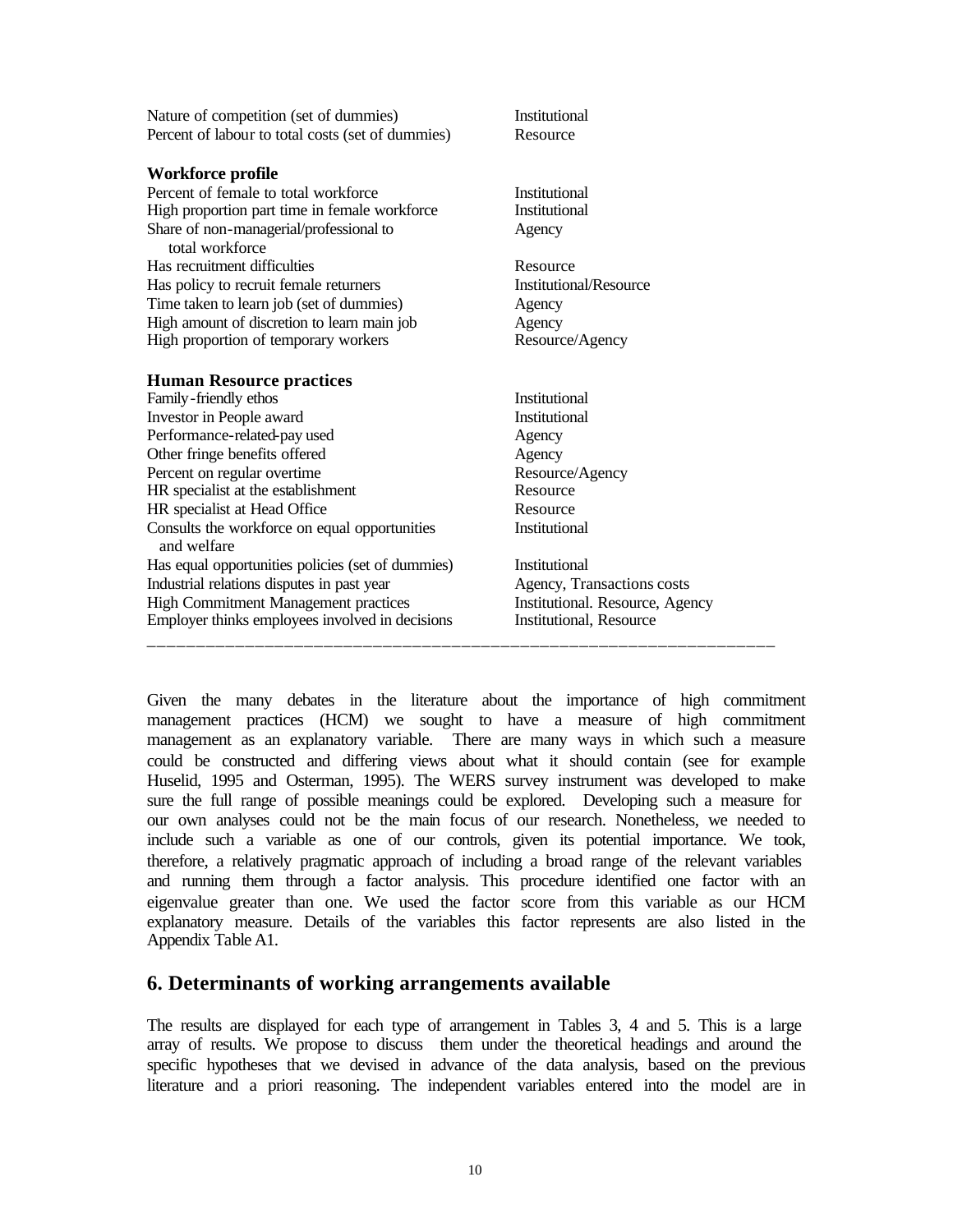| Workforce profile<br>Percent of female to total workforce<br><b>Institutional</b><br>High proportion part time in female workforce<br>Institutional<br>Share of non-managerial/professional to<br>Agency<br>total workforce<br>Has recruitment difficulties<br>Resource<br>Institutional/Resource<br>Has policy to recruit female returners<br>Time taken to learn job (set of dummies)<br>Agency | Nature of competition (set of dummies)<br>Percent of labour to total costs (set of dummies) | Institutional<br>Resource |
|---------------------------------------------------------------------------------------------------------------------------------------------------------------------------------------------------------------------------------------------------------------------------------------------------------------------------------------------------------------------------------------------------|---------------------------------------------------------------------------------------------|---------------------------|
|                                                                                                                                                                                                                                                                                                                                                                                                   |                                                                                             |                           |
|                                                                                                                                                                                                                                                                                                                                                                                                   |                                                                                             |                           |
|                                                                                                                                                                                                                                                                                                                                                                                                   |                                                                                             |                           |
|                                                                                                                                                                                                                                                                                                                                                                                                   |                                                                                             |                           |
|                                                                                                                                                                                                                                                                                                                                                                                                   |                                                                                             |                           |
|                                                                                                                                                                                                                                                                                                                                                                                                   |                                                                                             |                           |
|                                                                                                                                                                                                                                                                                                                                                                                                   |                                                                                             |                           |
| High amount of discretion to learn main job<br>Agency                                                                                                                                                                                                                                                                                                                                             |                                                                                             |                           |
| High proportion of temporary workers<br>Resource/Agency                                                                                                                                                                                                                                                                                                                                           |                                                                                             |                           |
| <b>Human Resource practices</b>                                                                                                                                                                                                                                                                                                                                                                   |                                                                                             |                           |
| <b>Institutional</b><br>Family-friendly ethos                                                                                                                                                                                                                                                                                                                                                     |                                                                                             |                           |
| Investor in People award<br>Institutional                                                                                                                                                                                                                                                                                                                                                         |                                                                                             |                           |
| Performance-related-pay used<br>Agency                                                                                                                                                                                                                                                                                                                                                            |                                                                                             |                           |
| Other fringe benefits offered<br>Agency                                                                                                                                                                                                                                                                                                                                                           |                                                                                             |                           |
| Percent on regular overtime<br>Resource/Agency                                                                                                                                                                                                                                                                                                                                                    |                                                                                             |                           |
| Resource<br>HR specialist at the establishment                                                                                                                                                                                                                                                                                                                                                    |                                                                                             |                           |
| HR specialist at Head Office<br>Resource                                                                                                                                                                                                                                                                                                                                                          |                                                                                             |                           |
| <b>Institutional</b><br>Consults the workforce on equal opportunities<br>and welfare                                                                                                                                                                                                                                                                                                              |                                                                                             |                           |
| Has equal opportunities policies (set of dummies)<br>Institutional                                                                                                                                                                                                                                                                                                                                |                                                                                             |                           |
| Industrial relations disputes in past year<br>Agency, Transactions costs                                                                                                                                                                                                                                                                                                                          |                                                                                             |                           |
| <b>High Commitment Management practices</b><br>Institutional. Resource, Agency                                                                                                                                                                                                                                                                                                                    |                                                                                             |                           |
| Employer thinks employees involved in decisions<br>Institutional, Resource                                                                                                                                                                                                                                                                                                                        |                                                                                             |                           |

Given the many debates in the literature about the importance of high commitment management practices (HCM) we sought to have a measure of high commitment management as an explanatory variable. There are many ways in which such a measure could be constructed and differing views about what it should contain (see for example Huselid, 1995 and Osterman, 1995). The WERS survey instrument was developed to make sure the full range of possible meanings could be explored. Developing such a measure for our own analyses could not be the main focus of our research. Nonetheless, we needed to include such a variable as one of our controls, given its potential importance. We took, therefore, a relatively pragmatic approach of including a broad range of the relevant variables and running them through a factor analysis. This procedure identified one factor with an eigenvalue greater than one. We used the factor score from this variable as our HCM explanatory measure. Details of the variables this factor represents are also listed in the Appendix Table A1.

## **6. Determinants of working arrangements available**

The results are displayed for each type of arrangement in Tables 3, 4 and 5. This is a large array of results. We propose to discuss them under the theoretical headings and around the specific hypotheses that we devised in advance of the data analysis, based on the previous literature and a priori reasoning. The independent variables entered into the model are in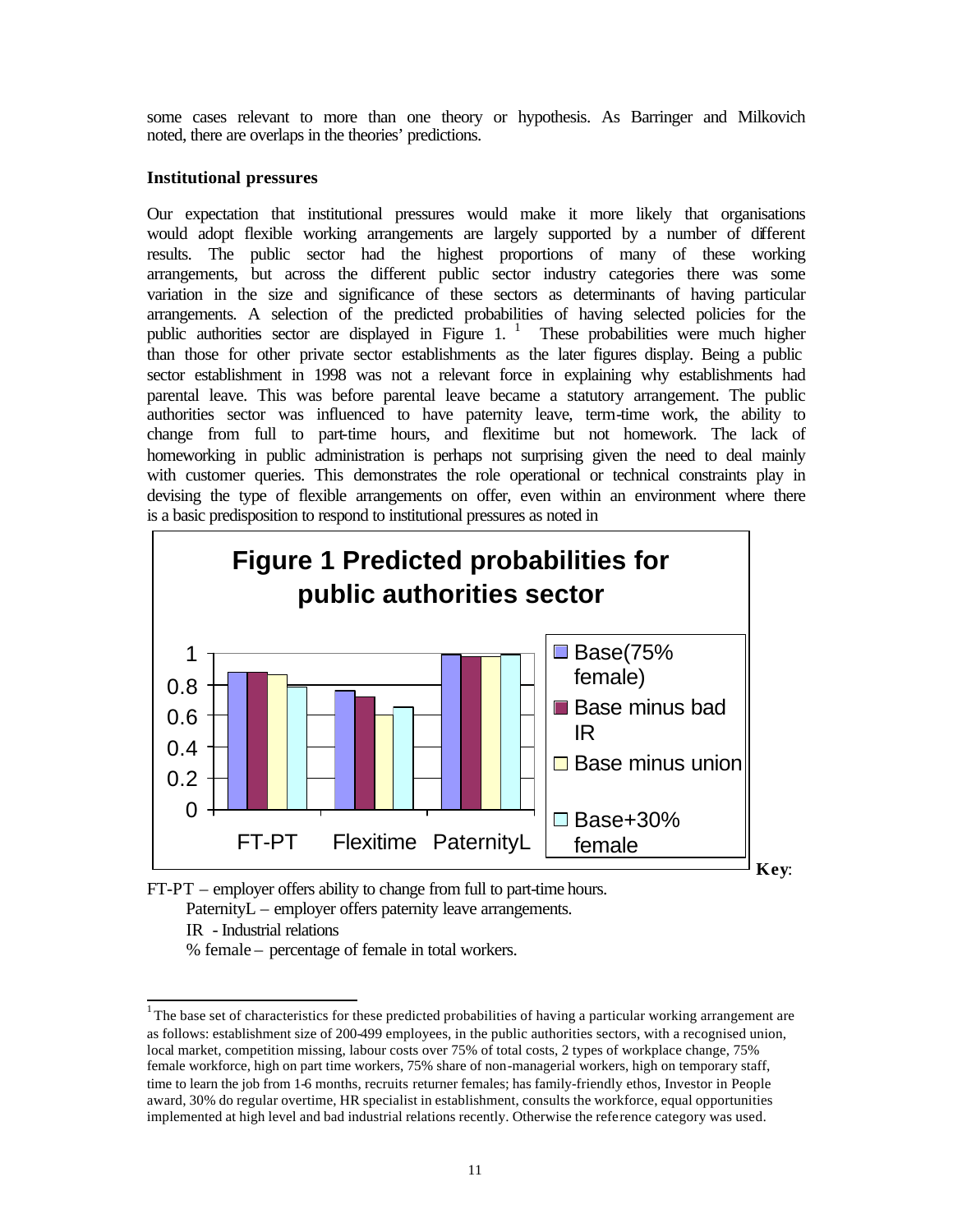some cases relevant to more than one theory or hypothesis. As Barringer and Milkovich noted, there are overlaps in the theories' predictions.

#### **Institutional pressures**

Our expectation that institutional pressures would make it more likely that organisations would adopt flexible working arrangements are largely supported by a number of different results. The public sector had the highest proportions of many of these working arrangements, but across the different public sector industry categories there was some variation in the size and significance of these sectors as determinants of having particular arrangements. A selection of the predicted probabilities of having selected policies for the public authorities sector are displayed in Figure 1.<sup>1</sup> These probabilities were much higher than those for other private sector establishments as the later figures display. Being a public sector establishment in 1998 was not a relevant force in explaining why establishments had parental leave. This was before parental leave became a statutory arrangement. The public authorities sector was influenced to have paternity leave, term-time work, the ability to change from full to part-time hours, and flexitime but not homework. The lack of homeworking in public administration is perhaps not surprising given the need to deal mainly with customer queries. This demonstrates the role operational or technical constraints play in devising the type of flexible arrangements on offer, even within an environment where there is a basic predisposition to respond to institutional pressures as noted in



FT-PT – employer offers ability to change from full to part-time hours. PaternityL – employer offers paternity leave arrangements.

IR - Industrial relations

 $\overline{\phantom{a}}$ 

% female – percentage of female in total workers.

<sup>&</sup>lt;sup>1</sup>The base set of characteristics for these predicted probabilities of having a particular working arrangement are as follows: establishment size of 200-499 employees, in the public authorities sectors, with a recognised union, local market, competition missing, labour costs over 75% of total costs, 2 types of workplace change, 75% female workforce, high on part time workers, 75% share of non-managerial workers, high on temporary staff, time to learn the job from 1-6 months, recruits returner females; has family-friendly ethos, Investor in People award, 30% do regular overtime, HR specialist in establishment, consults the workforce, equal opportunities implemented at high level and bad industrial relations recently. Otherwise the reference category was used.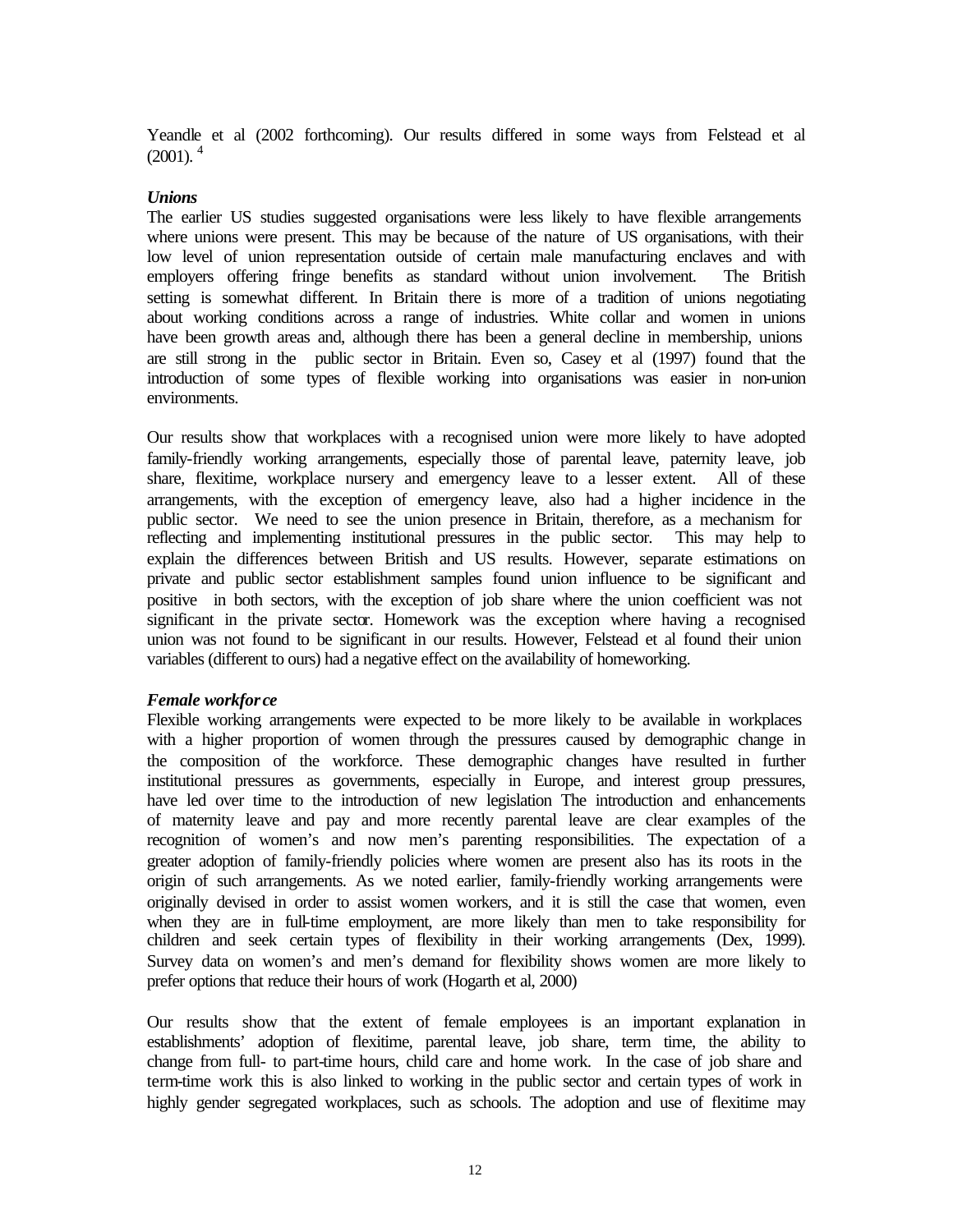Yeandle et al (2002 forthcoming). Our results differed in some ways from Felstead et al  $(2001)$ .<sup>4</sup>

#### *Unions*

The earlier US studies suggested organisations were less likely to have flexible arrangements where unions were present. This may be because of the nature of US organisations, with their low level of union representation outside of certain male manufacturing enclaves and with employers offering fringe benefits as standard without union involvement. The British setting is somewhat different. In Britain there is more of a tradition of unions negotiating about working conditions across a range of industries. White collar and women in unions have been growth areas and, although there has been a general decline in membership, unions are still strong in the public sector in Britain. Even so, Casey et al (1997) found that the introduction of some types of flexible working into organisations was easier in non-union environments.

Our results show that workplaces with a recognised union were more likely to have adopted family-friendly working arrangements, especially those of parental leave, paternity leave, job share, flexitime, workplace nursery and emergency leave to a lesser extent. All of these arrangements, with the exception of emergency leave, also had a higher incidence in the public sector. We need to see the union presence in Britain, therefore, as a mechanism for reflecting and implementing institutional pressures in the public sector. This may help to explain the differences between British and US results. However, separate estimations on private and public sector establishment samples found union influence to be significant and positive in both sectors, with the exception of job share where the union coefficient was not significant in the private sector. Homework was the exception where having a recognised union was not found to be significant in our results. However, Felstead et al found their union variables (different to ours) had a negative effect on the availability of homeworking.

#### *Female workfor ce*

Flexible working arrangements were expected to be more likely to be available in workplaces with a higher proportion of women through the pressures caused by demographic change in the composition of the workforce. These demographic changes have resulted in further institutional pressures as governments, especially in Europe, and interest group pressures, have led over time to the introduction of new legislation The introduction and enhancements of maternity leave and pay and more recently parental leave are clear examples of the recognition of women's and now men's parenting responsibilities. The expectation of a greater adoption of family-friendly policies where women are present also has its roots in the origin of such arrangements. As we noted earlier, family-friendly working arrangements were originally devised in order to assist women workers, and it is still the case that women, even when they are in full-time employment, are more likely than men to take responsibility for children and seek certain types of flexibility in their working arrangements (Dex, 1999). Survey data on women's and men's demand for flexibility shows women are more likely to prefer options that reduce their hours of work (Hogarth et al, 2000)

Our results show that the extent of female employees is an important explanation in establishments' adoption of flexitime, parental leave, job share, term time, the ability to change from full- to part-time hours, child care and home work. In the case of job share and term-time work this is also linked to working in the public sector and certain types of work in highly gender segregated workplaces, such as schools. The adoption and use of flexitime may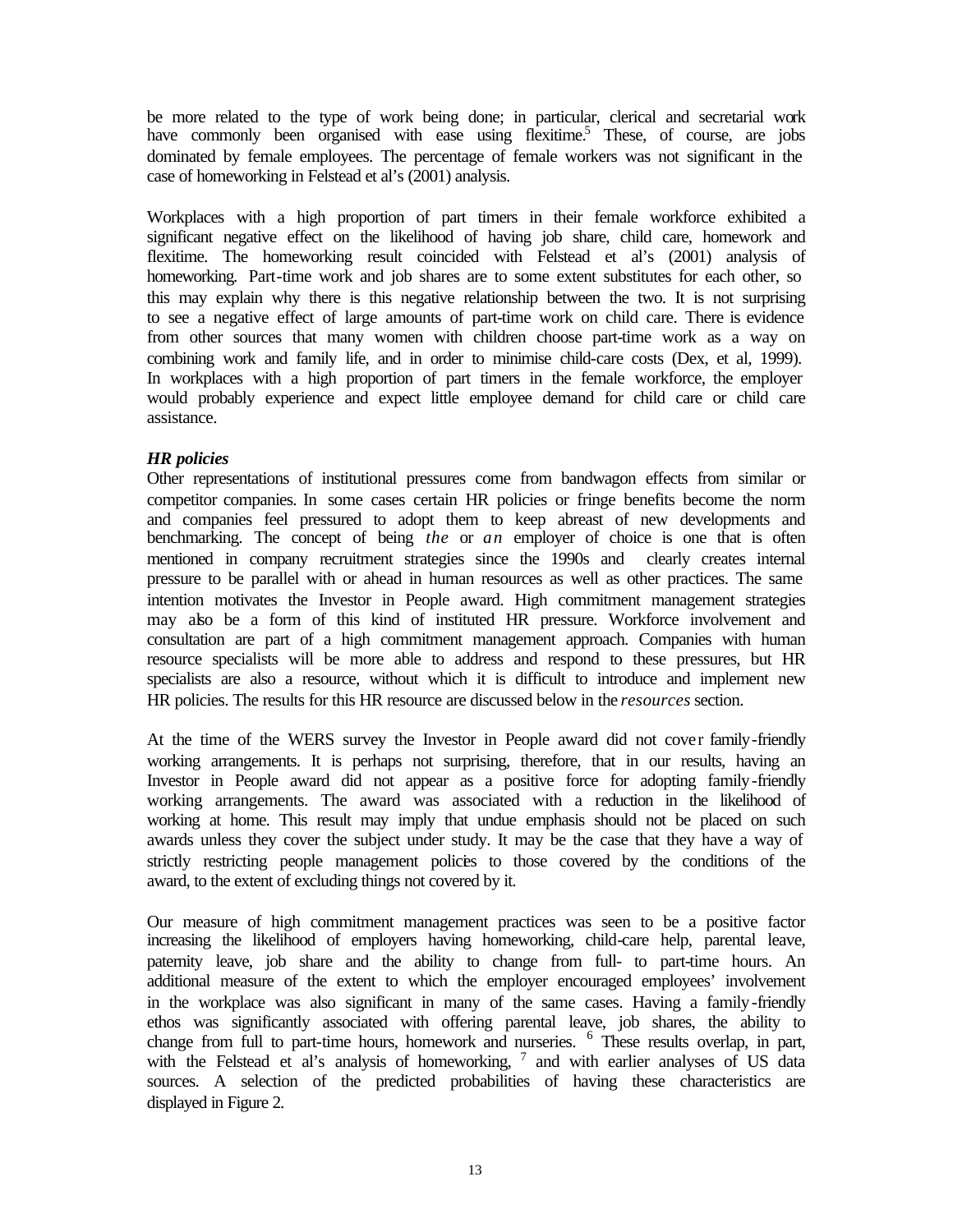be more related to the type of work being done; in particular, clerical and secretarial work have commonly been organised with ease using flexitime.<sup>5</sup> These, of course, are jobs dominated by female employees. The percentage of female workers was not significant in the case of homeworking in Felstead et al's (2001) analysis.

Workplaces with a high proportion of part timers in their female workforce exhibited a significant negative effect on the likelihood of having job share, child care, homework and flexitime. The homeworking result coincided with Felstead et al's (2001) analysis of homeworking. Part-time work and job shares are to some extent substitutes for each other, so this may explain why there is this negative relationship between the two. It is not surprising to see a negative effect of large amounts of part-time work on child care. There is evidence from other sources that many women with children choose part-time work as a way on combining work and family life, and in order to minimise child-care costs (Dex, et al, 1999). In workplaces with a high proportion of part timers in the female workforce, the employer would probably experience and expect little employee demand for child care or child care assistance.

## *HR policies*

Other representations of institutional pressures come from bandwagon effects from similar or competitor companies. In some cases certain HR policies or fringe benefits become the norm and companies feel pressured to adopt them to keep abreast of new developments and benchmarking. The concept of being *the* or *an* employer of choice is one that is often mentioned in company recruitment strategies since the 1990s and clearly creates internal pressure to be parallel with or ahead in human resources as well as other practices. The same intention motivates the Investor in People award. High commitment management strategies may also be a form of this kind of instituted HR pressure. Workforce involvement and consultation are part of a high commitment management approach. Companies with human resource specialists will be more able to address and respond to these pressures, but HR specialists are also a resource, without which it is difficult to introduce and implement new HR policies. The results for this HR resource are discussed below in the *resources* section.

At the time of the WERS survey the Investor in People award did not cover family-friendly working arrangements. It is perhaps not surprising, therefore, that in our results, having an Investor in People award did not appear as a positive force for adopting family-friendly working arrangements. The award was associated with a reduction in the likelihood of working at home. This result may imply that undue emphasis should not be placed on such awards unless they cover the subject under study. It may be the case that they have a way of strictly restricting people management policies to those covered by the conditions of the award, to the extent of excluding things not covered by it.

Our measure of high commitment management practices was seen to be a positive factor increasing the likelihood of employers having homeworking, child-care help, parental leave, paternity leave, job share and the ability to change from full- to part-time hours. An additional measure of the extent to which the employer encouraged employees' involvement in the workplace was also significant in many of the same cases. Having a family-friendly ethos was significantly associated with offering parental leave, job shares, the ability to change from full to part-time hours, homework and nurseries. <sup>6</sup> These results overlap, in part, with the Felstead et al's analysis of homeworking,  $7$  and with earlier analyses of US data sources. A selection of the predicted probabilities of having these characteristics are displayed in Figure 2.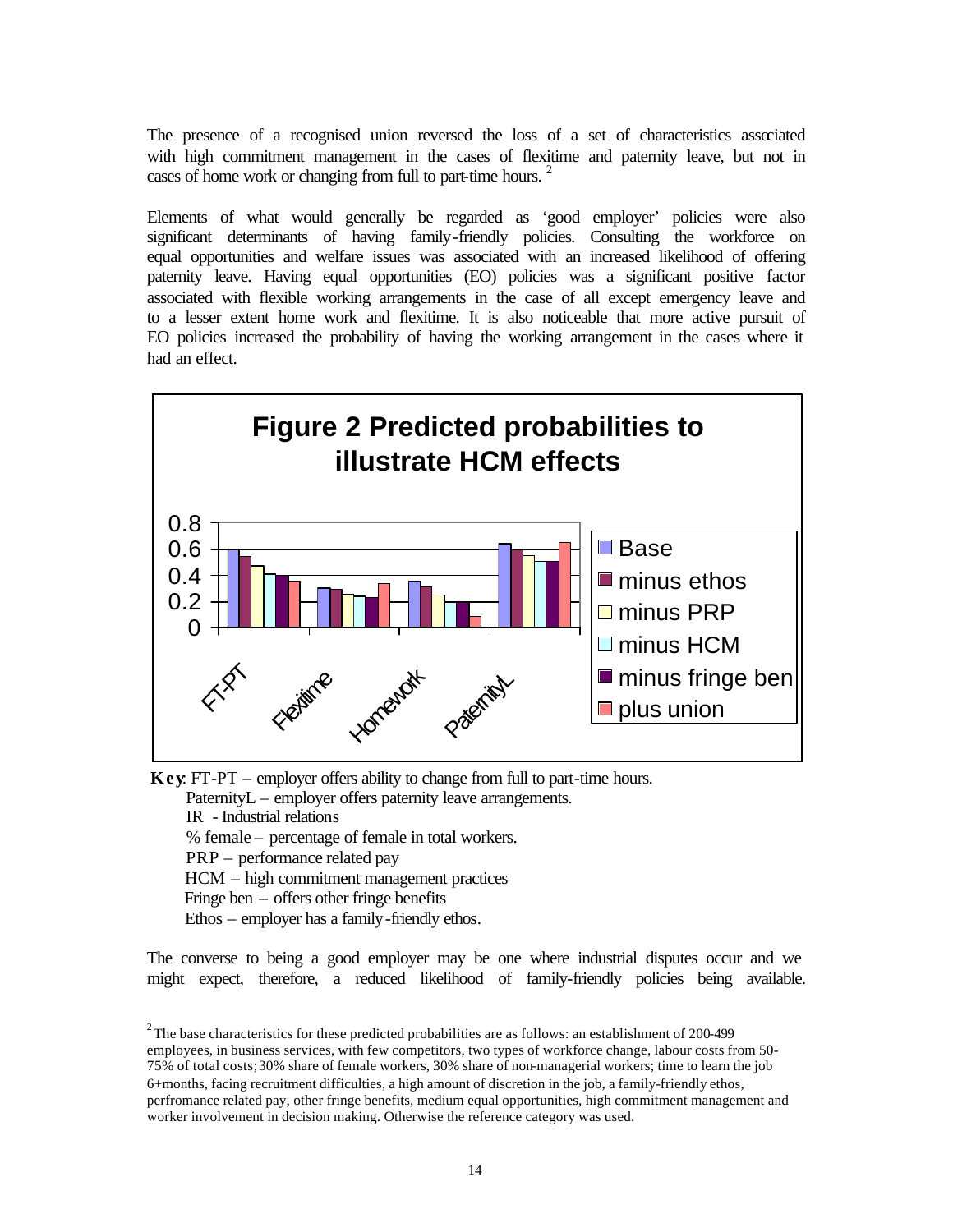The presence of a recognised union reversed the loss of a set of characteristics associated with high commitment management in the cases of flexitime and paternity leave, but not in cases of home work or changing from full to part-time hours.

Elements of what would generally be regarded as 'good employer' policies were also significant determinants of having family-friendly policies. Consulting the workforce on equal opportunities and welfare issues was associated with an increased likelihood of offering paternity leave. Having equal opportunities (EO) policies was a significant positive factor associated with flexible working arrangements in the case of all except emergency leave and to a lesser extent home work and flexitime. It is also noticeable that more active pursuit of EO policies increased the probability of having the working arrangement in the cases where it had an effect.



 **Key**: FT-PT – employer offers ability to change from full to part-time hours.

PaternityL – employer offers paternity leave arrangements.

IR - Industrial relations

% female – percentage of female in total workers.

PRP – performance related pay

HCM – high commitment management practices

Fringe ben – offers other fringe benefits

Ethos – employer has a family-friendly ethos.

The converse to being a good employer may be one where industrial disputes occur and we might expect, therefore, a reduced likelihood of family-friendly policies being available.

<sup>&</sup>lt;sup>2</sup>The base characteristics for these predicted probabilities are as follows: an establishment of 200-499 employees, in business services, with few competitors, two types of workforce change, labour costs from 50- 75% of total costs; 30% share of female workers, 30% share of non-managerial workers; time to learn the job 6+months, facing recruitment difficulties, a high amount of discretion in the job, a family-friendly ethos, perfromance related pay, other fringe benefits, medium equal opportunities, high commitment management and worker involvement in decision making. Otherwise the reference category was used.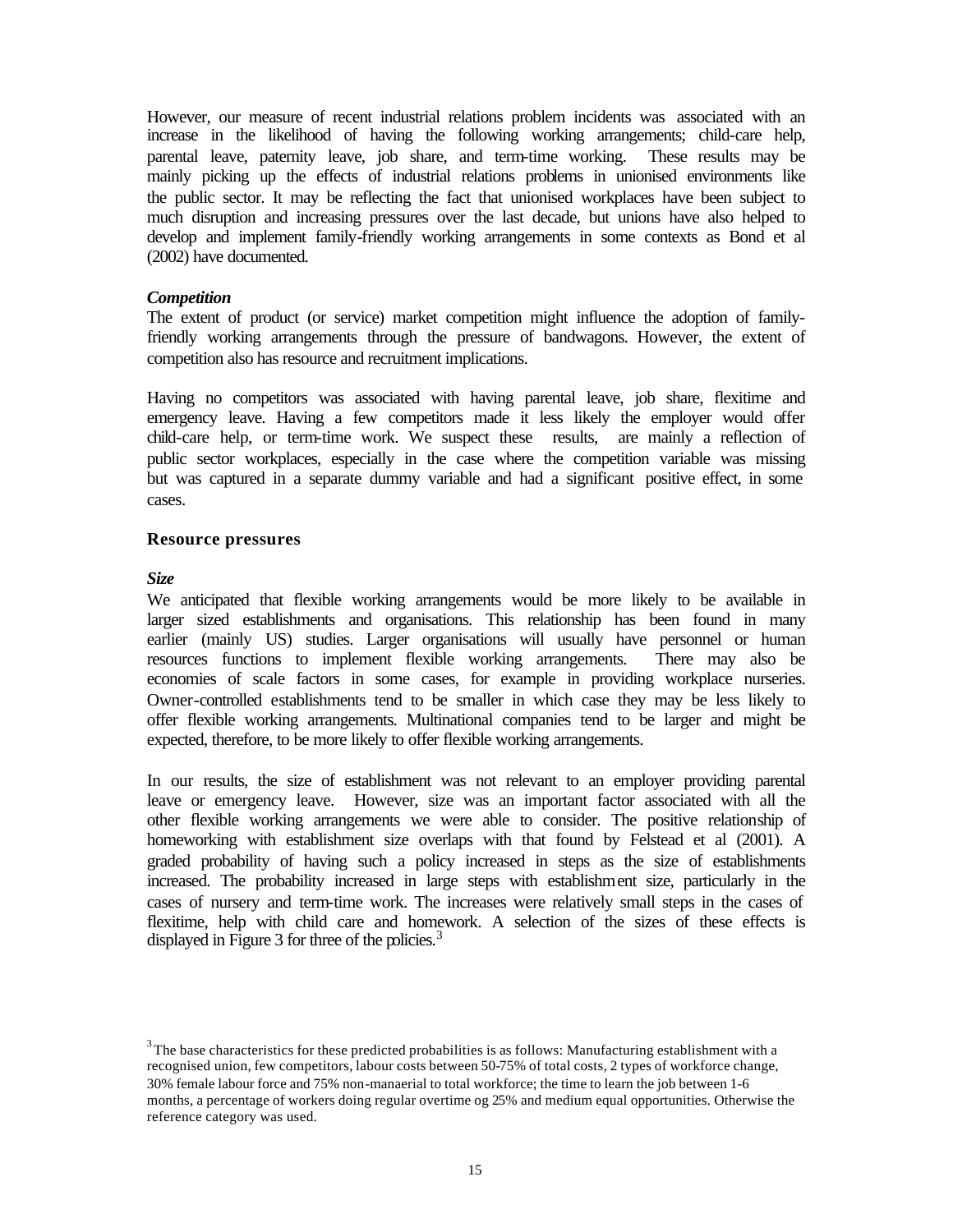However, our measure of recent industrial relations problem incidents was associated with an increase in the likelihood of having the following working arrangements; child-care help, parental leave, paternity leave, job share, and term-time working. These results may be mainly picking up the effects of industrial relations problems in unionised environments like the public sector. It may be reflecting the fact that unionised workplaces have been subject to much disruption and increasing pressures over the last decade, but unions have also helped to develop and implement family-friendly working arrangements in some contexts as Bond et al (2002) have documented.

#### *Competition*

The extent of product (or service) market competition might influence the adoption of familyfriendly working arrangements through the pressure of bandwagons. However, the extent of competition also has resource and recruitment implications.

Having no competitors was associated with having parental leave, job share, flexitime and emergency leave. Having a few competitors made it less likely the employer would offer child-care help, or term-time work. We suspect these results, are mainly a reflection of public sector workplaces, especially in the case where the competition variable was missing but was captured in a separate dummy variable and had a significant positive effect, in some cases.

#### **Resource pressures**

#### *Size*

j

We anticipated that flexible working arrangements would be more likely to be available in larger sized establishments and organisations. This relationship has been found in many earlier (mainly US) studies. Larger organisations will usually have personnel or human resources functions to implement flexible working arrangements. There may also be economies of scale factors in some cases, for example in providing workplace nurseries. Owner-controlled establishments tend to be smaller in which case they may be less likely to offer flexible working arrangements. Multinational companies tend to be larger and might be expected, therefore, to be more likely to offer flexible working arrangements.

In our results, the size of establishment was not relevant to an employer providing parental leave or emergency leave. However, size was an important factor associated with all the other flexible working arrangements we were able to consider. The positive relationship of homeworking with establishment size overlaps with that found by Felstead et al (2001). A graded probability of having such a policy increased in steps as the size of establishments increased. The probability increased in large steps with establishment size, particularly in the cases of nursery and term-time work. The increases were relatively small steps in the cases of flexitime, help with child care and homework. A selection of the sizes of these effects is displayed in Figure 3 for three of the policies. $3$ 

 $3$ The base characteristics for these predicted probabilities is as follows: Manufacturing establishment with a recognised union, few competitors, labour costs between 50-75% of total costs, 2 types of workforce change, 30% female labour force and 75% non-manaerial to total workforce; the time to learn the job between 1-6 months, a percentage of workers doing regular overtime og 25% and medium equal opportunities. Otherwise the reference category was used.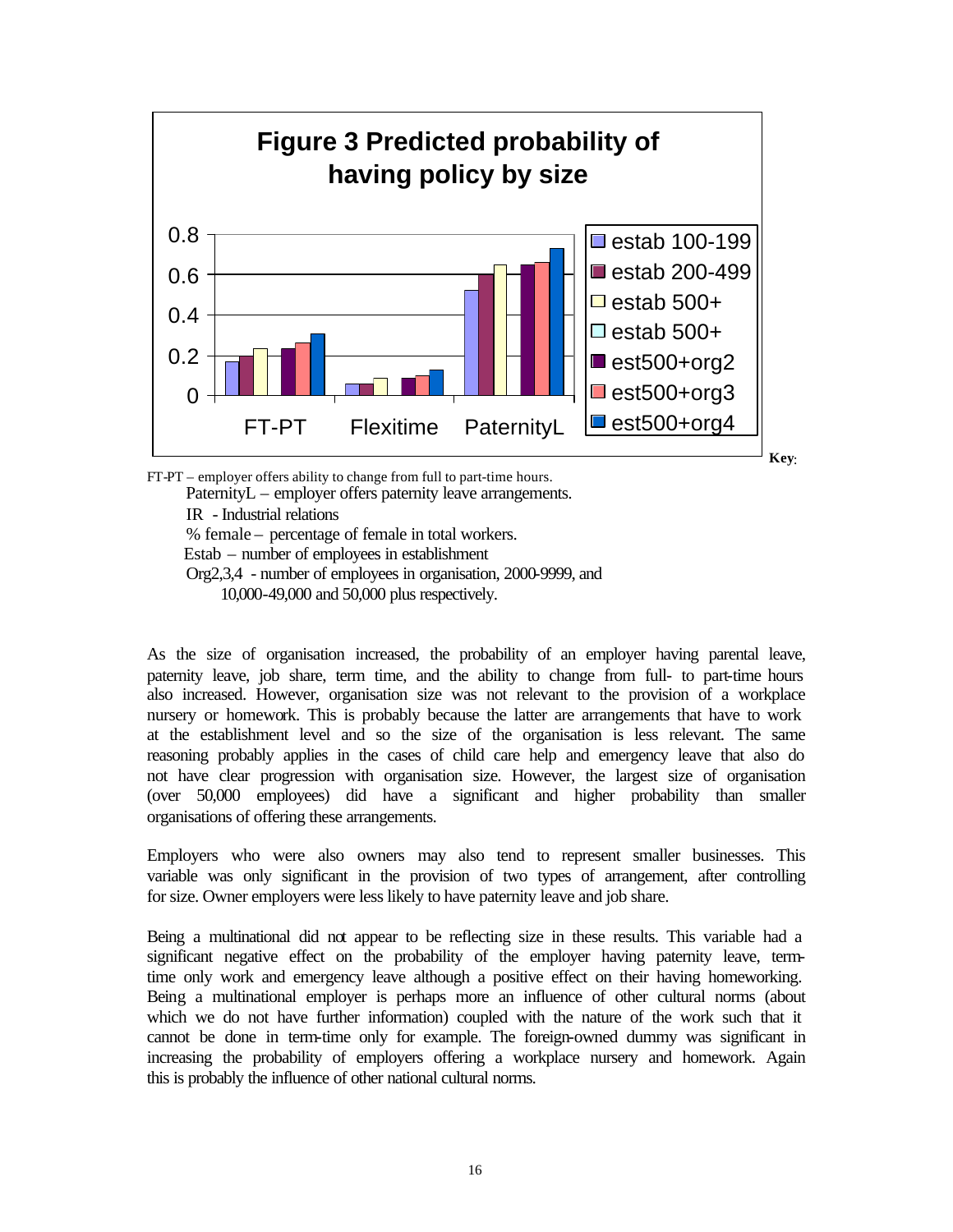

**Key**:

FT-PT – employer offers ability to change from full to part-time hours. PaternityL – employer offers paternity leave arrangements. IR - Industrial relations % female – percentage of female in total workers. Estab – number of employees in establishment Org2,3,4 - number of employees in organisation, 2000-9999, and 10,000-49,000 and 50,000 plus respectively.

As the size of organisation increased, the probability of an employer having parental leave, paternity leave, job share, term time, and the ability to change from full- to part-time hours also increased. However, organisation size was not relevant to the provision of a workplace nursery or homework. This is probably because the latter are arrangements that have to work at the establishment level and so the size of the organisation is less relevant. The same reasoning probably applies in the cases of child care help and emergency leave that also do not have clear progression with organisation size. However, the largest size of organisation (over 50,000 employees) did have a significant and higher probability than smaller organisations of offering these arrangements.

Employers who were also owners may also tend to represent smaller businesses. This variable was only significant in the provision of two types of arrangement, after controlling for size. Owner employers were less likely to have paternity leave and job share.

Being a multinational did not appear to be reflecting size in these results. This variable had a significant negative effect on the probability of the employer having paternity leave, termtime only work and emergency leave although a positive effect on their having homeworking. Being a multinational employer is perhaps more an influence of other cultural norms (about which we do not have further information) coupled with the nature of the work such that it cannot be done in term-time only for example. The foreign-owned dummy was significant in increasing the probability of employers offering a workplace nursery and homework. Again this is probably the influence of other national cultural norms.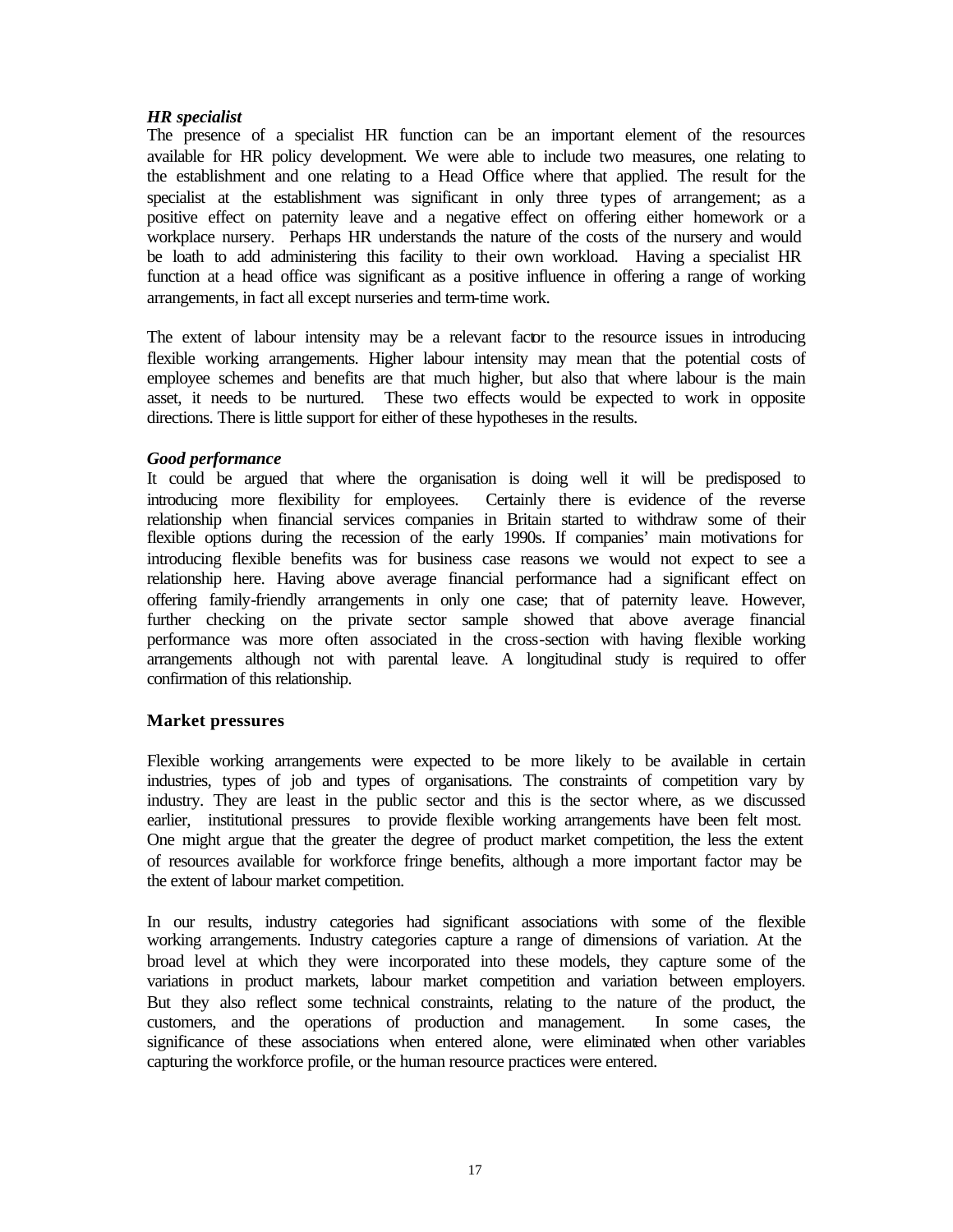## *HR specialist*

The presence of a specialist HR function can be an important element of the resources available for HR policy development. We were able to include two measures, one relating to the establishment and one relating to a Head Office where that applied. The result for the specialist at the establishment was significant in only three types of arrangement; as a positive effect on paternity leave and a negative effect on offering either homework or a workplace nursery. Perhaps HR understands the nature of the costs of the nursery and would be loath to add administering this facility to their own workload. Having a specialist HR function at a head office was significant as a positive influence in offering a range of working arrangements, in fact all except nurseries and term-time work.

The extent of labour intensity may be a relevant factor to the resource issues in introducing flexible working arrangements. Higher labour intensity may mean that the potential costs of employee schemes and benefits are that much higher, but also that where labour is the main asset, it needs to be nurtured. These two effects would be expected to work in opposite directions. There is little support for either of these hypotheses in the results.

## *Good performance*

It could be argued that where the organisation is doing well it will be predisposed to introducing more flexibility for employees. Certainly there is evidence of the reverse relationship when financial services companies in Britain started to withdraw some of their flexible options during the recession of the early 1990s. If companies' main motivations for introducing flexible benefits was for business case reasons we would not expect to see a relationship here. Having above average financial performance had a significant effect on offering family-friendly arrangements in only one case; that of paternity leave. However, further checking on the private sector sample showed that above average financial performance was more often associated in the cross-section with having flexible working arrangements although not with parental leave. A longitudinal study is required to offer confirmation of this relationship.

## **Market pressures**

Flexible working arrangements were expected to be more likely to be available in certain industries, types of job and types of organisations. The constraints of competition vary by industry. They are least in the public sector and this is the sector where, as we discussed earlier, institutional pressures to provide flexible working arrangements have been felt most. One might argue that the greater the degree of product market competition, the less the extent of resources available for workforce fringe benefits, although a more important factor may be the extent of labour market competition.

In our results, industry categories had significant associations with some of the flexible working arrangements. Industry categories capture a range of dimensions of variation. At the broad level at which they were incorporated into these models, they capture some of the variations in product markets, labour market competition and variation between employers. But they also reflect some technical constraints, relating to the nature of the product, the customers, and the operations of production and management. In some cases, the significance of these associations when entered alone, were eliminated when other variables capturing the workforce profile, or the human resource practices were entered.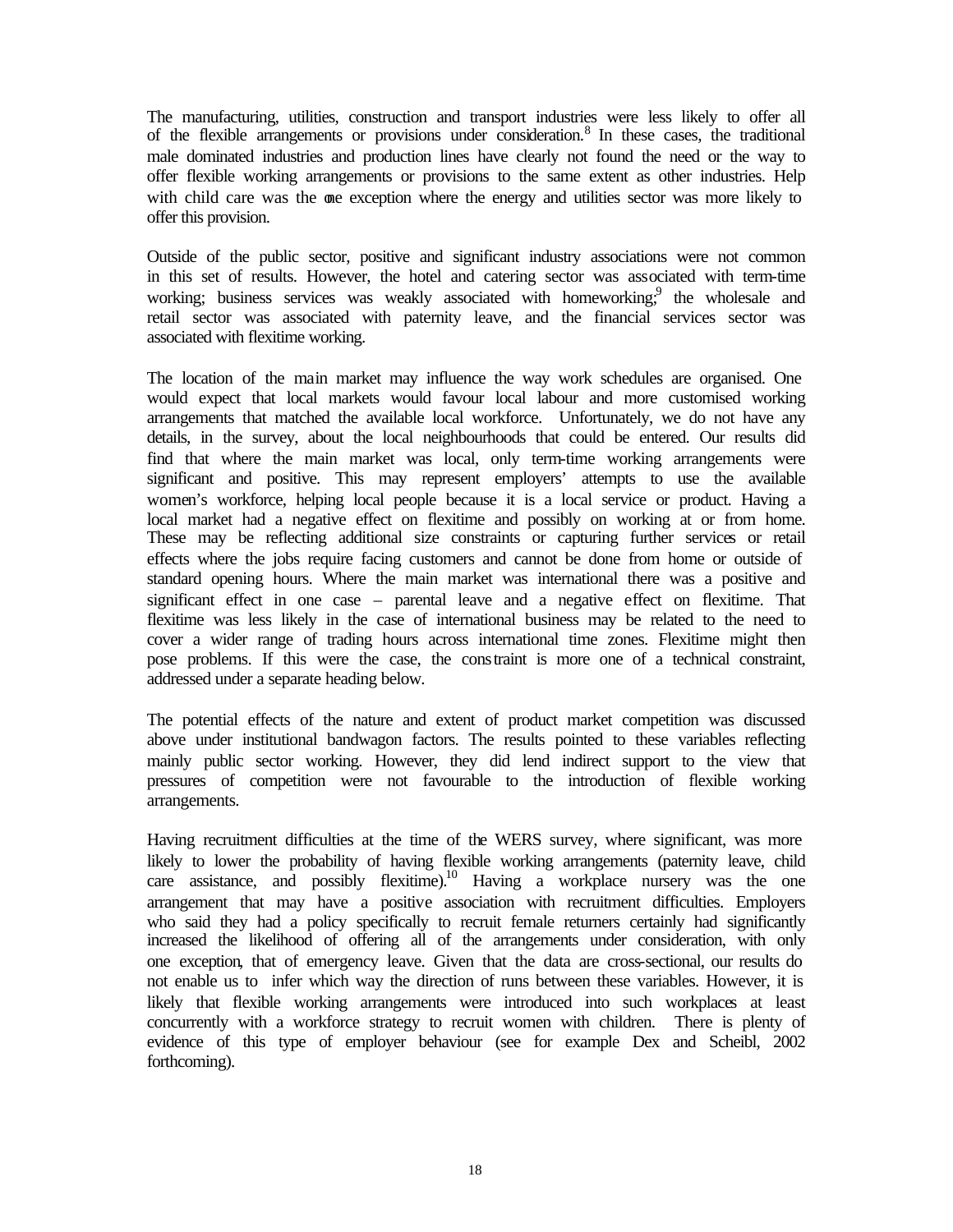The manufacturing, utilities, construction and transport industries were less likely to offer all of the flexible arrangements or provisions under consideration.<sup>8</sup> In these cases, the traditional male dominated industries and production lines have clearly not found the need or the way to offer flexible working arrangements or provisions to the same extent as other industries. Help with child care was the one exception where the energy and utilities sector was more likely to offer this provision.

Outside of the public sector, positive and significant industry associations were not common in this set of results. However, the hotel and catering sector was associated with term-time working; business services was weakly associated with homeworking; the wholesale and retail sector was associated with paternity leave, and the financial services sector was associated with flexitime working.

The location of the main market may influence the way work schedules are organised. One would expect that local markets would favour local labour and more customised working arrangements that matched the available local workforce. Unfortunately, we do not have any details, in the survey, about the local neighbourhoods that could be entered. Our results did find that where the main market was local, only term-time working arrangements were significant and positive. This may represent employers' attempts to use the available women's workforce, helping local people because it is a local service or product. Having a local market had a negative effect on flexitime and possibly on working at or from home. These may be reflecting additional size constraints or capturing further services or retail effects where the jobs require facing customers and cannot be done from home or outside of standard opening hours. Where the main market was international there was a positive and significant effect in one case – parental leave and a negative effect on flexitime. That flexitime was less likely in the case of international business may be related to the need to cover a wider range of trading hours across international time zones. Flexitime might then pose problems. If this were the case, the constraint is more one of a technical constraint, addressed under a separate heading below.

The potential effects of the nature and extent of product market competition was discussed above under institutional bandwagon factors. The results pointed to these variables reflecting mainly public sector working. However, they did lend indirect support to the view that pressures of competition were not favourable to the introduction of flexible working arrangements.

Having recruitment difficulties at the time of the WERS survey, where significant, was more likely to lower the probability of having flexible working arrangements (paternity leave, child care assistance, and possibly flexitime).<sup>10</sup> Having a workplace nursery was the one arrangement that may have a positive association with recruitment difficulties. Employers who said they had a policy specifically to recruit female returners certainly had significantly increased the likelihood of offering all of the arrangements under consideration, with only one exception, that of emergency leave. Given that the data are cross-sectional, our results do not enable us to infer which way the direction of runs between these variables. However, it is likely that flexible working arrangements were introduced into such workplaces at least concurrently with a workforce strategy to recruit women with children. There is plenty of evidence of this type of employer behaviour (see for example Dex and Scheibl, 2002 forthcoming).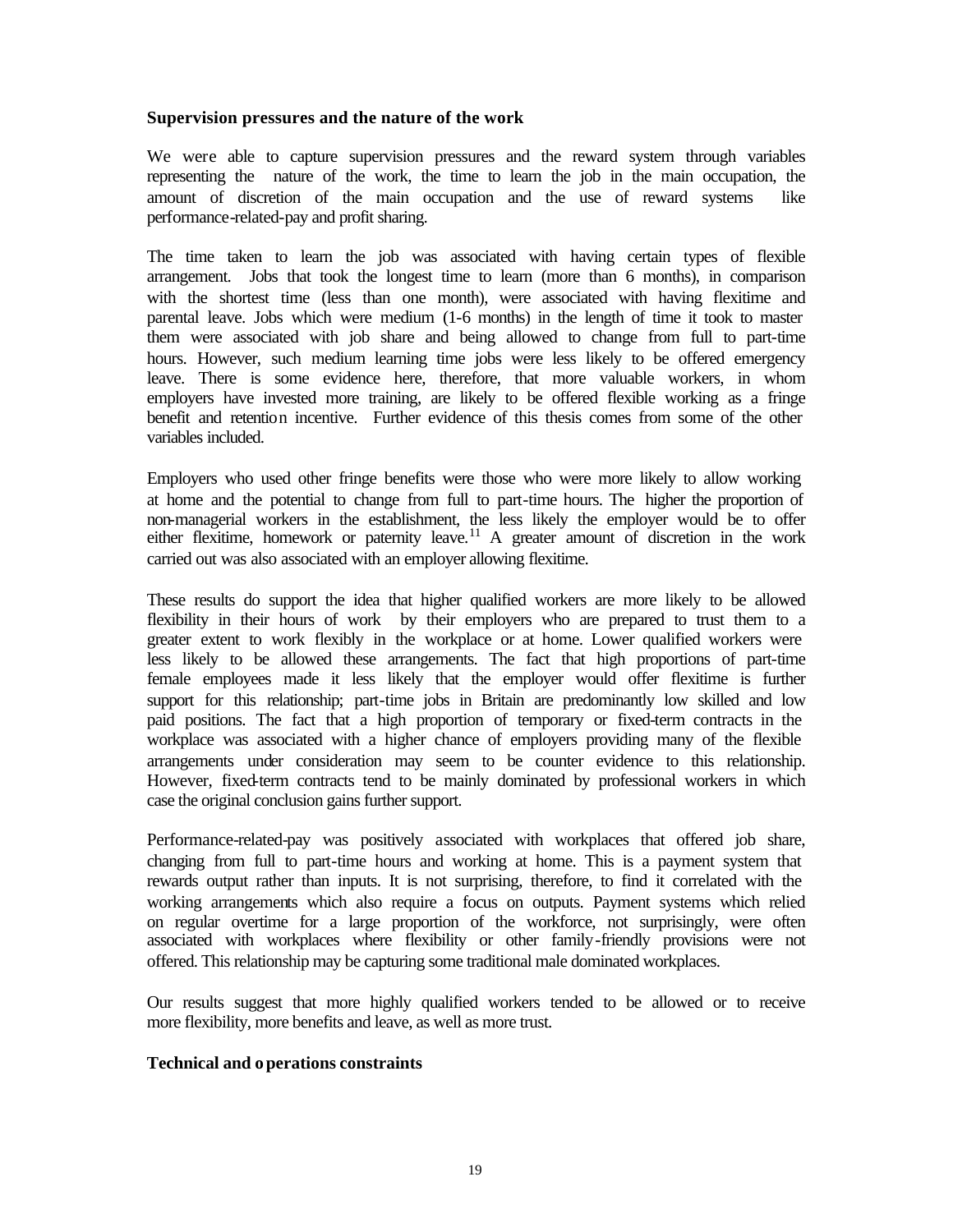#### **Supervision pressures and the nature of the work**

We were able to capture supervision pressures and the reward system through variables representing the nature of the work, the time to learn the job in the main occupation, the amount of discretion of the main occupation and the use of reward systems like performance-related-pay and profit sharing.

The time taken to learn the job was associated with having certain types of flexible arrangement. Jobs that took the longest time to learn (more than 6 months), in comparison with the shortest time (less than one month), were associated with having flexitime and parental leave. Jobs which were medium (1-6 months) in the length of time it took to master them were associated with job share and being allowed to change from full to part-time hours. However, such medium learning time jobs were less likely to be offered emergency leave. There is some evidence here, therefore, that more valuable workers, in whom employers have invested more training, are likely to be offered flexible working as a fringe benefit and retention incentive. Further evidence of this thesis comes from some of the other variables included.

Employers who used other fringe benefits were those who were more likely to allow working at home and the potential to change from full to part-time hours. The higher the proportion of non-managerial workers in the establishment, the less likely the employer would be to offer either flexitime, homework or paternity leave.<sup>11</sup> A greater amount of discretion in the work carried out was also associated with an employer allowing flexitime.

These results do support the idea that higher qualified workers are more likely to be allowed flexibility in their hours of work by their employers who are prepared to trust them to a greater extent to work flexibly in the workplace or at home. Lower qualified workers were less likely to be allowed these arrangements. The fact that high proportions of part-time female employees made it less likely that the employer would offer flexitime is further support for this relationship; part-time jobs in Britain are predominantly low skilled and low paid positions. The fact that a high proportion of temporary or fixed-term contracts in the workplace was associated with a higher chance of employers providing many of the flexible arrangements under consideration may seem to be counter evidence to this relationship. However, fixed-term contracts tend to be mainly dominated by professional workers in which case the original conclusion gains further support.

Performance-related-pay was positively associated with workplaces that offered job share, changing from full to part-time hours and working at home. This is a payment system that rewards output rather than inputs. It is not surprising, therefore, to find it correlated with the working arrangements which also require a focus on outputs. Payment systems which relied on regular overtime for a large proportion of the workforce, not surprisingly, were often associated with workplaces where flexibility or other family-friendly provisions were not offered. This relationship may be capturing some traditional male dominated workplaces.

Our results suggest that more highly qualified workers tended to be allowed or to receive more flexibility, more benefits and leave, as well as more trust.

#### **Technical and operations constraints**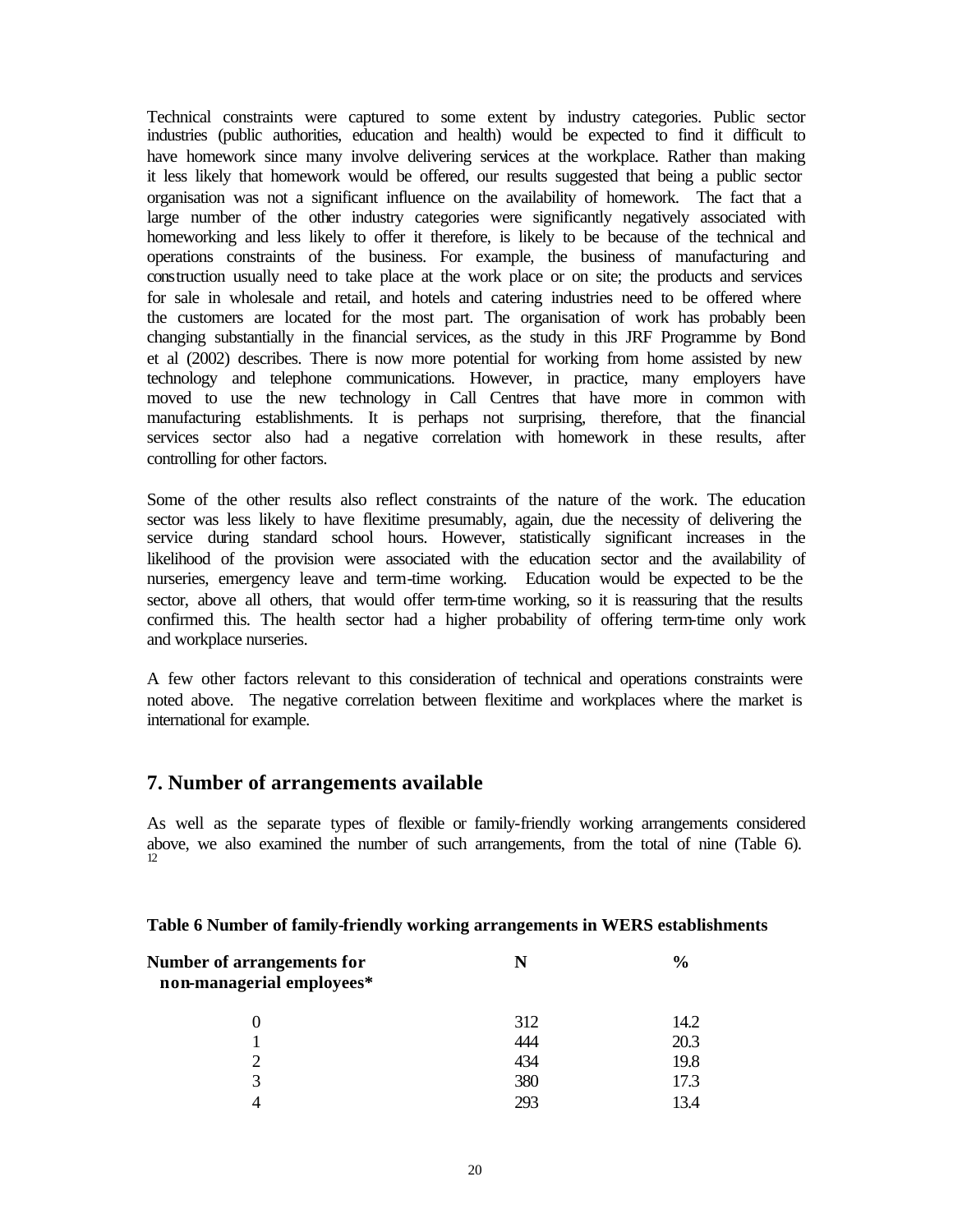Technical constraints were captured to some extent by industry categories. Public sector industries (public authorities, education and health) would be expected to find it difficult to have homework since many involve delivering services at the workplace. Rather than making it less likely that homework would be offered, our results suggested that being a public sector organisation was not a significant influence on the availability of homework. The fact that a large number of the other industry categories were significantly negatively associated with homeworking and less likely to offer it therefore, is likely to be because of the technical and operations constraints of the business. For example, the business of manufacturing and construction usually need to take place at the work place or on site; the products and services for sale in wholesale and retail, and hotels and catering industries need to be offered where the customers are located for the most part. The organisation of work has probably been changing substantially in the financial services, as the study in this JRF Programme by Bond et al (2002) describes. There is now more potential for working from home assisted by new technology and telephone communications. However, in practice, many employers have moved to use the new technology in Call Centres that have more in common with manufacturing establishments. It is perhaps not surprising, therefore, that the financial services sector also had a negative correlation with homework in these results, after controlling for other factors.

Some of the other results also reflect constraints of the nature of the work. The education sector was less likely to have flexitime presumably, again, due the necessity of delivering the service during standard school hours. However, statistically significant increases in the likelihood of the provision were associated with the education sector and the availability of nurseries, emergency leave and term-time working. Education would be expected to be the sector, above all others, that would offer term-time working, so it is reassuring that the results confirmed this. The health sector had a higher probability of offering term-time only work and workplace nurseries.

A few other factors relevant to this consideration of technical and operations constraints were noted above. The negative correlation between flexitime and workplaces where the market is international for example.

# **7. Number of arrangements available**

As well as the separate types of flexible or family-friendly working arrangements considered above, we also examined the number of such arrangements, from the total of nine (Table 6). 12

|  |  |  |  |  | Table 6 Number of family-friendly working arrangements in WERS establishments |  |  |
|--|--|--|--|--|-------------------------------------------------------------------------------|--|--|
|  |  |  |  |  |                                                                               |  |  |

| Number of arrangements for<br>non-managerial employees* |     | $\frac{6}{6}$ |
|---------------------------------------------------------|-----|---------------|
|                                                         | 312 | 14.2          |
|                                                         | 444 | 20.3          |
| ∍                                                       | 434 | 19.8          |
| 3                                                       | 380 | 17.3          |
|                                                         | 293 | 134           |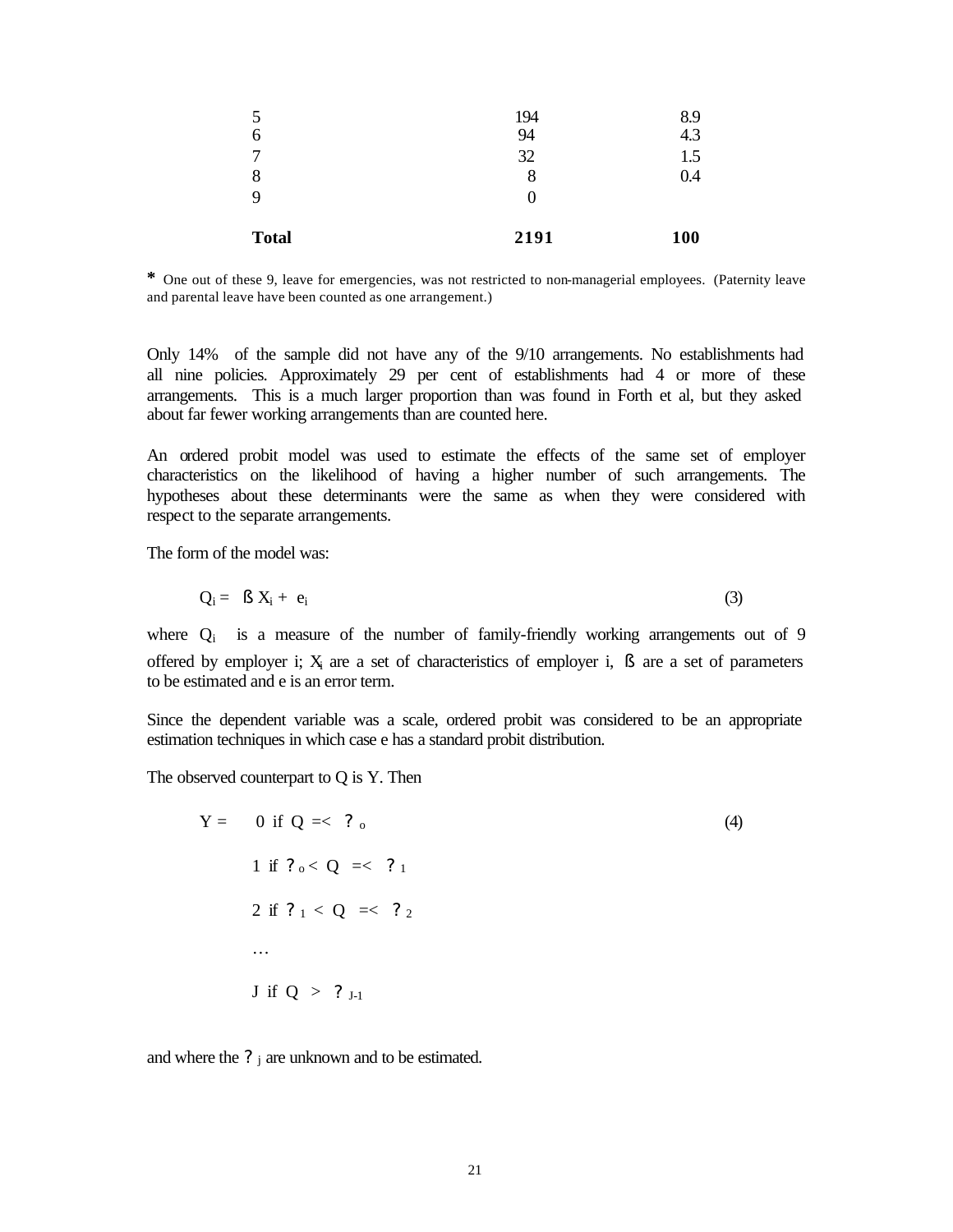| 5<br>6       | 194<br>94 | 8.9<br>4.3 |
|--------------|-----------|------------|
| 7            | 32        | 1.5        |
| 8<br>9       | 8         | 0.4        |
|              | O         |            |
| <b>Total</b> | 2191      | 100        |

**\*** One out of these 9, leave for emergencies, was not restricted to non-managerial employees. (Paternity leave and parental leave have been counted as one arrangement.)

Only 14% of the sample did not have any of the 9/10 arrangements. No establishments had all nine policies. Approximately 29 per cent of establishments had 4 or more of these arrangements. This is a much larger proportion than was found in Forth et al, but they asked about far fewer working arrangements than are counted here.

An ordered probit model was used to estimate the effects of the same set of employer characteristics on the likelihood of having a higher number of such arrangements. The hypotheses about these determinants were the same as when they were considered with respect to the separate arrangements.

The form of the model was:

$$
Q_i = \beta X_i + e_i \tag{3}
$$

where  $Q_i$  is a measure of the number of family-friendly working arrangements out of 9 offered by employer i;  $X_i$  are a set of characteristics of employer i,  $\beta$  are a set of parameters to be estimated and e is an error term.

Since the dependent variable was a scale, ordered probit was considered to be an appropriate estimation techniques in which case e has a standard probit distribution.

The observed counterpart to Q is Y. Then

$$
Y = 0 \text{ if } Q = 2, \, 0
$$
\n
$$
1 \text{ if } ?_{0} < Q = 2, \, 1
$$
\n
$$
2 \text{ if } ?_{1} < Q = 2, \, 2
$$
\n
$$
\dots
$$
\n
$$
J \text{ if } Q > ?_{J-1}
$$
\n
$$
(4)
$$

and where the  $?$  j are unknown and to be estimated.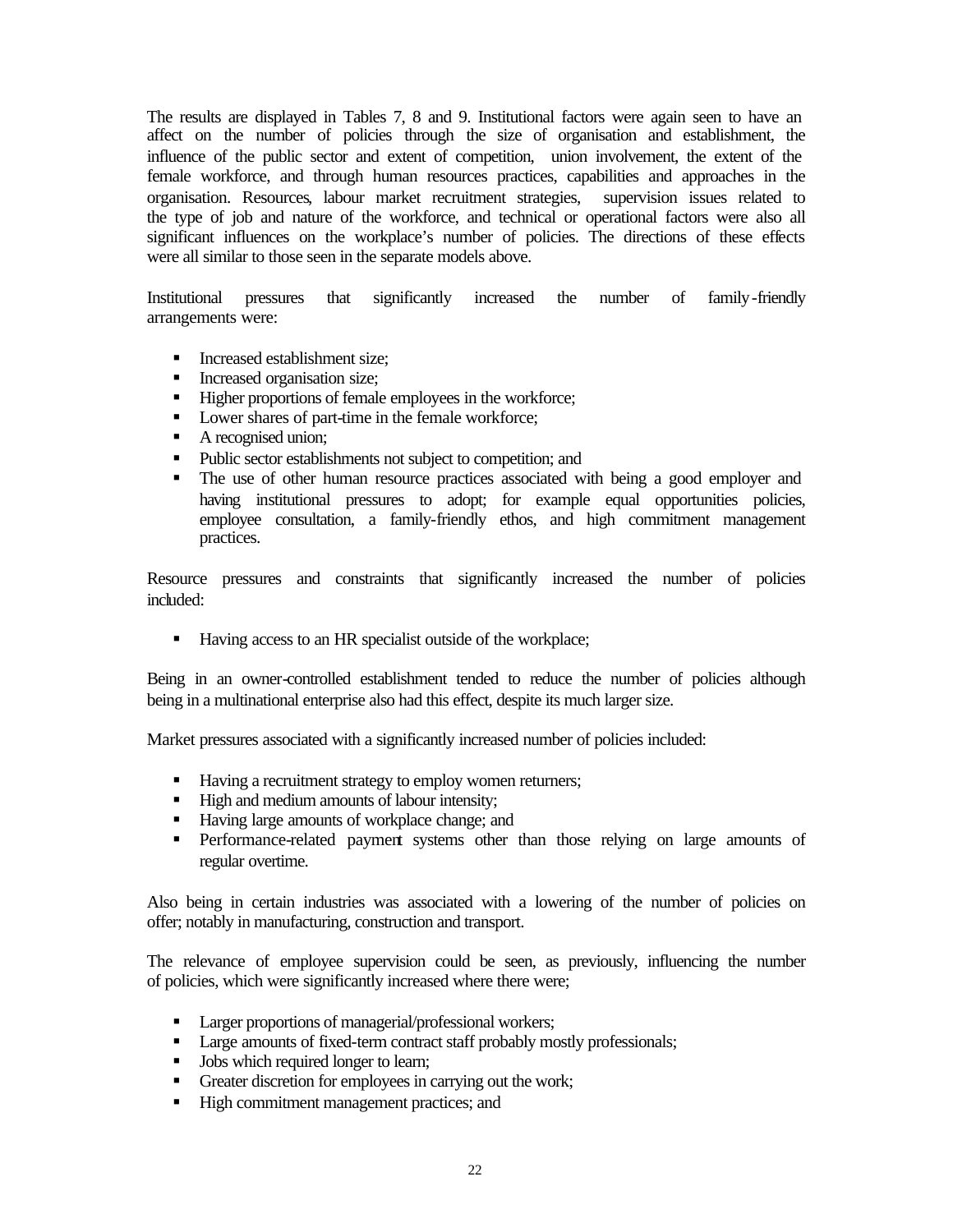The results are displayed in Tables 7, 8 and 9. Institutional factors were again seen to have an affect on the number of policies through the size of organisation and establishment, the influence of the public sector and extent of competition, union involvement, the extent of the female workforce, and through human resources practices, capabilities and approaches in the organisation. Resources, labour market recruitment strategies, supervision issues related to the type of job and nature of the workforce, and technical or operational factors were also all significant influences on the workplace's number of policies. The directions of these effects were all similar to those seen in the separate models above.

Institutional pressures that significantly increased the number of family-friendly arrangements were:

- ß Increased establishment size;
- ß Increased organisation size;
- Higher proportions of female employees in the workforce;
- Lower shares of part-time in the female workforce;
- $\blacksquare$  A recognised union;
- Public sector establishments not subject to competition; and
- The use of other human resource practices associated with being a good employer and having institutional pressures to adopt; for example equal opportunities policies, employee consultation, a family-friendly ethos, and high commitment management practices.

Resource pressures and constraints that significantly increased the number of policies included:

■ Having access to an HR specialist outside of the workplace;

Being in an owner-controlled establishment tended to reduce the number of policies although being in a multinational enterprise also had this effect, despite its much larger size.

Market pressures associated with a significantly increased number of policies included:

- Having a recruitment strategy to employ women returners;
- High and medium amounts of labour intensity;
- Having large amounts of workplace change; and
- ß Performance-related payment systems other than those relying on large amounts of regular overtime.

Also being in certain industries was associated with a lowering of the number of policies on offer; notably in manufacturing, construction and transport.

The relevance of employee supervision could be seen, as previously, influencing the number of policies, which were significantly increased where there were;

- **Larger proportions of managerial/professional workers;**
- **Large amounts of fixed-term contract staff probably mostly professionals;**
- **Jobs** which required longer to learn;
- **•** Greater discretion for employees in carrying out the work;
- **High commitment management practices; and**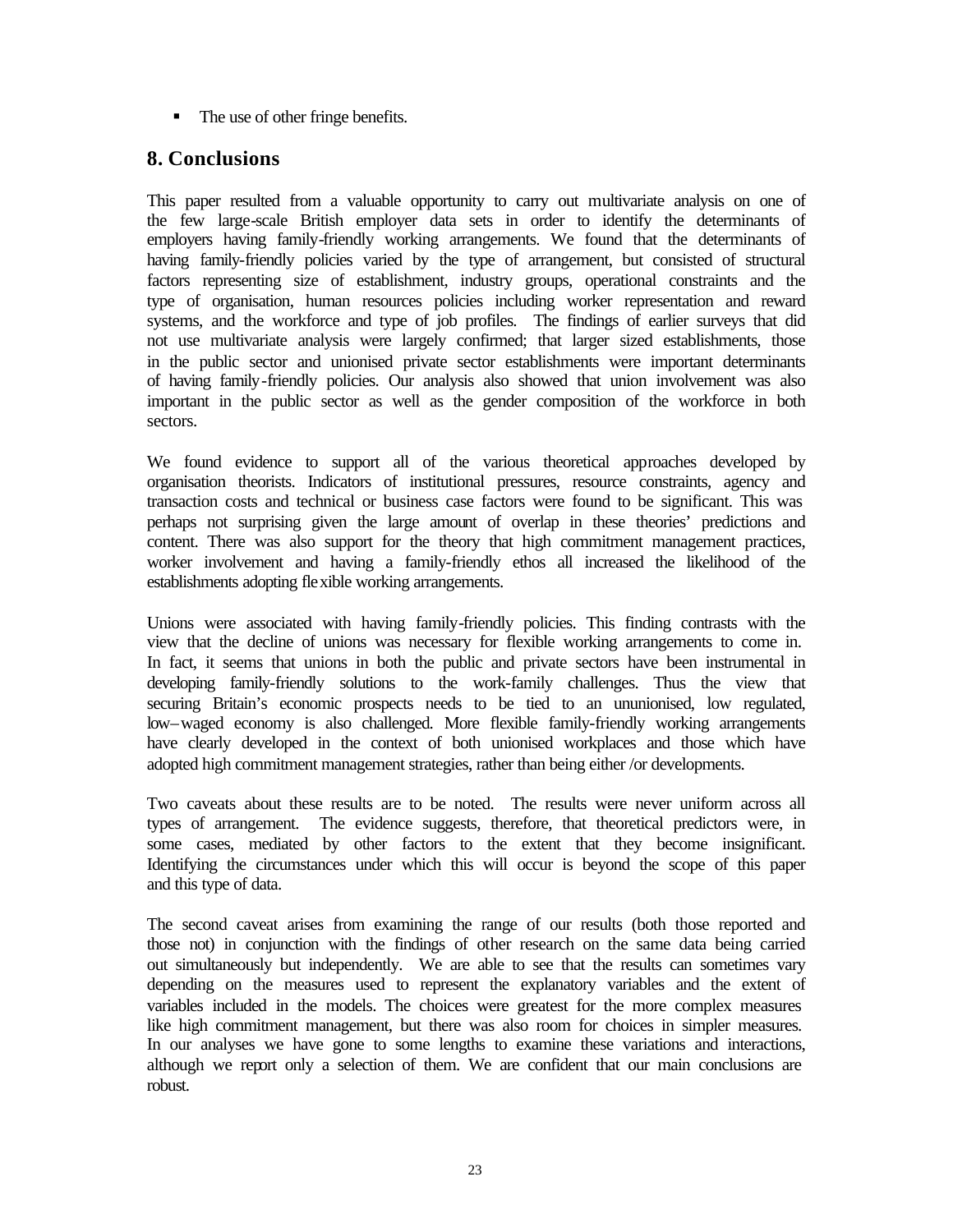• The use of other fringe benefits.

# **8. Conclusions**

This paper resulted from a valuable opportunity to carry out multivariate analysis on one of the few large-scale British employer data sets in order to identify the determinants of employers having family-friendly working arrangements. We found that the determinants of having family-friendly policies varied by the type of arrangement, but consisted of structural factors representing size of establishment, industry groups, operational constraints and the type of organisation, human resources policies including worker representation and reward systems, and the workforce and type of job profiles. The findings of earlier surveys that did not use multivariate analysis were largely confirmed; that larger sized establishments, those in the public sector and unionised private sector establishments were important determinants of having family-friendly policies. Our analysis also showed that union involvement was also important in the public sector as well as the gender composition of the workforce in both sectors.

We found evidence to support all of the various theoretical approaches developed by organisation theorists. Indicators of institutional pressures, resource constraints, agency and transaction costs and technical or business case factors were found to be significant. This was perhaps not surprising given the large amount of overlap in these theories' predictions and content. There was also support for the theory that high commitment management practices, worker involvement and having a family-friendly ethos all increased the likelihood of the establishments adopting flexible working arrangements.

Unions were associated with having family-friendly policies. This finding contrasts with the view that the decline of unions was necessary for flexible working arrangements to come in. In fact, it seems that unions in both the public and private sectors have been instrumental in developing family-friendly solutions to the work-family challenges. Thus the view that securing Britain's economic prospects needs to be tied to an ununionised, low regulated, low–waged economy is also challenged. More flexible family-friendly working arrangements have clearly developed in the context of both unionised workplaces and those which have adopted high commitment management strategies, rather than being either /or developments.

Two caveats about these results are to be noted. The results were never uniform across all types of arrangement. The evidence suggests, therefore, that theoretical predictors were, in some cases, mediated by other factors to the extent that they become insignificant. Identifying the circumstances under which this will occur is beyond the scope of this paper and this type of data.

The second caveat arises from examining the range of our results (both those reported and those not) in conjunction with the findings of other research on the same data being carried out simultaneously but independently. We are able to see that the results can sometimes vary depending on the measures used to represent the explanatory variables and the extent of variables included in the models. The choices were greatest for the more complex measures like high commitment management, but there was also room for choices in simpler measures. In our analyses we have gone to some lengths to examine these variations and interactions, although we report only a selection of them. We are confident that our main conclusions are robust.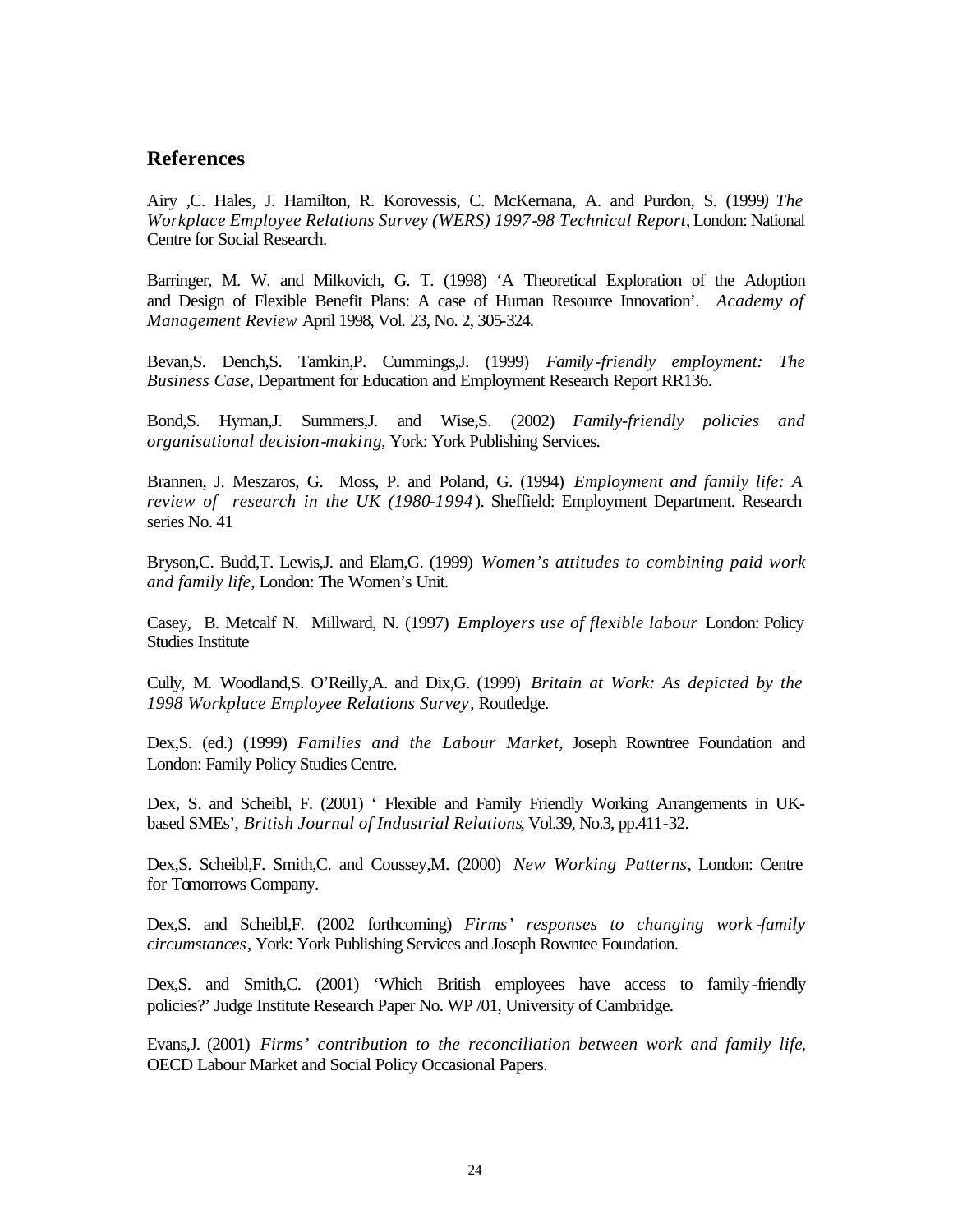## **References**

Airy ,C. Hales, J. Hamilton, R. Korovessis, C. McKernana, A. and Purdon, S. (1999*) The Workplace Employee Relations Survey (WERS) 1997-98 Technical Report*, London: National Centre for Social Research.

Barringer, M. W. and Milkovich, G. T. (1998) 'A Theoretical Exploration of the Adoption and Design of Flexible Benefit Plans: A case of Human Resource Innovation'. *Academy of Management Review* April 1998, Vol. 23, No. 2, 305-324.

Bevan,S. Dench,S. Tamkin,P. Cummings,J. (1999) *Family-friendly employment: The Business Case*, Department for Education and Employment Research Report RR136.

Bond,S. Hyman,J. Summers,J. and Wise,S. (2002) *Family-friendly policies and organisational decision-making*, York: York Publishing Services.

Brannen, J. Meszaros, G. Moss, P. and Poland, G. (1994) *Employment and family life: A review of research in the UK (1980-1994*). Sheffield: Employment Department. Research series No. 41

Bryson,C. Budd,T. Lewis,J. and Elam,G. (1999) *Women's attitudes to combining paid work and family life*, London: The Women's Unit.

Casey, B. Metcalf N. Millward, N. (1997) *Employers use of flexible labour* London: Policy Studies Institute

Cully, M. Woodland,S. O'Reilly,A. and Dix,G. (1999) *Britain at Work: As depicted by the 1998 Workplace Employee Relations Survey*, Routledge.

Dex,S. (ed.) (1999) *Families and the Labour Market*, Joseph Rowntree Foundation and London: Family Policy Studies Centre.

Dex, S. and Scheibl, F. (2001) ' Flexible and Family Friendly Working Arrangements in UKbased SMEs', *British Journal of Industrial Relations*, Vol.39, No.3, pp.411-32.

Dex,S. Scheibl,F. Smith,C. and Coussey,M. (2000) *New Working Patterns*, London: Centre for Tomorrows Company.

Dex,S. and Scheibl,F. (2002 forthcoming) *Firms' responses to changing work -family circumstances*, York: York Publishing Services and Joseph Rowntee Foundation.

Dex,S. and Smith,C. (2001) 'Which British employees have access to family-friendly policies?' Judge Institute Research Paper No. WP /01, University of Cambridge.

Evans,J. (2001) *Firms' contribution to the reconciliation between work and family life*, OECD Labour Market and Social Policy Occasional Papers.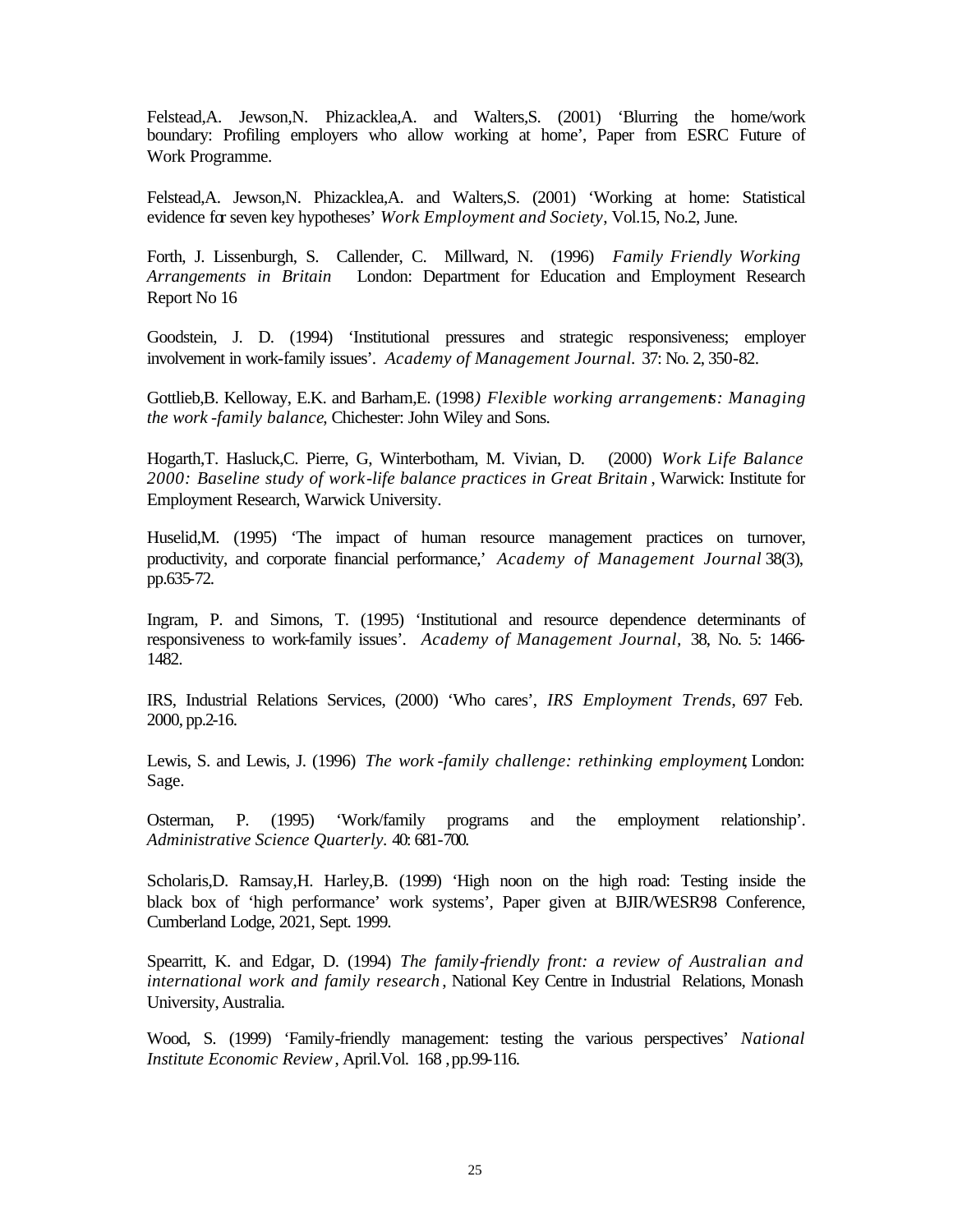Felstead,A. Jewson,N. Phizacklea,A. and Walters,S. (2001) 'Blurring the home/work boundary: Profiling employers who allow working at home', Paper from ESRC Future of Work Programme.

Felstead,A. Jewson,N. Phizacklea,A. and Walters,S. (2001) 'Working at home: Statistical evidence for seven key hypotheses' *Work Employment and Society*, Vol.15, No.2, June.

Forth, J. Lissenburgh, S. Callender, C. Millward, N. (1996) *Family Friendly Working Arrangements in Britain* London: Department for Education and Employment Research Report No 16

Goodstein, J. D. (1994) 'Institutional pressures and strategic responsiveness; employer involvement in work-family issues'. *Academy of Management Journal.* 37: No. 2, 350-82.

Gottlieb,B. Kelloway, E.K. and Barham,E. (1998*) Flexible working arrangements: Managing the work -family balance*, Chichester: John Wiley and Sons.

Hogarth,T. Hasluck,C. Pierre, G, Winterbotham, M. Vivian, D. (2000) *Work Life Balance 2000: Baseline study of work-life balance practices in Great Britain* , Warwick: Institute for Employment Research, Warwick University.

Huselid,M. (1995) 'The impact of human resource management practices on turnover, productivity, and corporate financial performance,' *Academy of Management Journal* 38(3), pp.635-72.

Ingram, P. and Simons, T. (1995) 'Institutional and resource dependence determinants of responsiveness to work-family issues'. *Academy of Management Journal,* 38, No. 5: 1466- 1482.

IRS, Industrial Relations Services, (2000) 'Who cares', *IRS Employment Trends*, 697 Feb. 2000, pp.2-16.

Lewis, S. and Lewis, J. (1996) *The work -family challenge: rethinking employment*, London: Sage.

Osterman, P. (1995) 'Work/family programs and the employment relationship'. *Administrative Science Quarterly.* 40: 681-700.

Scholaris,D. Ramsay,H. Harley,B. (1999) 'High noon on the high road: Testing inside the black box of 'high performance' work systems', Paper given at BJIR/WESR98 Conference, Cumberland Lodge, 2021, Sept. 1999.

Spearritt, K. and Edgar, D. (1994) *The family-friendly front: a review of Australian and international work and family research* , National Key Centre in Industrial Relations, Monash University, Australia.

Wood, S. (1999) 'Family-friendly management: testing the various perspectives' *National Institute Economic Review*, April.Vol. 168 , pp.99-116.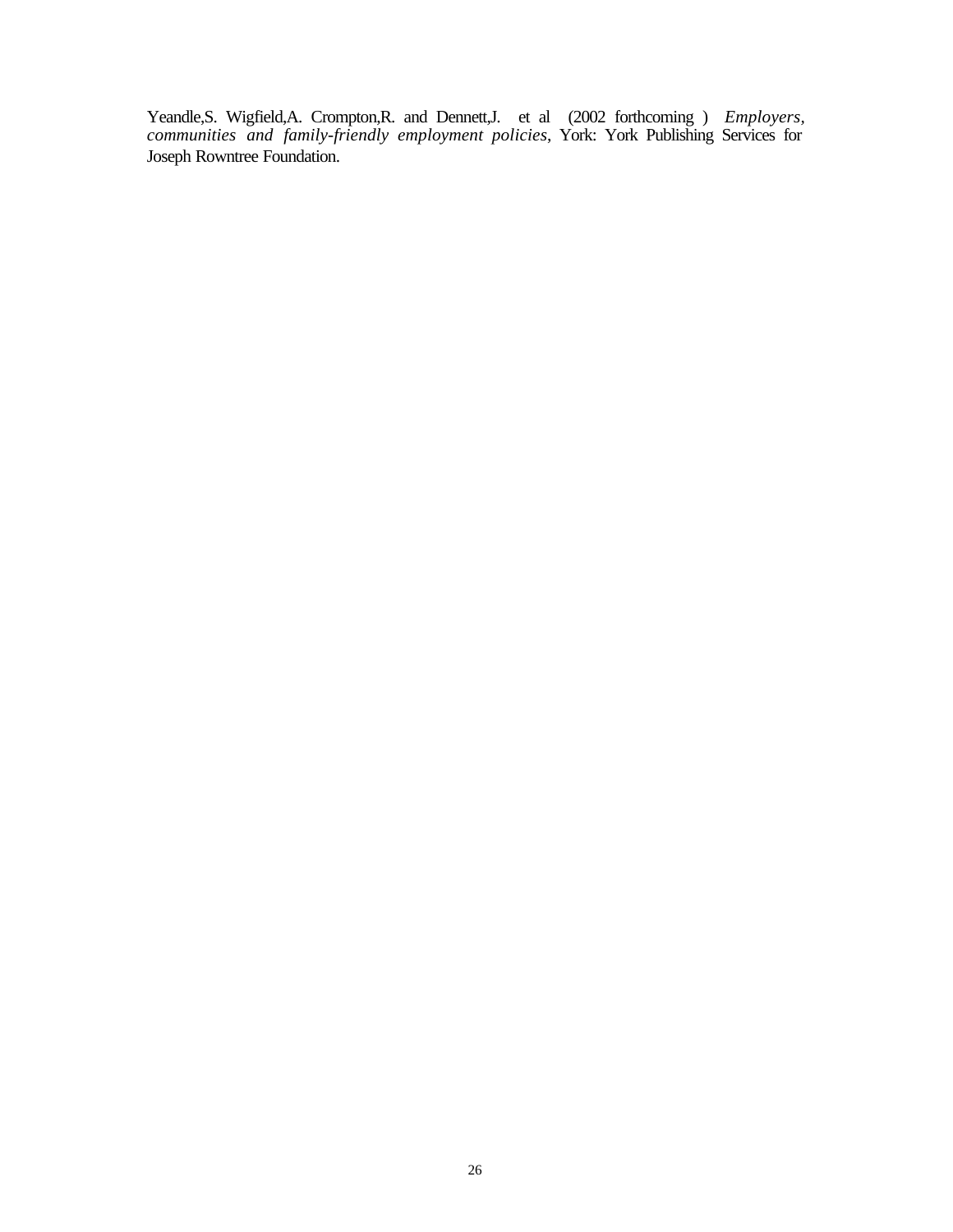Yeandle,S. Wigfield,A. Crompton,R. and Dennett,J. et al (2002 forthcoming ) *Employers, communities and family-friendly employment policies*, York: York Publishing Services for Joseph Rowntree Foundation.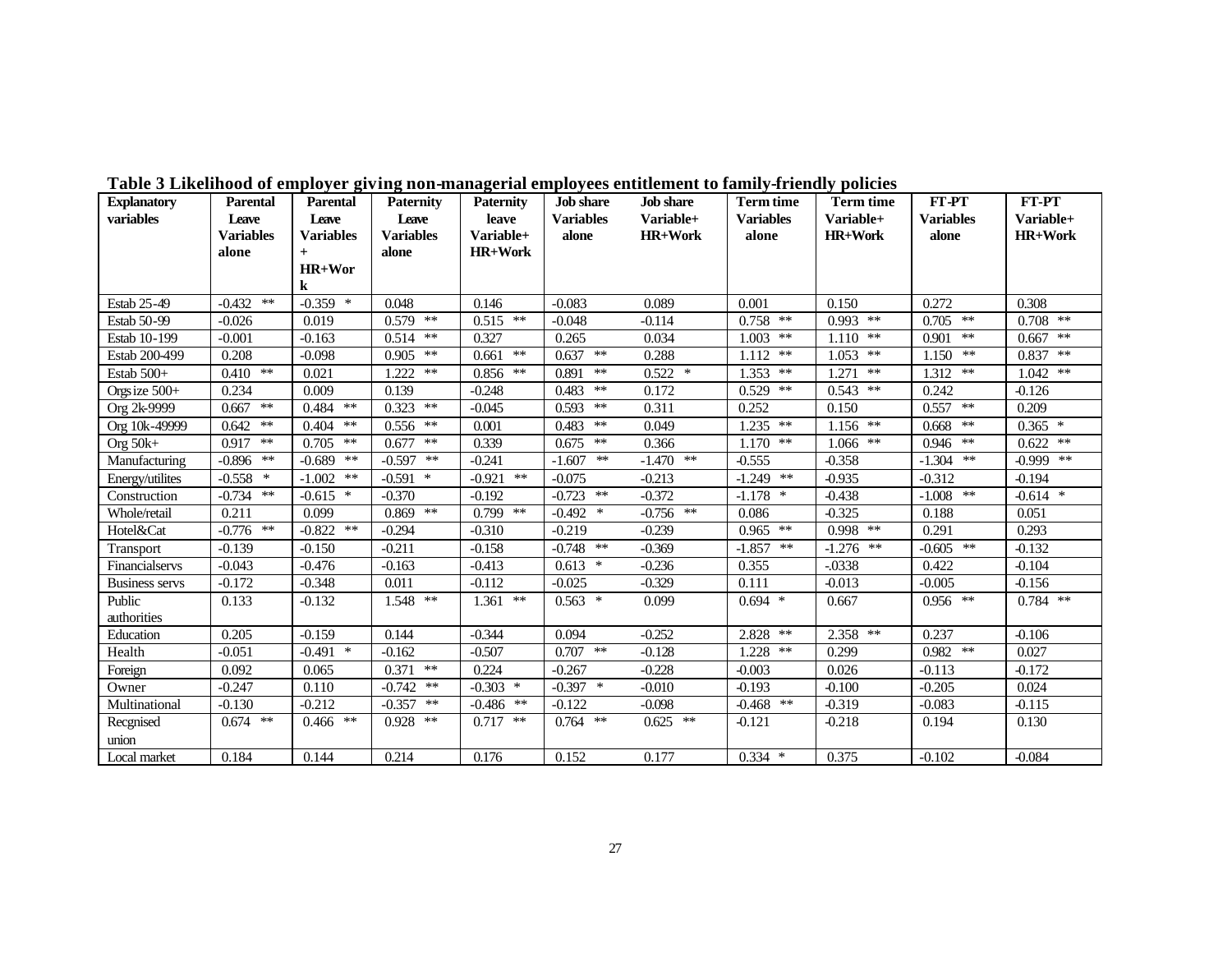| <b>Explanatory</b>    | <b>Parental</b>  | <b>Parental</b>  | <b>Paternity</b> | <b>Paternity</b>  | <b>Job</b> share | <b>Job</b> share | <b>Term time</b> | <b>Term time</b> | FT-PT            | FT-PT          |
|-----------------------|------------------|------------------|------------------|-------------------|------------------|------------------|------------------|------------------|------------------|----------------|
| variables             | Leave            | Leave            | Leave            | leave             | <b>Variables</b> | Variable+        | <b>Variables</b> | Variable+        | <b>Variables</b> | Variable+      |
|                       | <b>Variables</b> | <b>Variables</b> | <b>Variables</b> | Variable+         | alone            | <b>HR+Work</b>   | alone            | <b>HR+Work</b>   | alone            | <b>HR+Work</b> |
|                       | alone            | $+$              | alone            | <b>HR+Work</b>    |                  |                  |                  |                  |                  |                |
|                       |                  | HR+Wor           |                  |                   |                  |                  |                  |                  |                  |                |
|                       |                  | k                |                  |                   |                  |                  |                  |                  |                  |                |
| Estab 25-49           | $**$<br>$-0.432$ | $-0.359$ *       | 0.048            | 0.146             | $-0.083$         | 0.089            | 0.001            | 0.150            | 0.272            | 0.308          |
| Estab 50-99           | $-0.026$         | 0.019            | $0.579$ **       | $0.515$ **        | $-0.048$         | $-0.114$         | $0.758$ **       | $0.993$ **       | $0.705$ **       | $0.708$ **     |
| Estab 10-199          | $-0.001$         | $-0.163$         | $0.514$ **       | 0.327             | 0.265            | 0.034            | 1.003<br>$***$   | $1.110$ **       | **<br>0.901      | $0.667$ **     |
| Estab 200-499         | 0.208            | $-0.098$         | $0.905$ **       | $**$<br>0.661     | **<br>0.637      | 0.288            | **<br>1.112      | $1.053$ **       | $1.150$ **       | $0.837$ **     |
| Estab 500+            | $0.410$ **       | 0.021            | $1.222$ **       | $0.856$ **        | 0.891<br>$**$    | $0.522$ *        | **<br>1.353      | $1.271$ **       | $1.312$ **       | $1.042$ **     |
| Orgs ize $500+$       | 0.234            | 0.009            | 0.139            | $-0.248$          | **<br>0.483      | 0.172            | 0.529<br>**      | $0.543$ **       | 0.242            | $-0.126$       |
| Org 2k-9999           | $0.667$ **       | $0.484$ **       | $0.323$ **       | $-0.045$          | $**$<br>0.593    | 0.311            | 0.252            | 0.150            | $0.557$ **       | 0.209          |
| Org 10k-49999         | **<br>0.642      | $0.404$ **       | $0.556$ **       | 0.001             | **<br>0.483      | 0.049            | $***$<br>1.235   | $1.156$ **       | **<br>0.668      | $0.365*$       |
| Org $50k+$            | $0.917$ **       | $0.705$ **       | $0.677$ **       | 0.339             | $**$<br>0.675    | 0.366            | $1.170$ **       | $1.066$ **       | $0.946$ **       | $0.622$ **     |
| Manufacturing         | $-0.896$ **      | $-0.689$ **      | $-0.597$ **      | $-0.241$          | $-1.607$ **      | $-1.470$ **      | $-0.555$         | $-0.358$         | $-1.304$ **      | $-0.999$ **    |
| Energy/utilites       | $-0.558$ *       | $-1.002$ **      | $-0.591$ *       | $***$<br>$-0.921$ | $-0.075$         | $-0.213$         | $-1.249$ **      | $-0.935$         | $-0.312$         | $-0.194$       |
| Construction          | $-0.734$ **      | $-0.615$ *       | $-0.370$         | $-0.192$          | $-0.723$ **      | $-0.372$         | $-1.178$ *       | $-0.438$         | $-1.008$ **      | $-0.614$ *     |
| Whole/retail          | 0.211            | 0.099            | $0.869$ **       | $0.799$ **        | $-0.492$ *       | $-0.756$ **      | 0.086            | $-0.325$         | 0.188            | 0.051          |
| Hotel&Cat             | $-0.776$ **      | $-0.822$ **      | $-0.294$         | $-0.310$          | $-0.219$         | $-0.239$         | $0.965$ **       | $0.998$ **       | 0.291            | 0.293          |
| Transport             | $-0.139$         | $-0.150$         | $-0.211$         | $-0.158$          | $-0.748$ **      | $-0.369$         | **<br>$-1.857$   | $-1.276$ **      | $-0.605$ **      | $-0.132$       |
| Financialservs        | $-0.043$         | $-0.476$         | $-0.163$         | $-0.413$          | $0.613$ *        | $-0.236$         | 0.355            | $-0.0338$        | 0.422            | $-0.104$       |
| <b>Business servs</b> | $-0.172$         | $-0.348$         | 0.011            | $-0.112$          | $-0.025$         | $-0.329$         | 0.111            | $-0.013$         | $-0.005$         | $-0.156$       |
| Public                | 0.133            | $-0.132$         | 1.548 **         | **<br>1.361       | $0.563$ *        | 0.099            | $0.694$ *        | 0.667            | 0.956 **         | $0.784$ **     |
| authorities           |                  |                  |                  |                   |                  |                  |                  |                  |                  |                |
| Education             | 0.205            | $-0.159$         | 0.144            | $-0.344$          | 0.094            | $-0.252$         | 2.828<br>**      | $2.358$ **       | 0.237            | $-0.106$       |
| Health                | $-0.051$         | $-0.491$ *       | $-0.162$         | $-0.507$          | $0.707$ **       | $-0.128$         | $***$<br>1.228   | 0.299            | $0.982$ **       | 0.027          |
| Foreign               | 0.092            | 0.065            | $0.371$ **       | 0.224             | $-0.267$         | $-0.228$         | $-0.003$         | 0.026            | $-0.113$         | $-0.172$       |
| Owner                 | $-0.247$         | 0.110            | $-0.742$ **      | $-0.303$ *        | $-0.397$ *       | $-0.010$         | $-0.193$         | $-0.100$         | $-0.205$         | 0.024          |
| Multinational         | $-0.130$         | $-0.212$         | $-0.357$ **      | $-0.486$ **       | $-0.122$         | $-0.098$         | $-0.468$ **      | $-0.319$         | $-0.083$         | $-0.115$       |
| Recgnised             | $0.674$ **       | $0.466$ **       | $0.928$ **       | $0.717$ **        | $0.764$ **       | $0.625$ **       | $-0.121$         | $-0.218$         | 0.194            | 0.130          |
| union                 |                  |                  |                  |                   |                  |                  |                  |                  |                  |                |
| Local market          | 0.184            | 0.144            | 0.214            | 0.176             | 0.152            | 0.177            | $0.334$ *        | 0.375            | $-0.102$         | $-0.084$       |

**Table 3 Likelihood of employer giving non-managerial employees entitlement to family-friendly policies**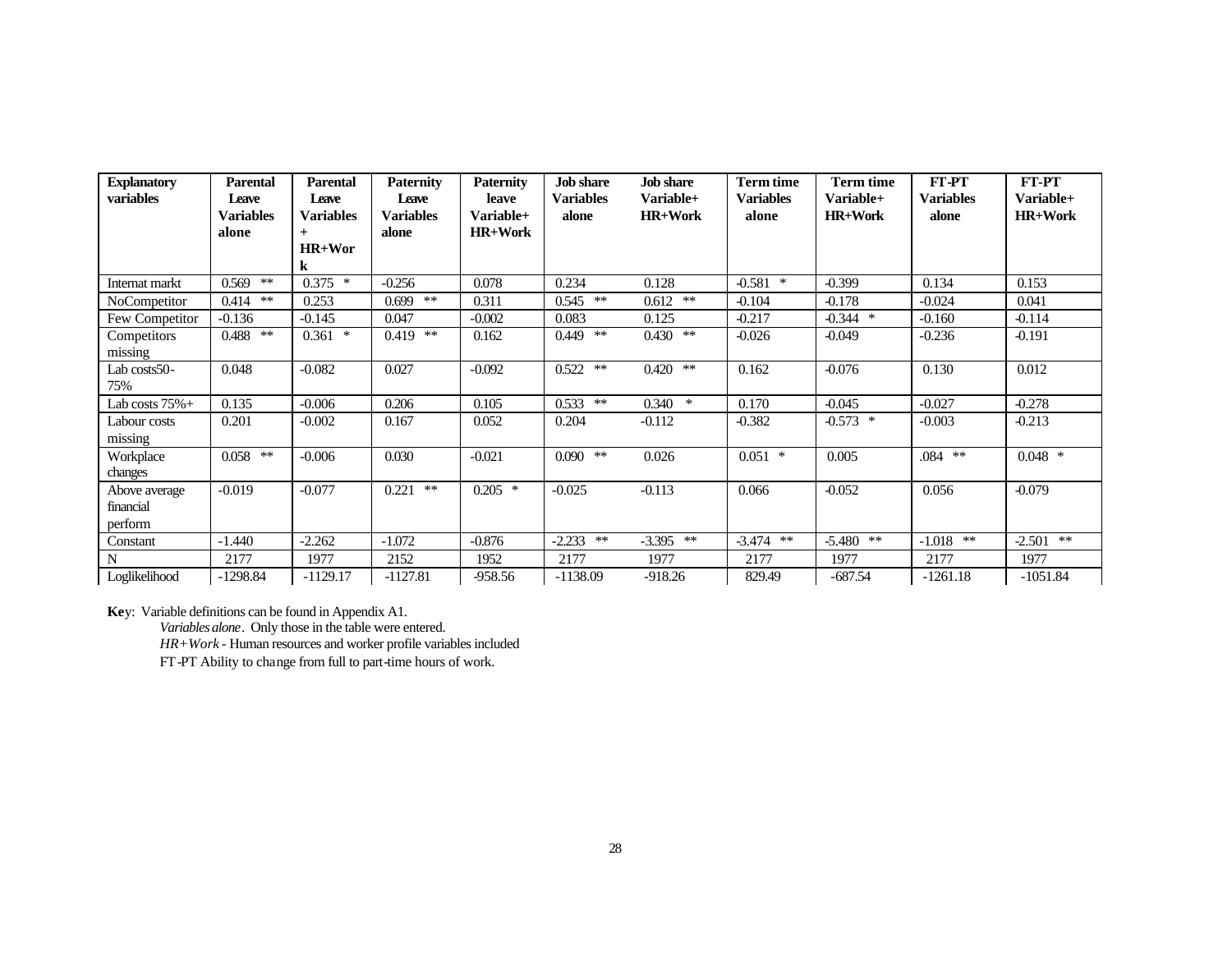| <b>Explanatory</b>                    | <b>Parental</b>                    | Parental                         | <b>Paternity</b>                   | <b>Paternity</b>                     | <b>Job</b> share          | <b>Job</b> share            | <b>Term time</b>          | <b>Term time</b>                   | FT-PT              | FT-PT                       |
|---------------------------------------|------------------------------------|----------------------------------|------------------------------------|--------------------------------------|---------------------------|-----------------------------|---------------------------|------------------------------------|--------------------|-----------------------------|
| variables                             | Leave<br><b>Variables</b><br>alone | Leave<br><b>Variables</b><br>$+$ | Leave<br><b>Variables</b><br>alone | leave<br>Variable+<br><b>HR+Work</b> | <b>Variables</b><br>alone | Variable+<br><b>HR+Work</b> | <b>Variables</b><br>alone | <b>Variable+</b><br><b>HR+Work</b> | Variables<br>alone | Variable+<br><b>HR+Work</b> |
|                                       |                                    | $HR+Wor$<br>$\bf k$              |                                    |                                      |                           |                             |                           |                                    |                    |                             |
| Internat markt                        | **<br>0.569                        | $0.375$ *                        | $-0.256$                           | 0.078                                | 0.234                     | 0.128                       | $-0.581$<br>$\ast$        | $-0.399$                           | 0.134              | 0.153                       |
| NoCompetitor                          | $0.414$ **                         | 0.253                            | $0.699$ **                         | 0.311                                | $0.545$ **                | $0.612$ **                  | $-0.104$                  | $-0.178$                           | $-0.024$           | 0.041                       |
| Few Competitor                        | $-0.136$                           | $-0.145$                         | 0.047                              | $-0.002$                             | 0.083                     | 0.125                       | $-0.217$                  | $-0.344$ *                         | $-0.160$           | $-0.114$                    |
| Competitors<br>missing                | $0.488$ **                         | $0.361$ *                        | $0.419$ **                         | 0.162                                | $0.449$ **                | $0.430$ **                  | $-0.026$                  | $-0.049$                           | $-0.236$           | $-0.191$                    |
| Lab costs50-<br>75%                   | 0.048                              | $-0.082$                         | 0.027                              | $-0.092$                             | $0.522$ **                | $0.420$ **                  | 0.162                     | $-0.076$                           | 0.130              | 0.012                       |
| Lab costs $75%+$                      | 0.135                              | $-0.006$                         | 0.206                              | 0.105                                | $0.533$ **                | $0.340*$                    | 0.170                     | $-0.045$                           | $-0.027$           | $-0.278$                    |
| Labour costs<br>missing               | 0.201                              | $-0.002$                         | 0.167                              | 0.052                                | 0.204                     | $-0.112$                    | $-0.382$                  | $-0.573$ *                         | $-0.003$           | $-0.213$                    |
| Workplace<br>changes                  | $0.058$ **                         | $-0.006$                         | 0.030                              | $-0.021$                             | $0.090$ **                | 0.026                       | $0.051$ *                 | 0.005                              | $.084$ **          | $0.048$ *                   |
| Above average<br>financial<br>perform | $-0.019$                           | $-0.077$                         | 0.221<br>**                        | $0.205$ *                            | $-0.025$                  | $-0.113$                    | 0.066                     | $-0.052$                           | 0.056              | $-0.079$                    |
| Constant                              | $-1.440$                           | $-2.262$                         | $-1.072$                           | $-0.876$                             | $-2.233$ **               | $-3.395$ **                 | $-3.474$ **               | $-5.480$ **                        | **<br>$-1.018$     | $-2.501$ **                 |
| N                                     | 2177                               | 1977                             | 2152                               | 1952                                 | 2177                      | 1977                        | 2177                      | 1977                               | 2177               | 1977                        |
| Loglikelihood                         | $-1298.84$                         | $-1129.17$                       | $-1127.81$                         | -958.56                              | $-1138.09$                | $-918.26$                   | 829.49                    | $-687.54$                          | $-1261.18$         | $-1051.84$                  |

**Ke**y: Variable definitions can be found in Appendix A1.

*Variables alone*. Only those in the table were entered.

*HR+Work* - Human resources and worker profile variables included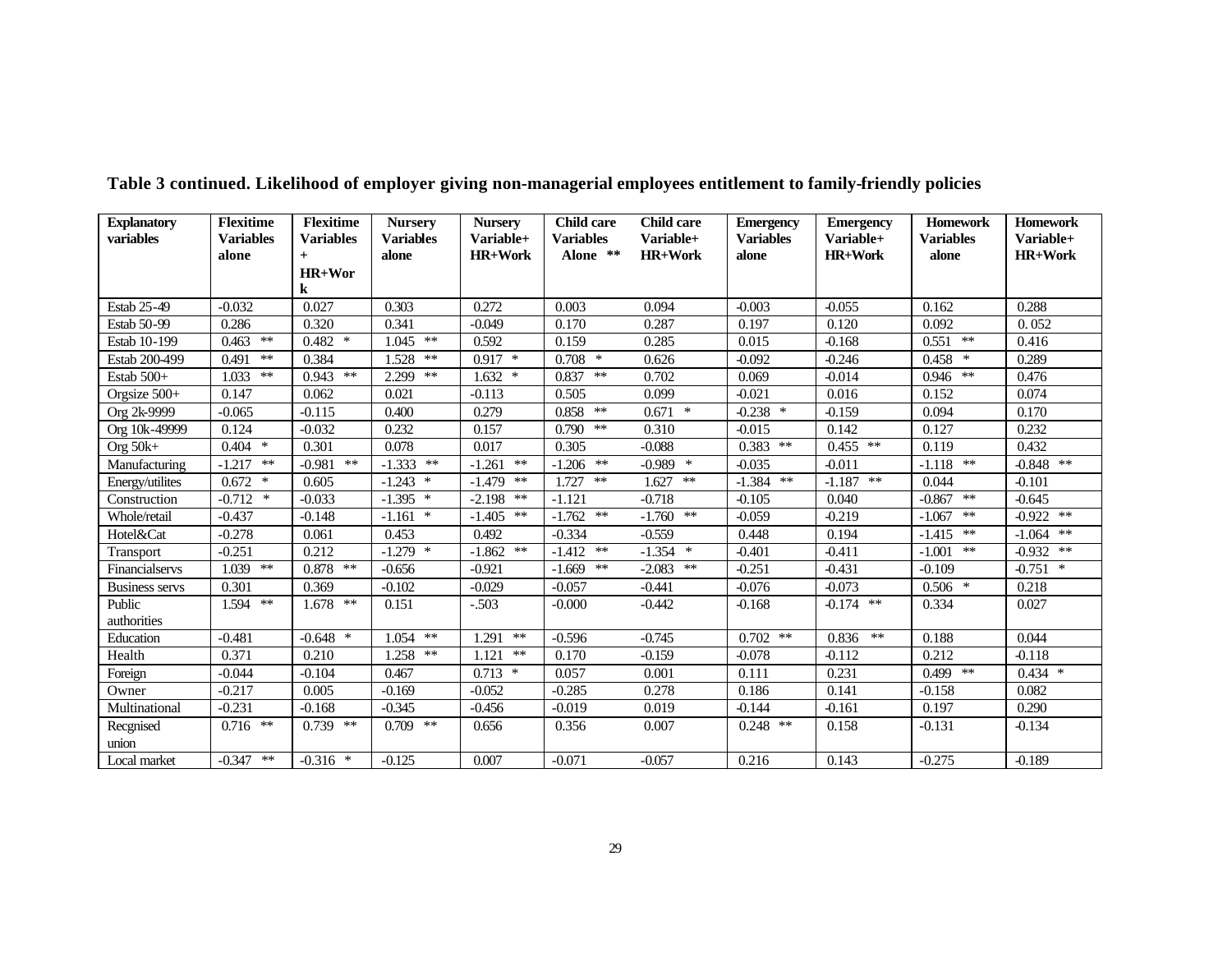| <b>Explanatory</b>    | <b>Flexitime</b> | <b>Flexitime</b>  | <b>Nursery</b>   | <b>Nursery</b>  | <b>Child care</b> | <b>Child care</b> | <b>Emergency</b> | <b>Emergency</b> | <b>Homework</b>  | <b>Homework</b> |
|-----------------------|------------------|-------------------|------------------|-----------------|-------------------|-------------------|------------------|------------------|------------------|-----------------|
| variables             | <b>Variables</b> | <b>Variables</b>  | <b>Variables</b> | Variable+       | <b>Variables</b>  | Variable+         | <b>Variables</b> | Variable+        | <b>Variables</b> | Variable+       |
|                       | alone            | $+$               | alone            | <b>HR+Work</b>  | Alone **          | <b>HR+Work</b>    | alone            | <b>HR+Work</b>   | alone            | <b>HR+Work</b>  |
|                       |                  | HR+Wor            |                  |                 |                   |                   |                  |                  |                  |                 |
|                       |                  | k                 |                  |                 |                   |                   |                  |                  |                  |                 |
| Estab 25-49           | $-0.032$         | 0.027             | 0.303            | 0.272           | 0.003             | 0.094             | $-0.003$         | $-0.055$         | 0.162            | 0.288           |
| Estab 50-99           | 0.286            | 0.320             | 0.341            | $-0.049$        | 0.170             | 0.287             | 0.197            | 0.120            | 0.092            | 0.052           |
| Estab 10-199          | $0.463$ **       | $0.482$ *         | $1.045$ **       | 0.592           | 0.159             | 0.285             | 0.015            | $-0.168$         | $0.551$ **       | 0.416           |
| Estab 200-499         | $0.491$ **       | 0.384             | $1.528$ **       | $0.917$ *       | $0.708$ *         | 0.626             | $-0.092$         | $-0.246$         | $0.458$ *        | 0.289           |
| Estab 500+            | $1.033$ **       | $0.943$ **        | $***$<br>2.299   | 1.632<br>$\ast$ | 0.837<br>**       | 0.702             | 0.069            | $-0.014$         | $0.946$ **       | 0.476           |
| Orgsize 500+          | 0.147            | 0.062             | 0.021            | $-0.113$        | 0.505             | 0.099             | $-0.021$         | 0.016            | 0.152            | 0.074           |
| Org 2k-9999           | $-0.065$         | $-0.115$          | 0.400            | 0.279           | $0.858$ **        | $0.671$ *         | $-0.238$ *       | $-0.159$         | 0.094            | 0.170           |
| Org 10k-49999         | 0.124            | $-0.032$          | 0.232            | 0.157           | $0.790$ **        | 0.310             | $-0.015$         | 0.142            | 0.127            | 0.232           |
| Org $50k+$            | $0.404$ *        | 0.301             | 0.078            | 0.017           | 0.305             | $-0.088$          | **<br>0.383      | $0.455$ **       | 0.119            | 0.432           |
| Manufacturing         | $-1.217$ **      | $***$<br>$-0.981$ | $-1.333$ **      | **<br>$-1.261$  | $-1.206$ **       | $-0.989$ *        | $-0.035$         | $-0.011$         | $-1.118$ **      | $-0.848$ **     |
| Energy/utilites       | $0.672$ *        | 0.605             | $-1.243$ *       | $-1.479$ **     | $***$<br>1.727    | $1.627$ **        | **<br>$-1.384$   | $-1.187$ **      | 0.044            | $-0.101$        |
| Construction          | $-0.712$ *       | $-0.033$          | $-1.395$ *       | $-2.198$ **     | $-1.121$          | $-0.718$          | $-0.105$         | 0.040            | **<br>$-0.867$   | $-0.645$        |
| Whole/retail          | $-0.437$         | $-0.148$          | $-1.161$ *       | $-1.405$ **     | $-1.762$ **       | $-1.760$ **       | $-0.059$         | $-0.219$         | $**$<br>$-1.067$ | $-0.922$ **     |
| Hotel&Cat             | $-0.278$         | 0.061             | 0.453            | 0.492           | $-0.334$          | $-0.559$          | 0.448            | 0.194            | $-1.415$ **      | $-1.064$ **     |
| Transport             | $-0.251$         | 0.212             | $-1.279$ *       | $-1.862$ **     | $-1.412$ **       | $-1.354$ *        | $-0.401$         | $-0.411$         | $**$<br>$-1.001$ | $-0.932$ **     |
| Financialservs        | $1.039$ **       | **<br>0.878       | $-0.656$         | $-0.921$        | $-1.669$ **       | $***$<br>$-2.083$ | $-0.251$         | $-0.431$         | $-0.109$         | $-0.751$ *      |
| <b>Business servs</b> | 0.301            | 0.369             | $-0.102$         | $-0.029$        | $-0.057$          | $-0.441$          | $-0.076$         | $-0.073$         | $0.506$ *        | 0.218           |
| Public                | 1.594 **         | $1.678$ **        | 0.151            | $-.503$         | $-0.000$          | $-0.442$          | $-0.168$         | $-0.174$ **      | 0.334            | 0.027           |
| authorities           |                  |                   |                  |                 |                   |                   |                  |                  |                  |                 |
| Education             | $-0.481$         | $-0.648$ *        | $1.054$ **       | **<br>1.291     | $-0.596$          | $-0.745$          | $0.702$ **       | 0.836<br>**      | 0.188            | 0.044           |
| Health                | 0.371            | 0.210             | $1.258$ **       | 1.121<br>$***$  | 0.170             | $-0.159$          | $-0.078$         | $-0.112$         | 0.212            | $-0.118$        |
| Foreign               | $-0.044$         | $-0.104$          | 0.467            | 0.713<br>$\ast$ | 0.057             | 0.001             | 0.111            | 0.231            | $0.499$ **       | $0.434$ *       |
| Owner                 | $-0.217$         | 0.005             | $-0.169$         | $-0.052$        | $-0.285$          | 0.278             | 0.186            | 0.141            | $-0.158$         | 0.082           |
| Multinational         | $-0.231$         | $-0.168$          | $-0.345$         | $-0.456$        | $-0.019$          | 0.019             | $-0.144$         | $-0.161$         | 0.197            | 0.290           |
| Recgnised             | $0.716$ **       | $0.739$ **        | $0.709$ **       | 0.656           | 0.356             | 0.007             | $0.248$ **       | 0.158            | $-0.131$         | $-0.134$        |
| union                 |                  |                   |                  |                 |                   |                   |                  |                  |                  |                 |
| Local market          | $-0.347$ **      | $-0.316$ *        | $-0.125$         | 0.007           | $-0.071$          | $-0.057$          | 0.216            | 0.143            | $-0.275$         | $-0.189$        |

**Table 3 continued. Likelihood of employer giving non-managerial employees entitlement to family-friendly policies**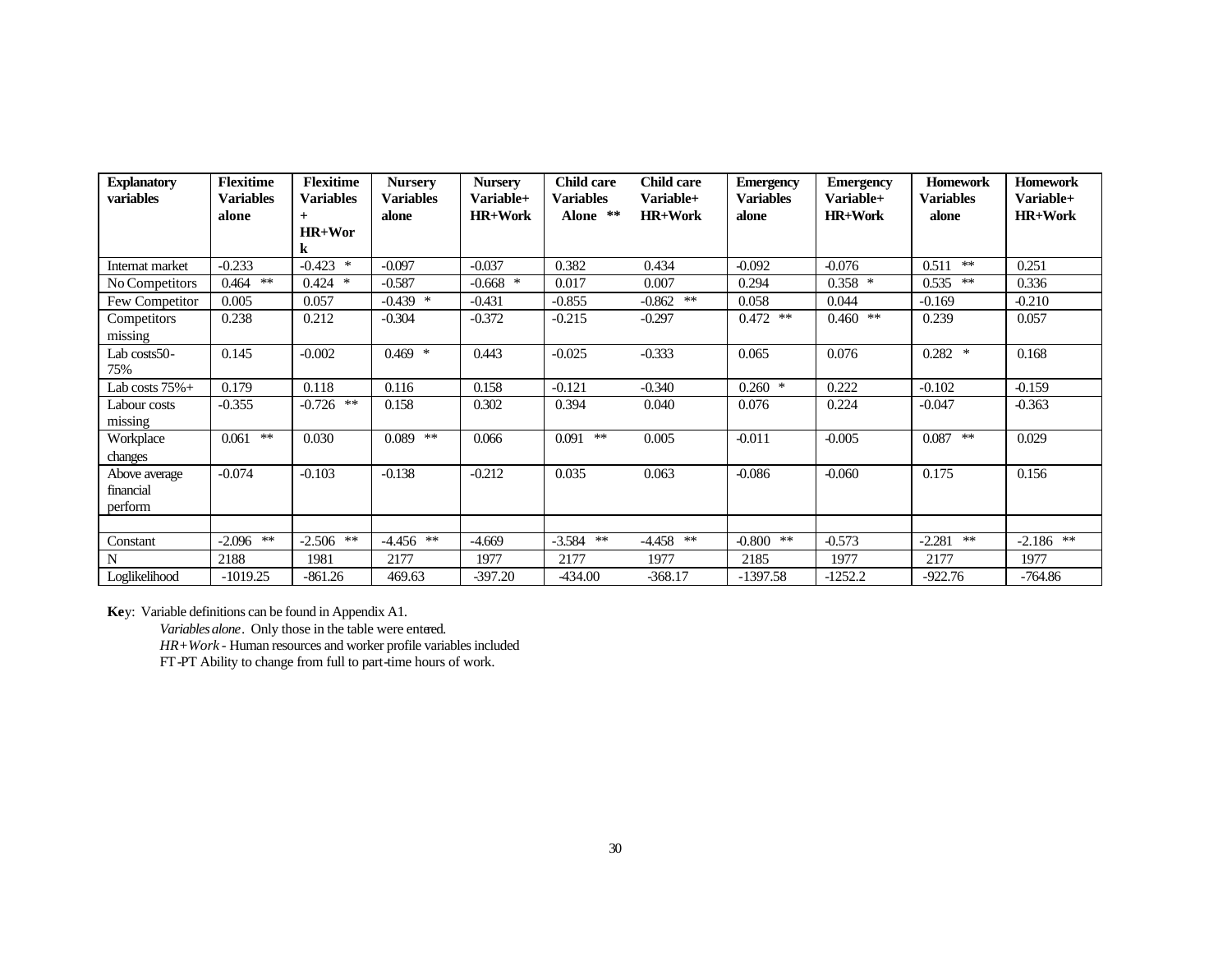| <b>Explanatory</b><br>variables | <b>Flexitime</b><br><b>Variables</b> | <b>Flexitime</b><br><b>Variables</b> | <b>Nursery</b><br><b>Variables</b> | <b>Nursery</b><br>Variable+ | <b>Child care</b><br><b>Variables</b> | <b>Child care</b><br>Variable+ | <b>Emergency</b><br><b>Variables</b> | <b>Emergency</b><br>Variable+ | <b>Homework</b><br><b>Variables</b> | <b>Homework</b><br>Variable+ |
|---------------------------------|--------------------------------------|--------------------------------------|------------------------------------|-----------------------------|---------------------------------------|--------------------------------|--------------------------------------|-------------------------------|-------------------------------------|------------------------------|
|                                 |                                      |                                      |                                    |                             |                                       |                                |                                      |                               |                                     |                              |
|                                 | alone                                | $+$<br>HR+Wor                        | alone                              | <b>HR+Work</b>              | Alone **                              | <b>HR+Work</b>                 | alone                                | <b>HR+Work</b>                | alone                               | <b>HR+Work</b>               |
|                                 |                                      | $\bf k$                              |                                    |                             |                                       |                                |                                      |                               |                                     |                              |
| Internat market                 | $-0.233$                             | $-0.423$ *                           | $-0.097$                           | $-0.037$                    | 0.382                                 | 0.434                          | $-0.092$                             | $-0.076$                      | $***$<br>0.511                      | 0.251                        |
|                                 |                                      |                                      |                                    |                             |                                       |                                |                                      |                               |                                     |                              |
| No Competitors                  | $0.464$ **                           | $0.424$ *                            | $-0.587$                           | $-0.668$ *                  | 0.017                                 | 0.007                          | 0.294                                | $0.358$ *                     | 0.535<br>**                         | 0.336                        |
| Few Competitor                  | 0.005                                | 0.057                                | $-0.439$ *                         | $-0.431$                    | $-0.855$                              | $-0.862$ **                    | 0.058                                | 0.044                         | $-0.169$                            | $-0.210$                     |
| Competitors                     | 0.238                                | 0.212                                | $-0.304$                           | $-0.372$                    | $-0.215$                              | $-0.297$                       | $0.472$ **                           | $0.460$ **                    | 0.239                               | 0.057                        |
| missing                         |                                      |                                      |                                    |                             |                                       |                                |                                      |                               |                                     |                              |
| Lab costs50-                    | 0.145                                | $-0.002$                             | $0.469$ *                          | 0.443                       | $-0.025$                              | $-0.333$                       | 0.065                                | 0.076                         | $0.282$ *                           | 0.168                        |
| 75%                             |                                      |                                      |                                    |                             |                                       |                                |                                      |                               |                                     |                              |
| Lab costs $75% +$               | 0.179                                | 0.118                                | 0.116                              | 0.158                       | $-0.121$                              | $-0.340$                       | $0.260$ *                            | 0.222                         | $-0.102$                            | $-0.159$                     |
| Labour costs                    | $-0.355$                             | $-0.726$ **                          | 0.158                              | 0.302                       | 0.394                                 | 0.040                          | 0.076                                | 0.224                         | $-0.047$                            | $-0.363$                     |
| missing                         |                                      |                                      |                                    |                             |                                       |                                |                                      |                               |                                     |                              |
| Workplace                       | $0.061$ **                           | 0.030                                | 0.089<br>**                        | 0.066                       | $0.091$ **                            | 0.005                          | $-0.011$                             | $-0.005$                      | 0.087<br>$***$                      | 0.029                        |
| changes                         |                                      |                                      |                                    |                             |                                       |                                |                                      |                               |                                     |                              |
| Above average                   | $-0.074$                             | $-0.103$                             | $-0.138$                           | $-0.212$                    | 0.035                                 | 0.063                          | $-0.086$                             | $-0.060$                      | 0.175                               | 0.156                        |
| financial                       |                                      |                                      |                                    |                             |                                       |                                |                                      |                               |                                     |                              |
| perform                         |                                      |                                      |                                    |                             |                                       |                                |                                      |                               |                                     |                              |
|                                 |                                      |                                      |                                    |                             |                                       |                                |                                      |                               |                                     |                              |
| Constant                        | $-2.096$ **                          | $-2.506$ **                          | $-4.456$ **                        | $-4.669$                    | $-3.584$ **                           | $-4.458$ **                    | $-0.800$ **                          | $-0.573$                      | **<br>$-2.281$                      | $-2.186$ **                  |
| N                               | 2188                                 | 1981                                 | 2177                               | 1977                        | 2177                                  | 1977                           | 2185                                 | 1977                          | 2177                                | 1977                         |
| Loglikelihood                   | $-1019.25$                           | $-861.26$                            | 469.63                             | $-397.20$                   | 434.00                                | $-368.17$                      | $-1397.58$                           | $-1252.2$                     | $-922.76$                           | $-764.86$                    |

**Ke**y: Variable definitions can be found in Appendix A1.

Variables alone. Only those in the table were entered.

*HR+Work* - Human resources and worker profile variables included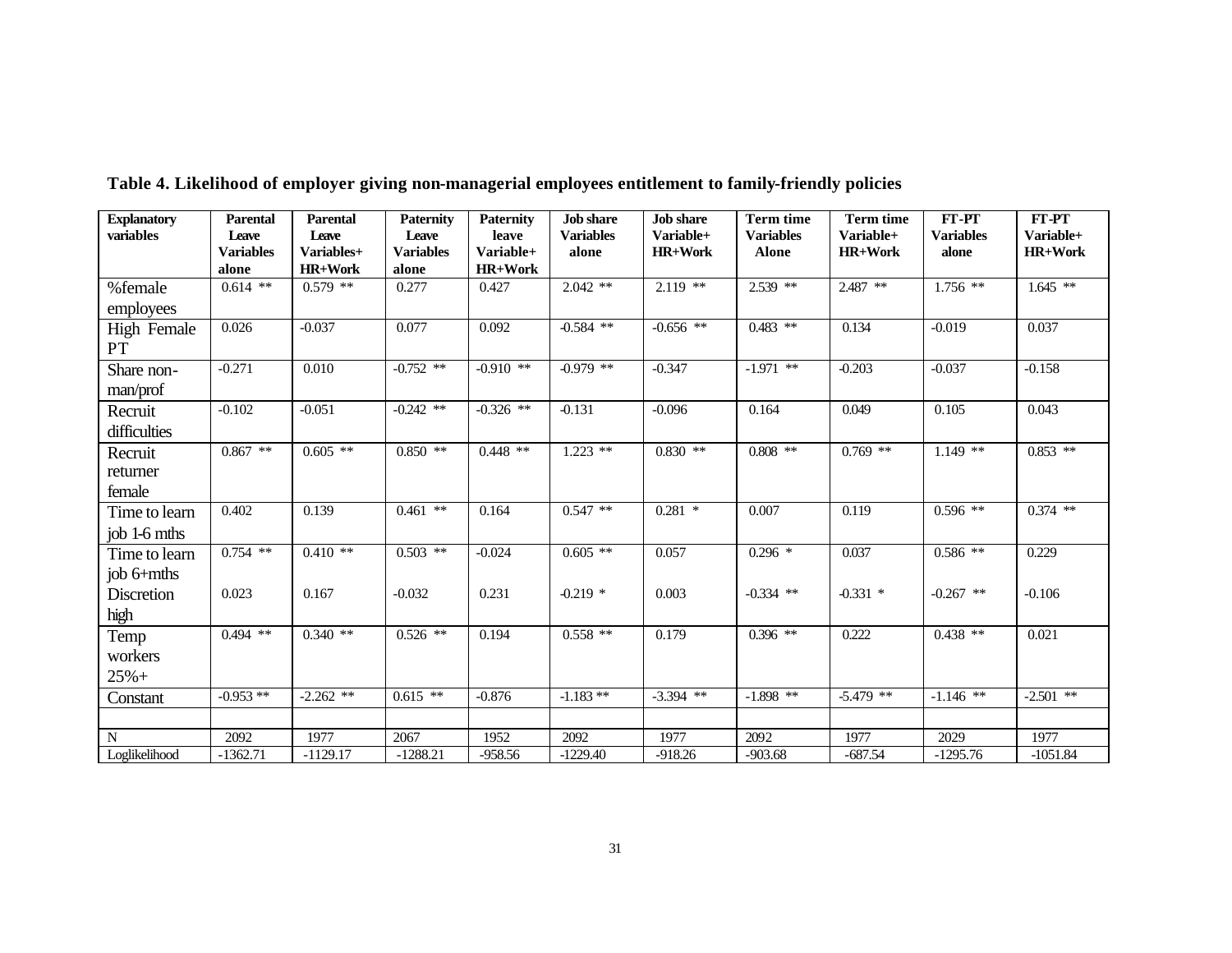| <b>Explanatory</b>       | <b>Parental</b>           | <b>Parental</b>     | <b>Paternity</b>          | <b>Paternity</b>   | <b>Job</b> share          | <b>Job</b> share            | <b>Term time</b>                 | <b>Term time</b>            | FT-PT                     | FT-PT                       |
|--------------------------|---------------------------|---------------------|---------------------------|--------------------|---------------------------|-----------------------------|----------------------------------|-----------------------------|---------------------------|-----------------------------|
| variables                | Leave<br><b>Variables</b> | Leave<br>Variables+ | Leave<br><b>Variables</b> | leave<br>Variable+ | <b>Variables</b><br>alone | Variable+<br><b>HR+Work</b> | <b>Variables</b><br><b>Alone</b> | Variable+<br><b>HR+Work</b> | <b>Variables</b><br>alone | Variable+<br><b>HR+Work</b> |
|                          | alone                     | <b>HR+Work</b>      | alone                     | <b>HR+Work</b>     |                           |                             |                                  |                             |                           |                             |
| %female                  | $0.614$ **                | $0.579$ **          | 0.277                     | 0.427              | $2.042$ **                | $2.119$ **                  | 2.539 **                         | 2.487 **                    | $1.756$ **                | $1.645$ **                  |
| employees                |                           |                     |                           |                    |                           |                             |                                  |                             |                           |                             |
| <b>High Female</b><br>PT | 0.026                     | $-0.037$            | 0.077                     | 0.092              | $-0.584$ **               | $-0.656$ **                 | $0.483$ **                       | 0.134                       | $-0.019$                  | 0.037                       |
| Share non-               | $-0.271$                  | 0.010               | $-0.752$ **               | $-0.910$ **        | $-0.979$ **               | $-0.347$                    | $-1.971$ **                      | $-0.203$                    | $-0.037$                  | $-0.158$                    |
| man/prof                 |                           |                     |                           |                    |                           |                             |                                  |                             |                           |                             |
| Recruit                  | $-0.102$                  | $-0.051$            | $-0.242$ **               | $-0.326$ **        | $-0.131$                  | $-0.096$                    | 0.164                            | 0.049                       | 0.105                     | 0.043                       |
| difficulties             |                           |                     |                           |                    |                           |                             |                                  |                             |                           |                             |
| Recruit                  | $0.867$ **                | $0.605$ **          | $0.850$ **                | $0.448$ **         | $1.223$ **                | $0.830$ **                  | $0.808$ **                       | $0.769$ **                  | $1.149**$                 | $0.853$ **                  |
| returner                 |                           |                     |                           |                    |                           |                             |                                  |                             |                           |                             |
| female                   |                           |                     |                           |                    |                           |                             |                                  |                             |                           |                             |
| Time to learn            | 0.402                     | 0.139               | $0.461$ **                | 0.164              | $0.547**$                 | $0.281$ *                   | 0.007                            | 0.119                       | $0.596$ **                | $0.374$ **                  |
| job 1-6 mths             |                           |                     |                           |                    |                           |                             |                                  |                             |                           |                             |
| Time to learn            | $0.754$ **                | $0.410$ **          | $0.503$ **                | $-0.024$           | $0.605$ **                | 0.057                       | $0.296$ *                        | 0.037                       | $0.586**$                 | 0.229                       |
| job 6+mths               |                           |                     |                           |                    |                           |                             |                                  |                             |                           |                             |
| Discretion               | 0.023                     | 0.167               | $-0.032$                  | 0.231              | $-0.219$ *                | 0.003                       | $-0.334$ **                      | $-0.331$ *                  | $-0.267$ **               | $-0.106$                    |
| high                     |                           |                     |                           |                    |                           |                             |                                  |                             |                           |                             |
| Temp                     | $0.494$ **                | $0.340$ **          | $0.526$ **                | 0.194              | $0.558$ **                | 0.179                       | $0.396$ **                       | 0.222                       | $0.438$ **                | 0.021                       |
| workers                  |                           |                     |                           |                    |                           |                             |                                  |                             |                           |                             |
| $25% +$                  |                           |                     |                           |                    |                           |                             |                                  |                             |                           |                             |
| Constant                 | $-0.953**$                | $-2.262$ **         | $0.615$ **                | $-0.876$           | $-1.183**$                | $-3.394$ **                 | $-1.898$ **                      | $-5.479$ **                 | $-1.146$ **               | $-2.501$ **                 |
|                          |                           |                     |                           |                    |                           |                             |                                  |                             |                           |                             |
| $\mathbf N$              | 2092                      | 1977                | 2067                      | 1952               | 2092                      | 1977                        | 2092                             | 1977                        | 2029                      | 1977                        |
| Loglikelihood            | $-1362.71$                | $-1129.17$          | $-1288.21$                | $-958.56$          | $-1229.40$                | $-918.26$                   | $-903.68$                        | $-687.54$                   | $-1295.76$                | $-1051.84$                  |

**Table 4. Likelihood of employer giving non-managerial employees entitlement to family-friendly policies**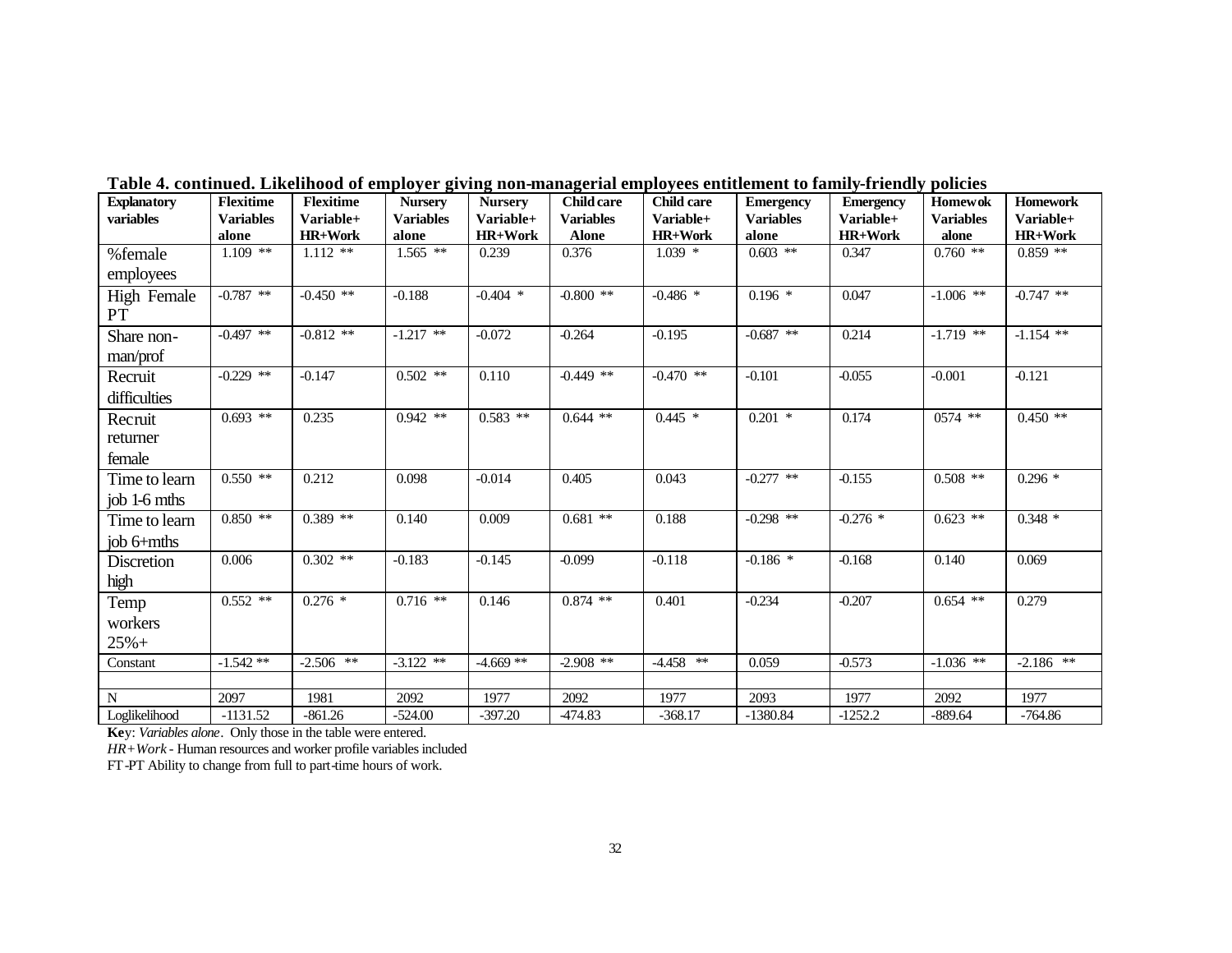| <b>Explanatory</b><br>variables | <b>Flexitime</b><br><b>Variables</b> | <b>Flexitime</b><br>Variable+ | <b>Nursery</b><br><b>Variables</b> | <b>Nursery</b><br>Variable+ | <b>Child care</b><br><b>Variables</b> | <b>Child care</b><br>Variable+ | <b>Emergency</b><br><b>Variables</b> | <b>Emergency</b><br>Variable+ | <b>Homewok</b><br><b>Variables</b> | <b>Homework</b><br>Variable+ |
|---------------------------------|--------------------------------------|-------------------------------|------------------------------------|-----------------------------|---------------------------------------|--------------------------------|--------------------------------------|-------------------------------|------------------------------------|------------------------------|
|                                 | alone                                | <b>HR+Work</b>                | alone                              | <b>HR+Work</b>              | <b>Alone</b>                          | <b>HR+Work</b>                 | alone                                | <b>HR+Work</b>                | alone                              | <b>HR+Work</b>               |
| %female                         | $1.109$ **                           | $1.112$ **                    | $1.565$ **                         | 0.239                       | 0.376                                 | $1.039*$                       | $0.603$ **                           | 0.347                         | $0.760$ **                         | $0.859$ **                   |
| employees                       |                                      |                               |                                    |                             |                                       |                                |                                      |                               |                                    |                              |
| <b>High Female</b><br>PT        | $-0.787$ **                          | $-0.450$ **                   | $-0.188$                           | $-0.404$ *                  | $-0.800$ **                           | $-0.486$ *                     | $0.196*$                             | 0.047                         | $-1.006$ **                        | $-0.747$ **                  |
| Share non-                      | $-0.497$ **                          | $-0.812$ **                   | $-1.217$ **                        | $-0.072$                    | $-0.264$                              | $-0.195$                       | $-0.687$ **                          | 0.214                         | $-1.719$ **                        | $-1.154$ **                  |
| man/prof                        |                                      |                               |                                    |                             |                                       |                                |                                      |                               |                                    |                              |
| Recruit                         | $-0.229$ **                          | $-0.147$                      | $0.502$ **                         | 0.110                       | $-0.449$ **                           | $-0.470$ **                    | $-0.101$                             | $-0.055$                      | $-0.001$                           | $-0.121$                     |
| difficulties                    |                                      |                               |                                    |                             |                                       |                                |                                      |                               |                                    |                              |
| Recruit                         | $0.693$ **                           | 0.235                         | $0.942$ **                         | $0.583$ **                  | $0.644$ **                            | $0.445$ *                      | $0.201$ *                            | 0.174                         | $0574$ **                          | $0.450$ **                   |
| returner                        |                                      |                               |                                    |                             |                                       |                                |                                      |                               |                                    |                              |
| female                          |                                      |                               |                                    |                             |                                       |                                |                                      |                               |                                    |                              |
| Time to learn                   | $0.550$ **                           | 0.212                         | 0.098                              | $-0.014$                    | 0.405                                 | 0.043                          | $-0.277$ **                          | $-0.155$                      | $0.508$ **                         | $0.296*$                     |
| job 1-6 mths                    |                                      |                               |                                    |                             |                                       |                                |                                      |                               |                                    |                              |
| Time to learn                   | $0.850$ **                           | $0.389$ **                    | 0.140                              | 0.009                       | $0.681$ **                            | 0.188                          | $-0.298$ **                          | $-0.276$ *                    | $0.623$ **                         | $0.348*$                     |
| job $6+$ mths                   |                                      |                               |                                    |                             |                                       |                                |                                      |                               |                                    |                              |
| Discretion                      | 0.006                                | $0.302$ **                    | $-0.183$                           | $-0.145$                    | $-0.099$                              | $-0.118$                       | $-0.186$ *                           | $-0.168$                      | 0.140                              | 0.069                        |
| high                            |                                      |                               |                                    |                             |                                       |                                |                                      |                               |                                    |                              |
| Temp                            | $0.552$ **                           | $0.276*$                      | $0.716$ **                         | 0.146                       | $0.874$ **                            | 0.401                          | $-0.234$                             | $-0.207$                      | $0.654$ **                         | 0.279                        |
| workers                         |                                      |                               |                                    |                             |                                       |                                |                                      |                               |                                    |                              |
| $25% +$                         |                                      |                               |                                    |                             |                                       |                                |                                      |                               |                                    |                              |
| Constant                        | $-1.542**$                           | $-2.506$ **                   | $-3.122$ **                        | $-4.669**$                  | $-2.908$ **                           | $-4.458$ **                    | 0.059                                | $-0.573$                      | $-1.036$ **                        | $-2.186$ **                  |
|                                 |                                      |                               |                                    |                             |                                       |                                |                                      |                               |                                    |                              |
| N                               | 2097                                 | 1981                          | 2092                               | 1977                        | 2092                                  | 1977                           | 2093                                 | 1977                          | 2092                               | 1977                         |
| Loglikelihood                   | $-1131.52$                           | 861.26                        | $-524.00$                          | $-397.20$                   | 474.83                                | $-368.17$                      | $-1380.84$                           | $-1252.2$                     | $-889.64$                          | $-764.86$                    |

**Table 4. continued. Likelihood of employer giving non-managerial employees entitlement to family-friendly policies**

**Ke**y: *Variables alone*. Only those in the table were entered.

*HR+Work* - Human resources and worker profile variables included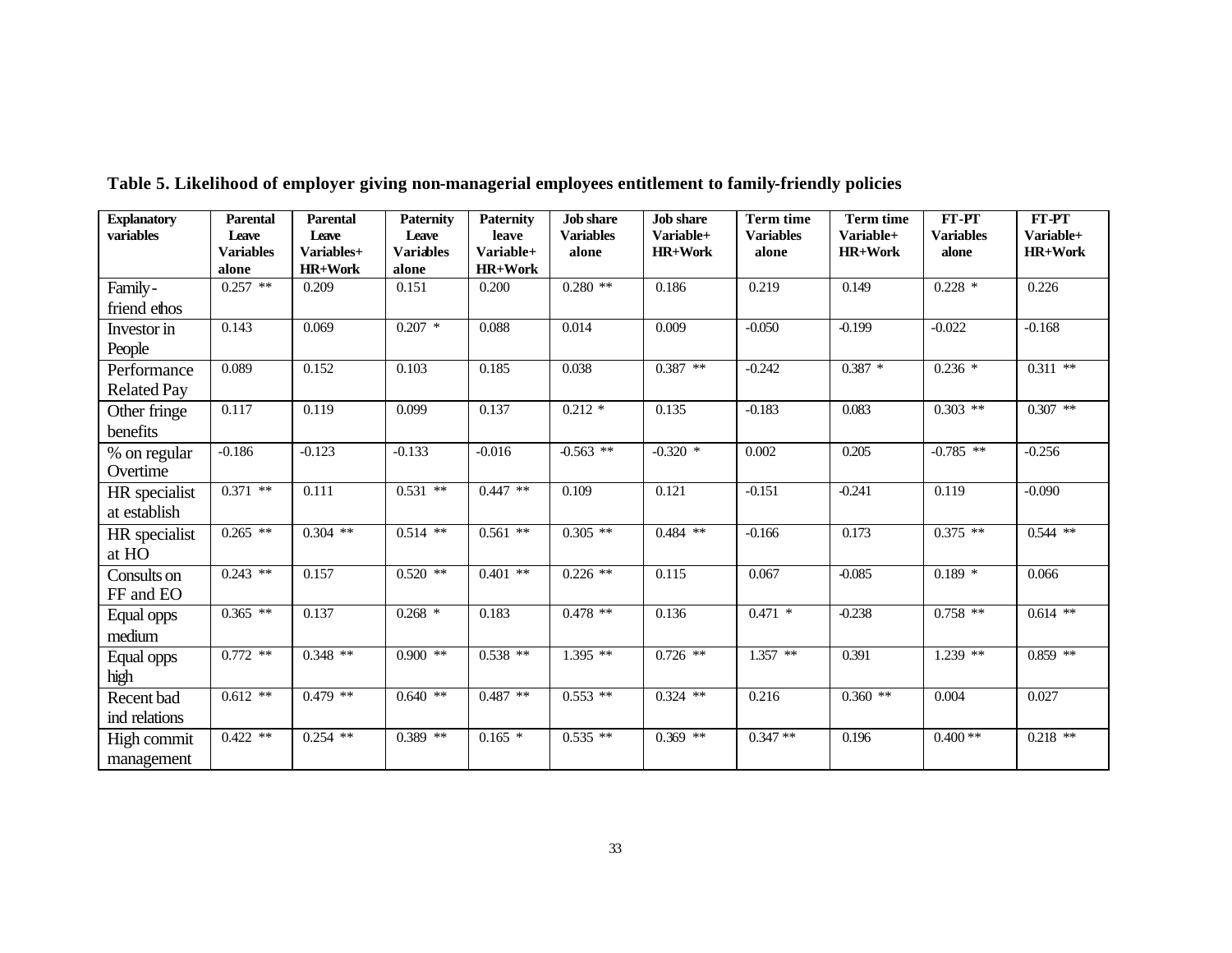| <b>Explanatory</b> | <b>Parental</b>  | <b>Parental</b> | <b>Paternity</b> | <b>Paternity</b> | <b>Job</b> share | <b>Job</b> share | <b>Term time</b> | <b>Term time</b> | FT-PT            | FT-PT          |
|--------------------|------------------|-----------------|------------------|------------------|------------------|------------------|------------------|------------------|------------------|----------------|
| variables          | Leave            | Leave           | Leave            | leave            | <b>Variables</b> | Variable+        | <b>Variables</b> | Variable+        | <b>Variables</b> | Variable+      |
|                    | <b>Variables</b> | Variables+      | <b>Variables</b> | Variable+        | alone            | <b>HR+Work</b>   | alone            | <b>HR+Work</b>   | alone            | <b>HR+Work</b> |
|                    | alone            | <b>HR+Work</b>  | alone            | HR+Work          |                  |                  |                  |                  |                  |                |
| Family-            | $0.257$ **       | 0.209           | 0.151            | 0.200            | $0.280**$        | 0.186            | 0.219            | 0.149            | $0.228$ *        | 0.226          |
| friend ethos       |                  |                 |                  |                  |                  |                  |                  |                  |                  |                |
| Investor in        | 0.143            | 0.069           | $0.207$ *        | 0.088            | 0.014            | 0.009            | $-0.050$         | $-0.199$         | $-0.022$         | $-0.168$       |
| People             |                  |                 |                  |                  |                  |                  |                  |                  |                  |                |
| Performance        | 0.089            | 0.152           | 0.103            | 0.185            | 0.038            | $0.387$ **       | $-0.242$         | $0.387 *$        | $0.236*$         | $0.311$ **     |
| <b>Related Pay</b> |                  |                 |                  |                  |                  |                  |                  |                  |                  |                |
| Other fringe       | 0.117            | 0.119           | 0.099            | 0.137            | $0.212 *$        | 0.135            | $-0.183$         | 0.083            | $0.303$ **       | $0.307$ **     |
| benefits           |                  |                 |                  |                  |                  |                  |                  |                  |                  |                |
| % on regular       | $-0.186$         | $-0.123$        | $-0.133$         | $-0.016$         | $-0.563$ **      | $-0.320$ *       | 0.002            | 0.205            | $-0.785$ **      | $-0.256$       |
| Overtime           |                  |                 |                  |                  |                  |                  |                  |                  |                  |                |
| HR specialist      | $0.371$ **       | 0.111           | $0.531$ **       | $0.447$ **       | 0.109            | 0.121            | $-0.151$         | $-0.241$         | 0.119            | $-0.090$       |
| at establish       |                  |                 |                  |                  |                  |                  |                  |                  |                  |                |
| HR specialist      | $0.265$ **       | $0.304$ **      | $0.514$ **       | $0.561$ **       | $0.305$ **       | $0.484$ **       | $-0.166$         | 0.173            | $0.375$ **       | $0.544$ **     |
| at HO              |                  |                 |                  |                  |                  |                  |                  |                  |                  |                |
| Consults on        | $0.243$ **       | 0.157           | $0.520$ **       | $0.401$ **       | $0.226$ **       | 0.115            | 0.067            | $-0.085$         | $0.189*$         | 0.066          |
| FF and EO          |                  |                 |                  |                  |                  |                  |                  |                  |                  |                |
| Equal opps         | $0.365$ **       | 0.137           | $0.268$ *        | 0.183            | $0.478$ **       | 0.136            | $0.471$ *        | $-0.238$         | $0.758$ **       | $0.614$ **     |
| medium             |                  |                 |                  |                  |                  |                  |                  |                  |                  |                |
| Equal opps         | $0.772$ **       | $0.348$ **      | $0.900$ **       | $0.538$ **       | $1.395$ **       | $0.726$ **       | $1.357$ **       | 0.391            | $1.239$ **       | $0.859$ **     |
| high               |                  |                 |                  |                  |                  |                  |                  |                  |                  |                |
| Recent bad         | $0.612$ **       | $0.479$ **      | $0.640$ **       | $0.487$ **       | $0.553$ **       | $0.324$ **       | 0.216            | $0.360$ **       | 0.004            | 0.027          |
| ind relations      |                  |                 |                  |                  |                  |                  |                  |                  |                  |                |
| High commit        | $0.422$ **       | $0.254$ **      | $0.389$ **       | $0.165*$         | $0.535$ **       | $0.369$ **       | $0.347**$        | 0.196            | $0.400**$        | $0.218$ **     |
| management         |                  |                 |                  |                  |                  |                  |                  |                  |                  |                |

**Table 5. Likelihood of employer giving non-managerial employees entitlement to family-friendly policies**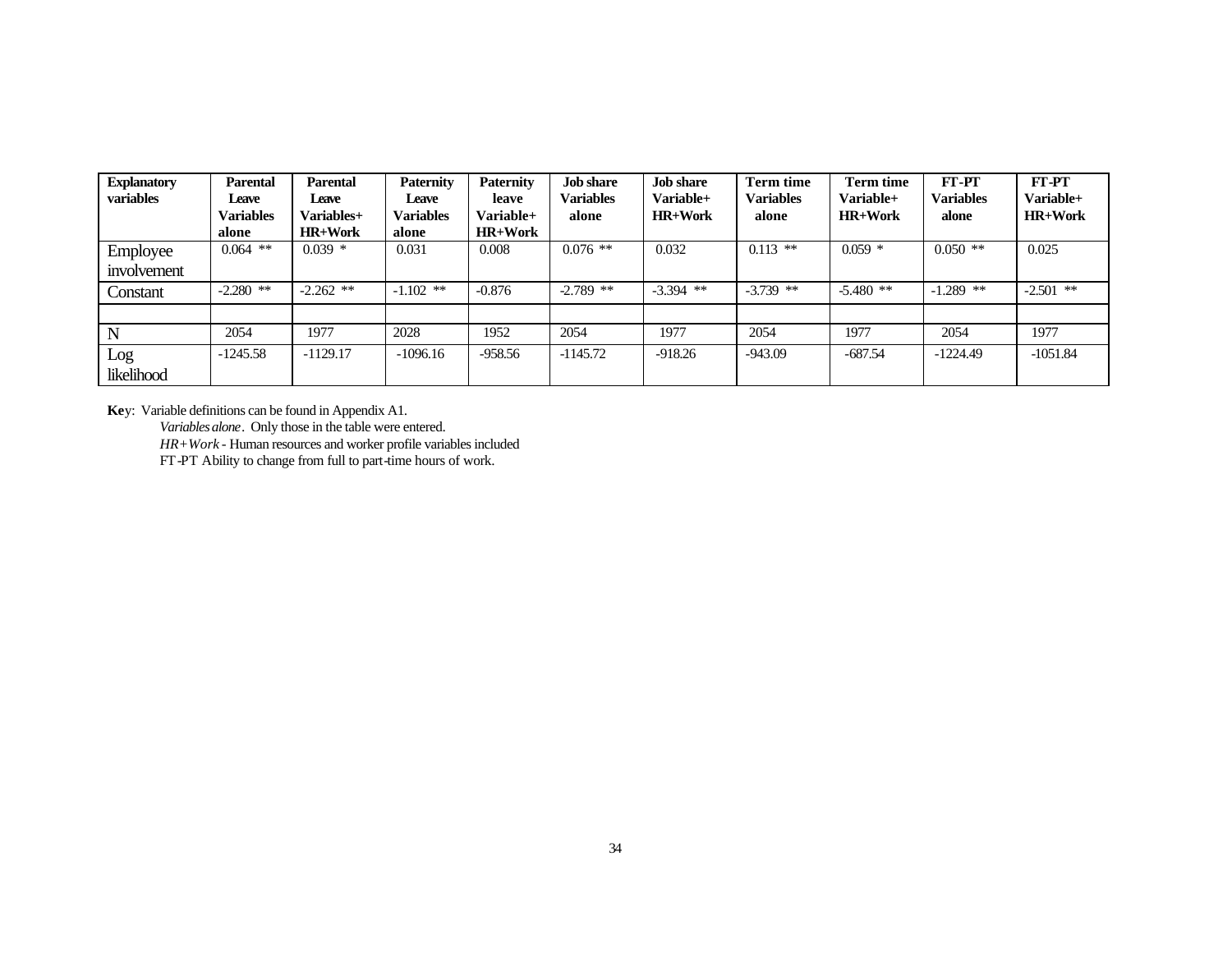| <b>Explanatory</b> | Parental         | Parental          | <b>Paternity</b> | <b>Paternity</b> | <b>Job share</b> | <b>Job share</b> | <b>Term time</b> | Term time      | FT-PT            | FT-PT          |
|--------------------|------------------|-------------------|------------------|------------------|------------------|------------------|------------------|----------------|------------------|----------------|
| variables          | Leave            | Leave             | Leave            | leave            | <b>Variables</b> | Variable+        | <b>Variables</b> | Variable+      | <b>Variables</b> | Variable+      |
|                    | <b>Variables</b> | <b>Variables+</b> | <b>Variables</b> | Variable+        | alone            | $HR+Work$        | alone            | <b>HR+Work</b> | alone            | <b>HR+Work</b> |
|                    | alone            | <b>HR+Work</b>    | alone            | <b>HR+Work</b>   |                  |                  |                  |                |                  |                |
| Employee           | $0.064$ **       | $0.039*$          | 0.031            | 0.008            | $0.076$ **       | 0.032            | $0.113$ **       | $0.059$ *      | $0.050$ **       | 0.025          |
| involvement        |                  |                   |                  |                  |                  |                  |                  |                |                  |                |
| Constant           | $-2.280$ **      | $-2.262$ **       | $-1.102$ **      | $-0.876$         | $-2.789$ **      | $-3.394$ **      | $-3.739$ **      | $-5.480$ **    | $-1.289$ **      | $-2.501$ **    |
|                    |                  |                   |                  |                  |                  |                  |                  |                |                  |                |
| N                  | 2054             | 1977              | 2028             | 1952             | 2054             | 1977             | 2054             | 1977           | 2054             | 1977           |
| Log                | $-1245.58$       | $-1129.17$        | $-1096.16$       | $-958.56$        | $-1145.72$       | $-918.26$        | $-943.09$        | $-687.54$      | $-1224.49$       | $-1051.84$     |
| likelihood         |                  |                   |                  |                  |                  |                  |                  |                |                  |                |

**Ke**y: Variable definitions can be found in Appendix A1.

*Variables alone*. Only those in the table were entered.

*HR+Work* - Human resources and worker profile variables included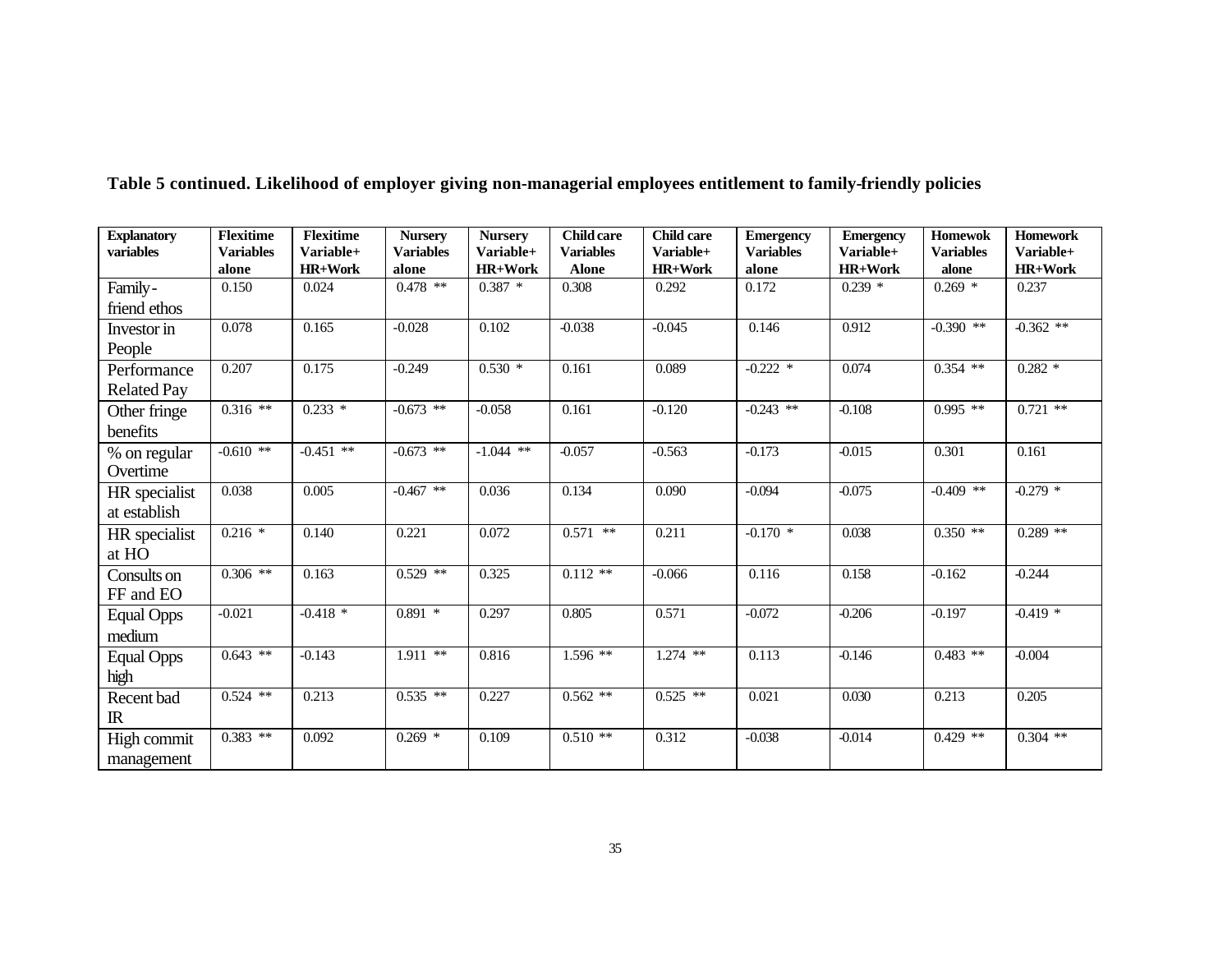| <b>Explanatory</b> | <b>Flexitime</b> | <b>Flexitime</b> | <b>Nursery</b>   | <b>Nursery</b> | <b>Child care</b> | <b>Child care</b> | <b>Emergency</b> | <b>Emergency</b> | <b>Homewok</b>   | <b>Homework</b> |
|--------------------|------------------|------------------|------------------|----------------|-------------------|-------------------|------------------|------------------|------------------|-----------------|
| variables          | <b>Variables</b> | Variable+        | <b>Variables</b> | Variable+      | <b>Variables</b>  | Variable+         | <b>Variables</b> | Variable+        | <b>Variables</b> | Variable+       |
|                    | alone            | <b>HR+Work</b>   | alone            | <b>HR+Work</b> | <b>Alone</b>      | <b>HR+Work</b>    | alone            | HR+Work          | alone            | HR+Work         |
| Family-            | 0.150            | 0.024            | $0.478$ **       | $0.387*$       | 0.308             | 0.292             | 0.172            | $0.239$ *        | $0.269$ *        | 0.237           |
| friend ethos       |                  |                  |                  |                |                   |                   |                  |                  |                  |                 |
| Investor in        | 0.078            | 0.165            | $-0.028$         | 0.102          | $-0.038$          | $-0.045$          | 0.146            | 0.912            | $-0.390$ **      | $-0.362$ **     |
| People             |                  |                  |                  |                |                   |                   |                  |                  |                  |                 |
| Performance        | 0.207            | 0.175            | $-0.249$         | $0.530*$       | 0.161             | 0.089             | $-0.222$ *       | 0.074            | $0.354$ **       | $0.282*$        |
| <b>Related Pay</b> |                  |                  |                  |                |                   |                   |                  |                  |                  |                 |
| Other fringe       | $0.316$ **       | $0.233*$         | $-0.673$ **      | $-0.058$       | 0.161             | $-0.120$          | $-0.243$ **      | $-0.108$         | $0.995$ **       | $0.721$ **      |
| benefits           |                  |                  |                  |                |                   |                   |                  |                  |                  |                 |
| % on regular       | $-0.610$ **      | $-0.451$ **      | $-0.673$ **      | $-1.044$ **    | $-0.057$          | $-0.563$          | $-0.173$         | $-0.015$         | 0.301            | 0.161           |
| Overtime           |                  |                  |                  |                |                   |                   |                  |                  |                  |                 |
| HR specialist      | 0.038            | 0.005            | $-0.467$ **      | 0.036          | 0.134             | 0.090             | $-0.094$         | $-0.075$         | $-0.409$ **      | $-0.279$ *      |
| at establish       |                  |                  |                  |                |                   |                   |                  |                  |                  |                 |
| HR specialist      | $0.216$ *        | 0.140            | 0.221            | 0.072          | $0.571$ **        | 0.211             | $-0.170$ *       | 0.038            | $0.350$ **       | $0.289**$       |
| at HO              |                  |                  |                  |                |                   |                   |                  |                  |                  |                 |
| Consults on        | $0.306$ **       | 0.163            | $0.529$ **       | 0.325          | $0.112**$         | $-0.066$          | 0.116            | 0.158            | $-0.162$         | $-0.244$        |
| FF and EO          |                  |                  |                  |                |                   |                   |                  |                  |                  |                 |
| <b>Equal Opps</b>  | $-0.021$         | $-0.418$ *       | $0.891$ *        | 0.297          | 0.805             | 0.571             | $-0.072$         | $-0.206$         | $-0.197$         | $-0.419*$       |
| medium             |                  |                  |                  |                |                   |                   |                  |                  |                  |                 |
| <b>Equal Opps</b>  | $0.643$ **       | $-0.143$         | $1.911$ **       | 0.816          | 1.596 **          | $1.274$ **        | 0.113            | $-0.146$         | $0.483$ **       | $-0.004$        |
| high               |                  |                  |                  |                |                   |                   |                  |                  |                  |                 |
| Recent bad         | $0.524$ **       | 0.213            | $0.535$ **       | 0.227          | $0.562$ **        | $0.525$ **        | 0.021            | 0.030            | 0.213            | 0.205           |
| $\mathbb{R}$       |                  |                  |                  |                |                   |                   |                  |                  |                  |                 |
| High commit        | $0.383$ **       | 0.092            | $0.269$ *        | 0.109          | $0.510**$         | 0.312             | $-0.038$         | $-0.014$         | $0.429$ **       | $0.304$ **      |
| management         |                  |                  |                  |                |                   |                   |                  |                  |                  |                 |

**Table 5 continued. Likelihood of employer giving non-managerial employees entitlement to family-friendly policies**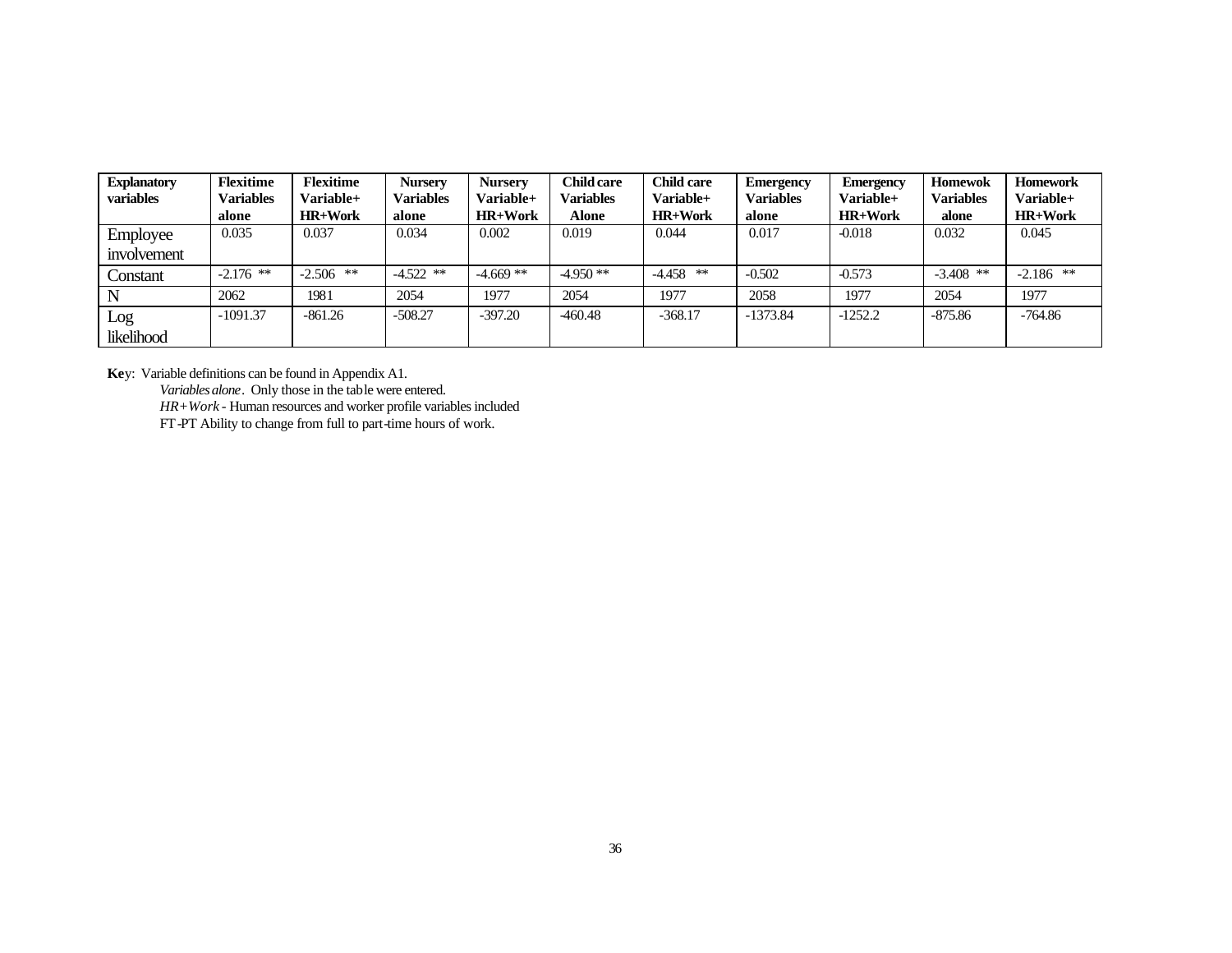| <b>Explanatory</b><br>variables | <b>Flexitime</b><br><b>Variables</b> | <b>Flexitime</b><br>Variable+ | <b>Nursery</b><br><b>Variables</b> | <b>Nurserv</b><br><b>Variable+</b> | <b>Child care</b><br><b>Variables</b> | <b>Child care</b><br>Variable+ | <b>Emergency</b><br><b>Variables</b> | <b>Emergency</b><br>Variable+ | <b>Homewok</b><br><b>Variables</b> | <b>Homework</b><br>Variable+ |
|---------------------------------|--------------------------------------|-------------------------------|------------------------------------|------------------------------------|---------------------------------------|--------------------------------|--------------------------------------|-------------------------------|------------------------------------|------------------------------|
|                                 | alone                                | <b>HR+Work</b>                | alone                              | <b>HR+Work</b>                     | Alone                                 | <b>HR+Work</b>                 | alone                                | <b>HR+Work</b>                | alone                              | <b>HR+Work</b>               |
| Employee                        | 0.035                                | 0.037                         | 0.034                              | 0.002                              | 0.019                                 | 0.044                          | 0.017                                | $-0.018$                      | 0.032                              | 0.045                        |
| involvement                     |                                      |                               |                                    |                                    |                                       |                                |                                      |                               |                                    |                              |
| Constant                        | $-2.176$ **                          | $-2.506$ **                   | $-4.522$ **                        | $-4.669$ **                        | $-4.950**$                            | **<br>$-4.458$                 | $-0.502$                             | $-0.573$                      | $-3.408$ **                        | $-2.186$ **                  |
|                                 | 2062                                 | 1981                          | 2054                               | 1977                               | 2054                                  | 1977                           | 2058                                 | 1977                          | 2054                               | 1977                         |
| Log                             | $-1091.37$                           | -861.26                       | $-508.27$                          | $-397.20$                          | -460.48                               | $-368.17$                      | $-1373.84$                           | $-1252.2$                     | $-875.86$                          | -764.86                      |
| likelihood                      |                                      |                               |                                    |                                    |                                       |                                |                                      |                               |                                    |                              |

**Ke**y: Variable definitions can be found in Appendix A1.

*Variables alone*. Only those in the table were entered.

*HR+Work* - Human resources and worker profile variables included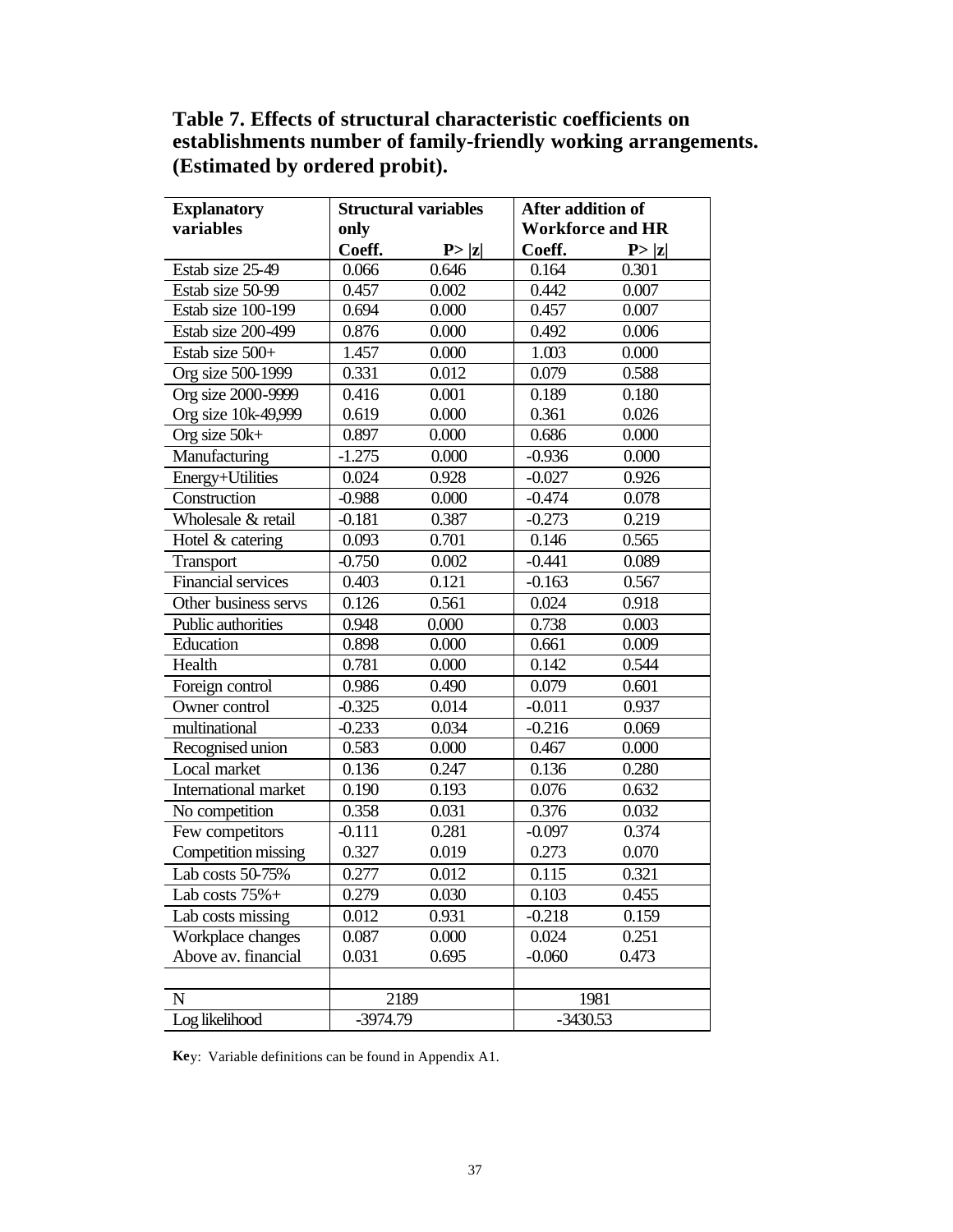# **Table 7. Effects of structural characteristic coefficients on establishments number of family-friendly working arrangements. (Estimated by ordered probit).**

| <b>Explanatory</b>        | <b>Structural variables</b> |                   | After addition of       |        |  |
|---------------------------|-----------------------------|-------------------|-------------------------|--------|--|
| variables                 | only                        |                   | <b>Workforce and HR</b> |        |  |
|                           | Coeff.                      | P> z              | Coeff.                  | P >  z |  |
| Estab size 25-49          | 0.066                       | 0.646             | 0.164                   | 0.301  |  |
| Estab size 50-99          | 0.457                       | 0.002             | 0.442                   | 0.007  |  |
| Estab size 100-199        | 0.694                       | 0.000             | 0.457                   | 0.007  |  |
| Estab size 200-499        | 0.876                       | 0.000             | 0.492                   | 0.006  |  |
| Estab size 500+           | 1.457                       | 0.000             | 1.003                   | 0.000  |  |
| Org size 500-1999         | 0.331                       | 0.012             | 0.079                   | 0.588  |  |
| Org size 2000-9999        | 0.416                       | 0.001             | 0.189                   | 0.180  |  |
| Org size 10k-49,999       | 0.619                       | 0.000             | 0.361                   | 0.026  |  |
| Org size $50k+$           | 0.897                       | 0.000             | 0.686                   | 0.000  |  |
| Manufacturing             | $-1.275$                    | 0.000             | $-0.936$                | 0.000  |  |
| Energy+Utilities          | 0.024                       | 0.928             | $-0.027$                | 0.926  |  |
| Construction              | $-0.988$                    | 0.000             | $-0.474$                | 0.078  |  |
| Wholesale & retail        | $-0.181$                    | 0.387             | $-0.273$                | 0.219  |  |
| Hotel & catering          | 0.093                       | $\frac{1}{0.701}$ | 0.146                   | 0.565  |  |
| <b>Transport</b>          | $-0.750$                    | 0.002             | $-0.441$                | 0.089  |  |
| <b>Financial services</b> | 0.403                       | 0.121             | $-0.163$                | 0.567  |  |
| Other business servs      | 0.126                       | 0.561             | 0.024                   | 0.918  |  |
| Public authorities        | 0.948                       | 0.000             | 0.738                   | 0.003  |  |
| Education                 | 0.898                       | 0.000             | 0.661                   | 0.009  |  |
| Health                    | 0.781                       | 0.000             | 0.142                   | 0.544  |  |
| Foreign control           | 0.986                       | 0.490             | 0.079                   | 0.601  |  |
| Owner control             | $-0.325$                    | 0.014             | $-0.011$                | 0.937  |  |
| multinational             | $-0.233$                    | 0.034             | $-0.216$                | 0.069  |  |
| Recognised union          | 0.583                       | 0.000             | 0.467                   | 0.000  |  |
| Local market              | 0.136                       | 0.247             | 0.136                   | 0.280  |  |
| International market      | 0.190                       | 0.193             | 0.076                   | 0.632  |  |
| No competition            | 0.358                       | 0.031             | 0.376                   | 0.032  |  |
| Few competitors           | $-0.111$                    | 0.281             | $-0.097$                | 0.374  |  |
| Competition missing       | 0.327                       | 0.019             | 0.273                   | 0.070  |  |
| Lab costs 50-75%          | 0.277                       | 0.012             | 0.115                   | 0.321  |  |
| Lab costs 75%+            | 0.279                       | 0.030             | 0.103                   | 0.455  |  |
| Lab costs missing         | 0.012                       | 0.931             | $-0.218$                | 0.159  |  |
| Workplace changes         | 0.087                       | 0.000             | 0.024                   | 0.251  |  |
| Above av. financial       | 0.031                       | 0.695             | $-0.060$                | 0.473  |  |
|                           |                             |                   |                         |        |  |
| $\mathbf N$               | 2189                        |                   | 1981                    |        |  |
| Log likelihood            | -3974.79                    |                   | $-3430.53$              |        |  |

**Ke**y: Variable definitions can be found in Appendix A1.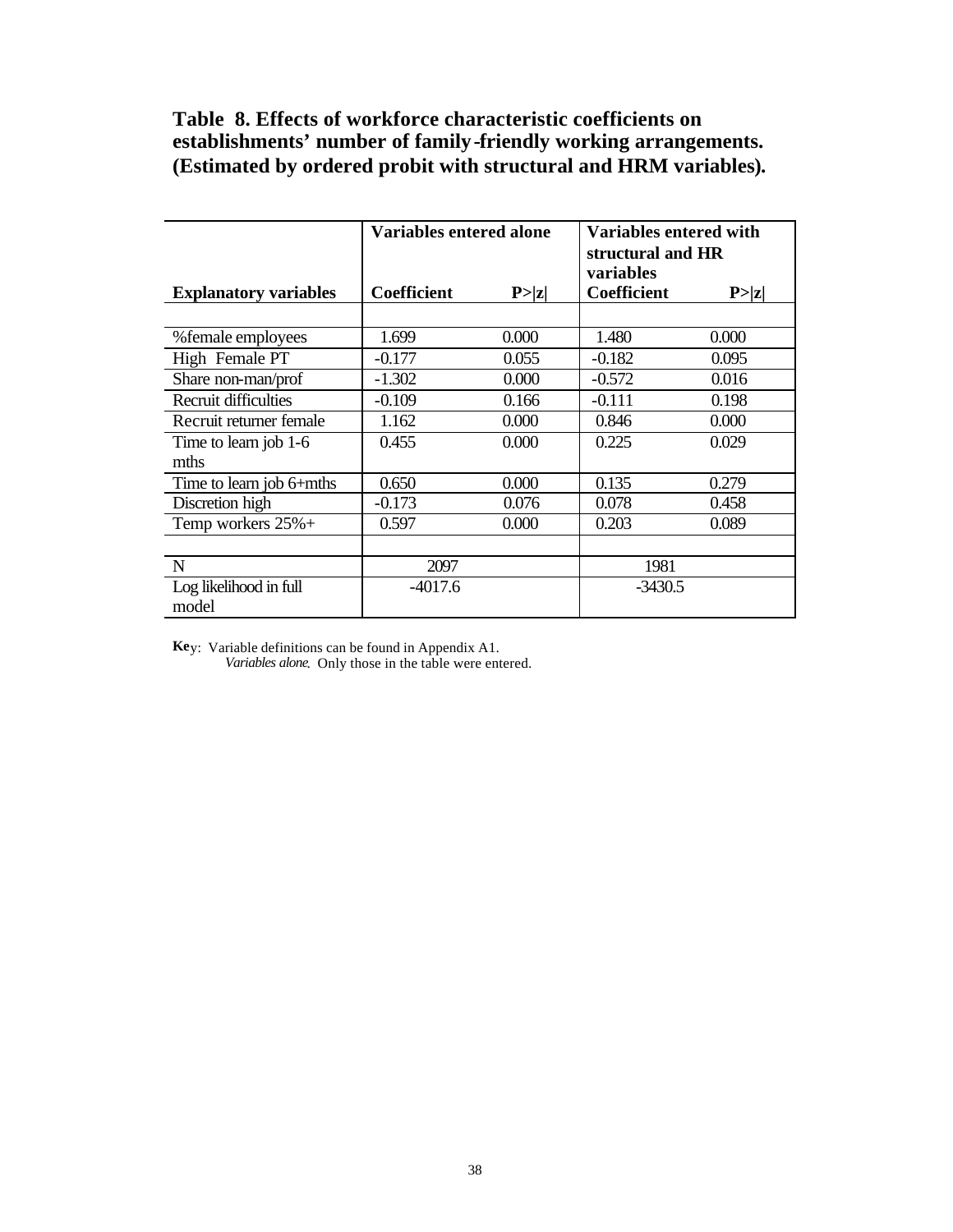# **Table 8. Effects of workforce characteristic coefficients on establishments' number of family-friendly working arrangements. (Estimated by ordered probit with structural and HRM variables).**

|                              | <b>Variables entered alone</b> |        | Variables entered with<br>structural and HR<br>variables |        |
|------------------------------|--------------------------------|--------|----------------------------------------------------------|--------|
| <b>Explanatory variables</b> | <b>Coefficient</b>             | P >  z | Coefficient                                              | P >  z |
|                              |                                |        |                                                          |        |
| % female employees           | 1.699                          | 0.000  | 1.480                                                    | 0.000  |
| High Female PT               | $-0.177$                       | 0.055  | $-0.182$                                                 | 0.095  |
| Share non-man/prof           | $-1.302$                       | 0.000  | $-0.572$                                                 | 0.016  |
| Recruit difficulties         | $-0.109$                       | 0.166  | $-0.111$                                                 | 0.198  |
| Recruit returner female      | 1.162                          | 0.000  | 0.846                                                    | 0.000  |
| Time to learn job 1-6        | 0.455                          | 0.000  | 0.225                                                    | 0.029  |
| mths                         |                                |        |                                                          |        |
| Time to learn job 6+mths     | 0.650                          | 0.000  | 0.135                                                    | 0.279  |
| Discretion high              | $-0.173$                       | 0.076  | 0.078                                                    | 0.458  |
| Temp workers $25% +$         | 0.597                          | 0.000  | 0.203                                                    | 0.089  |
|                              |                                |        |                                                          |        |
| N                            | 2097                           |        | 1981                                                     |        |
| Log likelihood in full       | $-4017.6$                      |        | $-3430.5$                                                |        |
| model                        |                                |        |                                                          |        |

**Ke**y: Variable definitions can be found in Appendix A1.

*Variables alone*. Only those in the table were entered.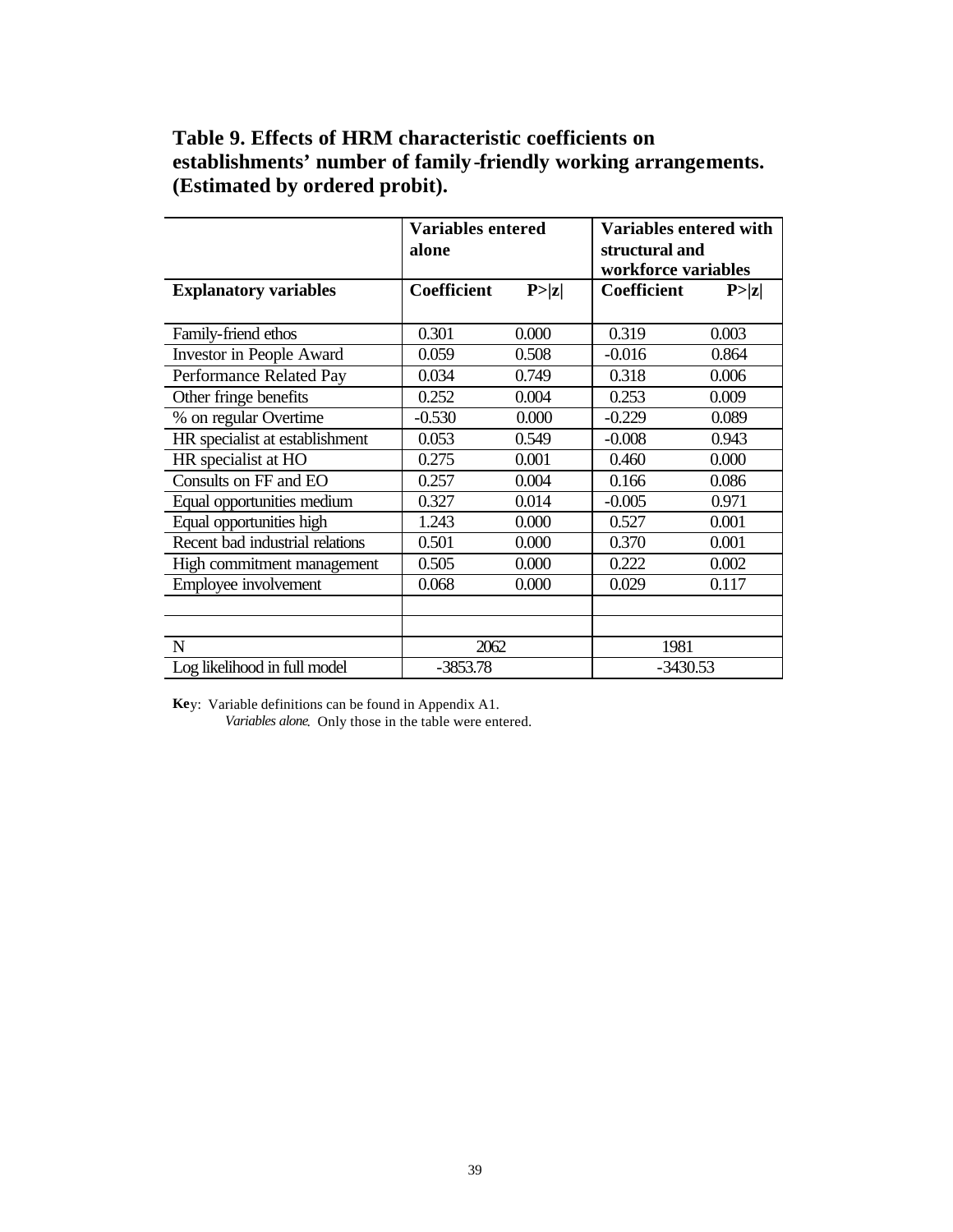| Table 9. Effects of HRM characteristic coefficients on          |
|-----------------------------------------------------------------|
| establishments' number of family-friendly working arrangements. |
| (Estimated by ordered probit).                                  |

|                                 | <b>Variables entered</b> |        | <b>Variables entered with</b> |        |  |
|---------------------------------|--------------------------|--------|-------------------------------|--------|--|
|                                 | alone                    |        | structural and                |        |  |
|                                 |                          |        | workforce variables           |        |  |
| <b>Explanatory variables</b>    | <b>Coefficient</b>       | P >  z | <b>Coefficient</b>            | P >  z |  |
|                                 |                          |        |                               |        |  |
| Family-friend ethos             | 0.301                    | 0.000  | 0.319                         | 0.003  |  |
| <b>Investor in People Award</b> | 0.059                    | 0.508  | $-0.016$                      | 0.864  |  |
| Performance Related Pay         | 0.034                    | 0.749  | 0.318                         | 0.006  |  |
| Other fringe benefits           | 0.252                    | 0.004  | 0.253                         | 0.009  |  |
| % on regular Overtime           | $-0.530$                 | 0.000  | $-0.229$                      | 0.089  |  |
| HR specialist at establishment  | 0.053                    | 0.549  | $-0.008$                      | 0.943  |  |
| HR specialist at HO             | 0.275                    | 0.001  | 0.460                         | 0.000  |  |
| Consults on FF and EO           | 0.257                    | 0.004  | 0.166                         | 0.086  |  |
| Equal opportunities medium      | 0.327                    | 0.014  | $-0.005$                      | 0.971  |  |
| Equal opportunities high        | 1.243                    | 0.000  | 0.527                         | 0.001  |  |
| Recent bad industrial relations | 0.501                    | 0.000  | 0.370                         | 0.001  |  |
| High commitment management      | 0.505                    | 0.000  | 0.222                         | 0.002  |  |
| Employee involvement            | 0.068                    | 0.000  | 0.029                         | 0.117  |  |
|                                 |                          |        |                               |        |  |
|                                 |                          |        |                               |        |  |
| $\mathbf N$                     | 2062                     |        | 1981                          |        |  |
| Log likelihood in full model    | $-3853.78$               |        | $-3430.53$                    |        |  |

**Ke**y: Variable definitions can be found in Appendix A1.

*Variables alone*. Only those in the table were entered.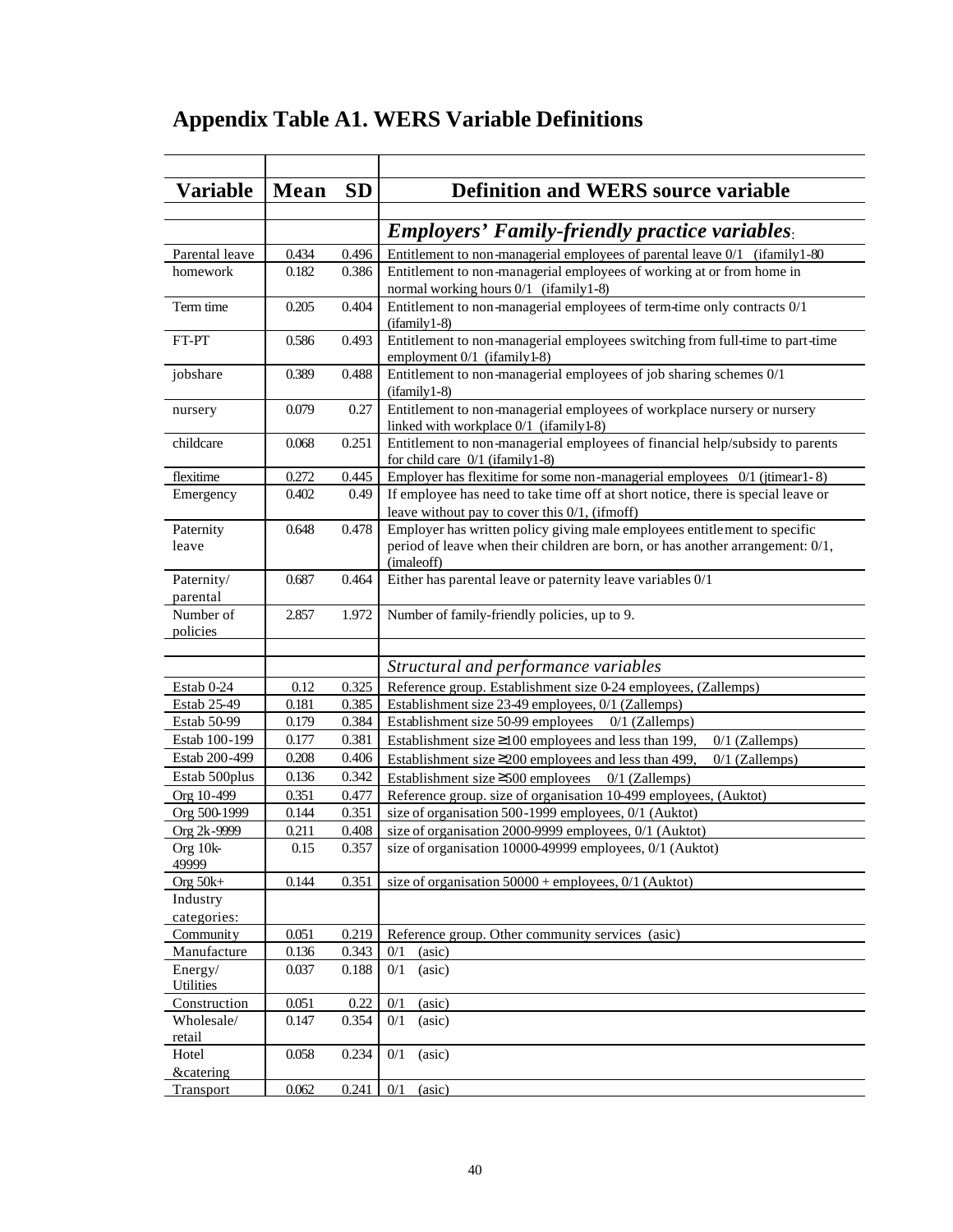|  |  |  |  |  |  | <b>Appendix Table A1. WERS Variable Definitions</b> |
|--|--|--|--|--|--|-----------------------------------------------------|
|--|--|--|--|--|--|-----------------------------------------------------|

| Variable                          | Mean  | <b>SD</b> | <b>Definition and WERS source variable</b>                                                                                            |
|-----------------------------------|-------|-----------|---------------------------------------------------------------------------------------------------------------------------------------|
|                                   |       |           |                                                                                                                                       |
|                                   |       |           | <b>Employers' Family-friendly practice variables:</b>                                                                                 |
| Parental leave                    | 0.434 | 0.496     | Entitlement to non-managerial employees of parental leave 0/1 (ifamily 1-80)                                                          |
| homework                          | 0.182 | 0.386     | Entitlement to non-managerial employees of working at or from home in<br>normal working hours 0/1 (ifamily 1-8)                       |
| Term time                         | 0.205 | 0.404     | Entitlement to non-managerial employees of term-time only contracts 0/1<br>$(ifamily 1-8)$                                            |
| FT-PT                             | 0.586 | 0.493     | Entitlement to non-managerial employees switching from full-time to part-time<br>employment 0/1 (ifamily 1-8)                         |
| jobshare                          | 0.389 | 0.488     | Entitlement to non-managerial employees of job sharing schemes 0/1<br>(ifamily1-8)                                                    |
| nursery                           | 0.079 | 0.27      | Entitlement to non-managerial employees of workplace nursery or nursery<br>linked with workplace 0/1 (ifamily 1-8)                    |
| childcare                         | 0.068 | 0.251     | Entitlement to non-managerial employees of financial help/subsidy to parents<br>for child care $0/1$ (ifamily 1-8)                    |
| flexitime                         | 0.272 | 0.445     | Employer has flexitime for some non-managerial employees 0/1 (jtimear1-8)                                                             |
| Emergency                         | 0.402 | 0.49      | If employee has need to take time off at short notice, there is special leave or<br>leave without pay to cover this $0/1$ , (if moff) |
| Paternity                         | 0.648 | 0.478     | Employer has written policy giving male employees entitlement to specific                                                             |
| leave                             |       |           | period of leave when their children are born, or has another arrangement: 0/1,<br>(imaleoff)                                          |
| Paternity/<br>parental            | 0.687 | 0.464     | Either has parental leave or paternity leave variables 0/1                                                                            |
| Number of                         | 2.857 | 1.972     | Number of family-friendly policies, up to 9.                                                                                          |
| policies                          |       |           |                                                                                                                                       |
|                                   |       |           | Structural and performance variables                                                                                                  |
| Estab 0-24                        | 0.12  | 0.325     | Reference group. Establishment size 0-24 employees, (Zallemps)                                                                        |
| Estab 25-49                       | 0.181 | 0.385     | Establishment size 23-49 employees, 0/1 (Zallemps)                                                                                    |
| Estab 50-99                       | 0.179 | 0.384     | Establishment size 50-99 employees<br>$0/1$ (Zallemps)                                                                                |
| Estab 100-199                     | 0.177 | 0.381     | Establishment size $\geq$ 100 employees and less than 199,<br>$0/1$ (Zallemps)                                                        |
| Estab 200-499                     | 0.208 | 0.406     | Establishment size $\geq$ 200 employees and less than 499,<br>$0/1$ (Zallemps)                                                        |
| Estab 500plus                     | 0.136 | 0.342     | Establishment size $\geq$ 500 employees 0/1 (Zallemps)                                                                                |
| Org 10-499                        | 0.351 | 0.477     | Reference group. size of organisation 10-499 employees, (Auktot)                                                                      |
| Org 500-1999                      | 0.144 | 0.351     | size of organisation 500-1999 employees, 0/1 (Auktot)                                                                                 |
| Org 2k-9999                       | 0.211 | 0.408     | size of organisation 2000-9999 employees, 0/1 (Auktot)                                                                                |
| Org 10k-<br>49999                 | 0.15  | 0.357     | size of organisation 10000-49999 employees, 0/1 (Auktot)                                                                              |
| Org $50k+$                        | 0.144 | 0.351     | size of organisation $50000 +$ employees, $0/1$ (Auktot)                                                                              |
| Industry                          |       |           |                                                                                                                                       |
| categories:                       |       |           |                                                                                                                                       |
| Community                         | 0.051 | 0.219     | Reference group. Other community services (asic)                                                                                      |
| Manufacture                       | 0.136 | 0.343     | (asic)<br>0/1                                                                                                                         |
| Energy/<br>Utilities              | 0.037 | 0.188     | 0/1<br>(asic)                                                                                                                         |
| Construction                      | 0.051 | 0.22      | (asic)<br>0/1                                                                                                                         |
| Wholesale/<br>retail              | 0.147 | 0.354     | 0/1<br>(asic)                                                                                                                         |
| Hotel                             | 0.058 | 0.234     | 0/1<br>(asic)                                                                                                                         |
| <b>&amp;catering</b><br>Transport | 0.062 | 0.241     | (a <sub>sic</sub> )<br>0/1                                                                                                            |
|                                   |       |           |                                                                                                                                       |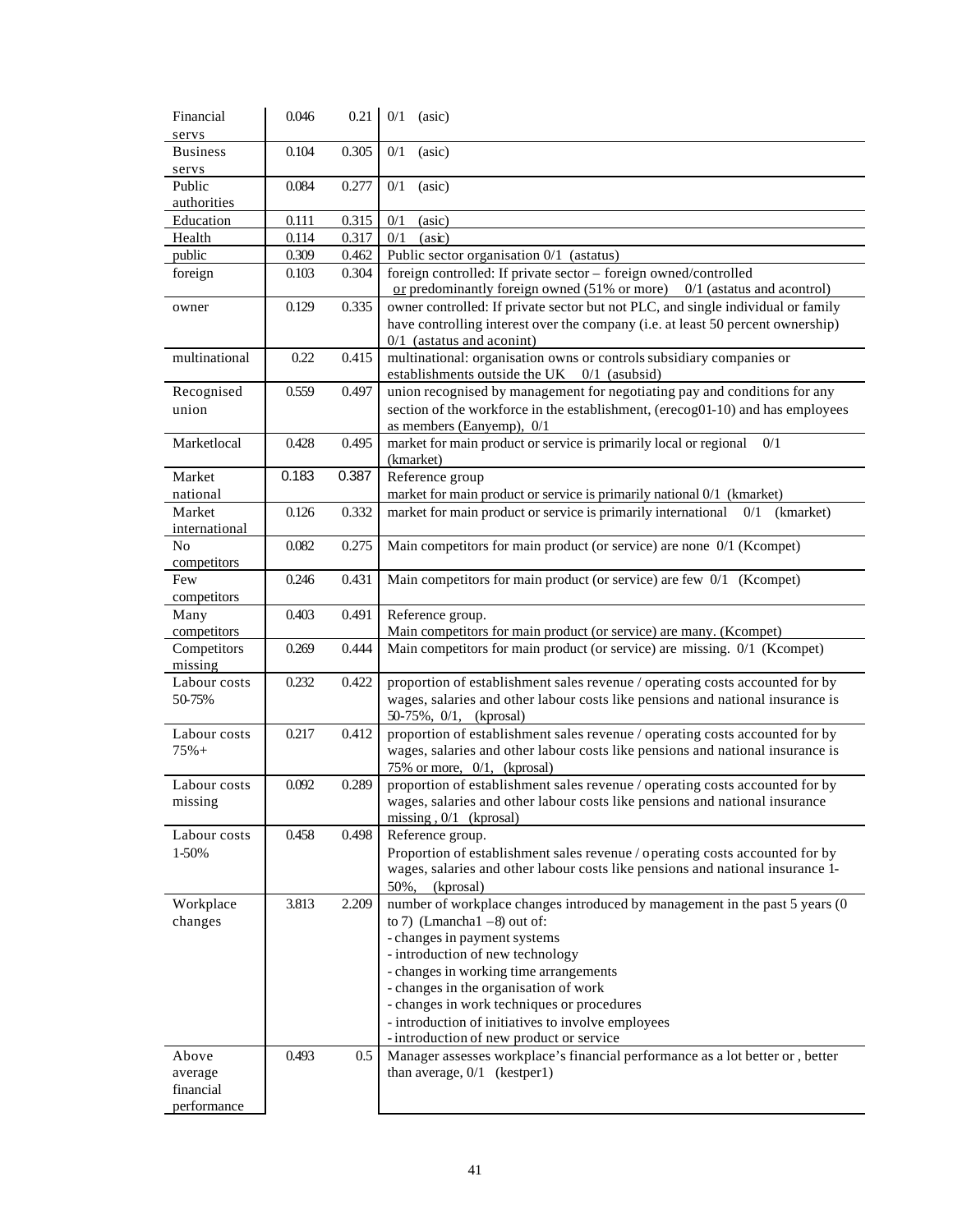| Financial                | 0.046          | 0.21           | $0/1$ (asic)                                                                                                                                                   |
|--------------------------|----------------|----------------|----------------------------------------------------------------------------------------------------------------------------------------------------------------|
| servs                    |                |                |                                                                                                                                                                |
| <b>Business</b>          | 0.104          | 0.305          | 0/1<br>(asic)                                                                                                                                                  |
| servs                    |                |                |                                                                                                                                                                |
| Public                   | 0.084          | 0.277          | 0/1<br>(asic)                                                                                                                                                  |
| authorities<br>Education |                |                |                                                                                                                                                                |
| Health                   | 0.111<br>0.114 | 0.315<br>0.317 | 0/1<br>(asic)<br>0/1<br>$(as\mathbf{k})$                                                                                                                       |
| public                   | 0.309          | 0.462          | Public sector organisation 0/1 (astatus)                                                                                                                       |
| foreign                  | 0.103          | 0.304          | foreign controlled: If private sector - foreign owned/controlled                                                                                               |
|                          |                |                | or predominantly foreign owned $(51\% \text{ or more})$ 0/1 (astatus and acontrol)                                                                             |
| owner                    | 0.129          | 0.335          | owner controlled: If private sector but not PLC, and single individual or family                                                                               |
|                          |                |                | have controlling interest over the company (i.e. at least 50 percent ownership)                                                                                |
|                          |                |                | $0/1$ (astatus and aconint)                                                                                                                                    |
| multinational            | 0.22           | 0.415          | multinational: organisation owns or controls subsidiary companies or                                                                                           |
|                          |                |                | establishments outside the UK 0/1 (asubsid)                                                                                                                    |
| Recognised               | 0.559          | 0.497          | union recognised by management for negotiating pay and conditions for any                                                                                      |
| union                    |                |                | section of the workforce in the establishment, (erecog01-10) and has employees                                                                                 |
|                          |                |                | as members (Eanyemp), 0/1                                                                                                                                      |
| Marketlocal              | 0.428          | 0.495          | market for main product or service is primarily local or regional<br>0/1                                                                                       |
| Market                   | 0.183          | 0.387          | (kmarket)<br>Reference group                                                                                                                                   |
| national                 |                |                | market for main product or service is primarily national 0/1 (kmarket)                                                                                         |
| Market                   | 0.126          | 0.332          | market for main product or service is primarily international<br>0/1<br>(kmarket)                                                                              |
| international            |                |                |                                                                                                                                                                |
| N <sub>o</sub>           | 0.082          | 0.275          | Main competitors for main product (or service) are none 0/1 (Kcompet)                                                                                          |
| competitors              |                |                |                                                                                                                                                                |
| Few                      | 0.246          | 0.431          | Main competitors for main product (or service) are few 0/1 (Kcompet)                                                                                           |
| competitors              |                |                |                                                                                                                                                                |
| Many                     | 0.403          | 0.491          | Reference group.                                                                                                                                               |
| competitors              |                |                | Main competitors for main product (or service) are many. (Kcompet)                                                                                             |
| Competitors              | 0.269          | 0.444          | Main competitors for main product (or service) are missing. 0/1 (Kcompet)                                                                                      |
| missing<br>Labour costs  |                |                |                                                                                                                                                                |
| 50-75%                   | 0.232          | 0.422          | proportion of establishment sales revenue / operating costs accounted for by<br>wages, salaries and other labour costs like pensions and national insurance is |
|                          |                |                | $50-75\%, 0/1,$ (kprosal)                                                                                                                                      |
| Labour costs             | 0.217          | 0.412          | proportion of establishment sales revenue / operating costs accounted for by                                                                                   |
| $75% +$                  |                |                | wages, salaries and other labour costs like pensions and national insurance is                                                                                 |
|                          |                |                | 75% or more, $0/1$ , (kprosal)                                                                                                                                 |
| Labour costs             | 0.092          | 0.289          | proportion of establishment sales revenue / operating costs accounted for by                                                                                   |
| missing                  |                |                | wages, salaries and other labour costs like pensions and national insurance                                                                                    |
|                          |                |                | missing, $0/1$ (kprosal)                                                                                                                                       |
| Labour costs             | 0.458          | 0.498          | Reference group.                                                                                                                                               |
| 1-50%                    |                |                | Proportion of establishment sales revenue / operating costs accounted for by                                                                                   |
|                          |                |                | wages, salaries and other labour costs like pensions and national insurance 1-                                                                                 |
|                          | 3.813          |                | 50%,<br>(kprosal)                                                                                                                                              |
| Workplace<br>changes     |                | 2.209          | number of workplace changes introduced by management in the past 5 years (0<br>to 7) (Lmancha1 $-8$ ) out of:                                                  |
|                          |                |                | - changes in payment systems                                                                                                                                   |
|                          |                |                | - introduction of new technology                                                                                                                               |
|                          |                |                | - changes in working time arrangements                                                                                                                         |
|                          |                |                | - changes in the organisation of work                                                                                                                          |
|                          |                |                | - changes in work techniques or procedures                                                                                                                     |
|                          |                |                | - introduction of initiatives to involve employees                                                                                                             |
|                          |                |                | - introduction of new product or service                                                                                                                       |
| Above                    | 0.493          | 0.5            | Manager assesses workplace's financial performance as a lot better or, better                                                                                  |
| average                  |                |                | than average, $0/1$ (kestper1)                                                                                                                                 |
| financial<br>performance |                |                |                                                                                                                                                                |
|                          |                |                |                                                                                                                                                                |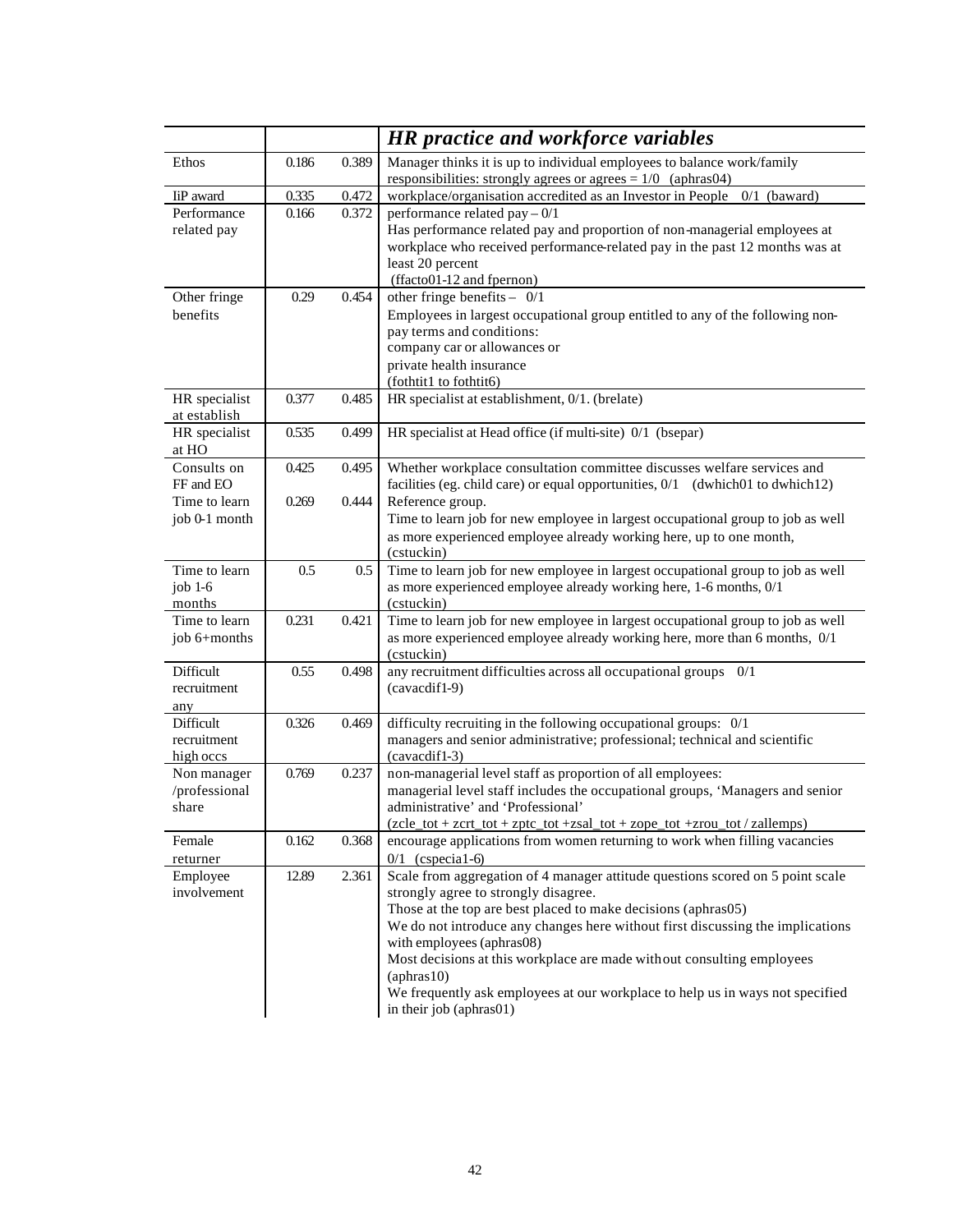|                                                            |                |                | <b>HR</b> practice and workforce variables                                                                                                                                                                                                                                                                                                                                                                                                                                                                          |
|------------------------------------------------------------|----------------|----------------|---------------------------------------------------------------------------------------------------------------------------------------------------------------------------------------------------------------------------------------------------------------------------------------------------------------------------------------------------------------------------------------------------------------------------------------------------------------------------------------------------------------------|
| Ethos                                                      | 0.186          | 0.389          | Manager thinks it is up to individual employees to balance work/family<br>responsibilities: strongly agrees or agrees $= 1/0$ (aphras04)                                                                                                                                                                                                                                                                                                                                                                            |
| IiP award                                                  | 0.335          | 0.472          | workplace/organisation accredited as an Investor in People 0/1 (baward)                                                                                                                                                                                                                                                                                                                                                                                                                                             |
| Performance<br>related pay                                 | 0.166          | 0.372          | performance related pay $-0/1$<br>Has performance related pay and proportion of non-managerial employees at<br>workplace who received performance-related pay in the past 12 months was at<br>least 20 percent<br>(ffacto01-12 and fpernon)                                                                                                                                                                                                                                                                         |
| Other fringe<br>benefits                                   | 0.29           | 0.454          | other fringe benefits $-$ 0/1<br>Employees in largest occupational group entitled to any of the following non-<br>pay terms and conditions:<br>company car or allowances or<br>private health insurance<br>(fothtit1 to fothtit6)                                                                                                                                                                                                                                                                                   |
| HR specialist<br>at establish                              | 0.377          | 0.485          | HR specialist at establishment, 0/1. (brelate)                                                                                                                                                                                                                                                                                                                                                                                                                                                                      |
| HR specialist<br>at HO                                     | 0.535          | 0.499          | HR specialist at Head office (if multi-site) 0/1 (bsepar)                                                                                                                                                                                                                                                                                                                                                                                                                                                           |
| Consults on<br>FF and EO<br>Time to learn<br>job 0-1 month | 0.425<br>0.269 | 0.495<br>0.444 | Whether workplace consultation committee discusses welfare services and<br>facilities (eg. child care) or equal opportunities, 0/1 (dwhich01 to dwhich12)<br>Reference group.<br>Time to learn job for new employee in largest occupational group to job as well<br>as more experienced employee already working here, up to one month,<br>(cstuckin)                                                                                                                                                               |
| Time to learn<br>job $1-6$<br>months                       | 0.5            | 0.5            | Time to learn job for new employee in largest occupational group to job as well<br>as more experienced employee already working here, 1-6 months, 0/1<br>(cstuckin)                                                                                                                                                                                                                                                                                                                                                 |
| Time to learn<br>job 6+months                              | 0.231          | 0.421          | Time to learn job for new employee in largest occupational group to job as well<br>as more experienced employee already working here, more than 6 months, 0/1<br>(cstuckin)                                                                                                                                                                                                                                                                                                                                         |
| Difficult<br>recruitment<br>any                            | 0.55           | 0.498          | any recruitment difficulties across all occupational groups 0/1<br>(cavacdif1-9)                                                                                                                                                                                                                                                                                                                                                                                                                                    |
| Difficult<br>recruitment<br>high occs                      | 0.326          | 0.469          | difficulty recruiting in the following occupational groups: 0/1<br>managers and senior administrative; professional; technical and scientific<br>(cavacdif1-3)                                                                                                                                                                                                                                                                                                                                                      |
| Non manager<br>/professional<br>share                      | 0.769          | 0.237          | non-managerial level staff as proportion of all employees:<br>managerial level staff includes the occupational groups, 'Managers and senior<br>administrative' and 'Professional'<br>(zcle_tot + zcrt_tot + zptc_tot +zsal_tot + zope_tot +zrou_tot / zallemps)                                                                                                                                                                                                                                                     |
| Female<br>returner                                         | 0.162          | 0.368          | encourage applications from women returning to work when filling vacancies<br>$0/1$ (cspecial-6)                                                                                                                                                                                                                                                                                                                                                                                                                    |
| Employee<br>involvement                                    | 12.89          | 2.361          | Scale from aggregation of 4 manager attitude questions scored on 5 point scale<br>strongly agree to strongly disagree.<br>Those at the top are best placed to make decisions (aphras05)<br>We do not introduce any changes here without first discussing the implications<br>with employees (aphras08)<br>Most decisions at this workplace are made without consulting employees<br>$(\text{aphras}10)$<br>We frequently ask employees at our workplace to help us in ways not specified<br>in their job (aphras01) |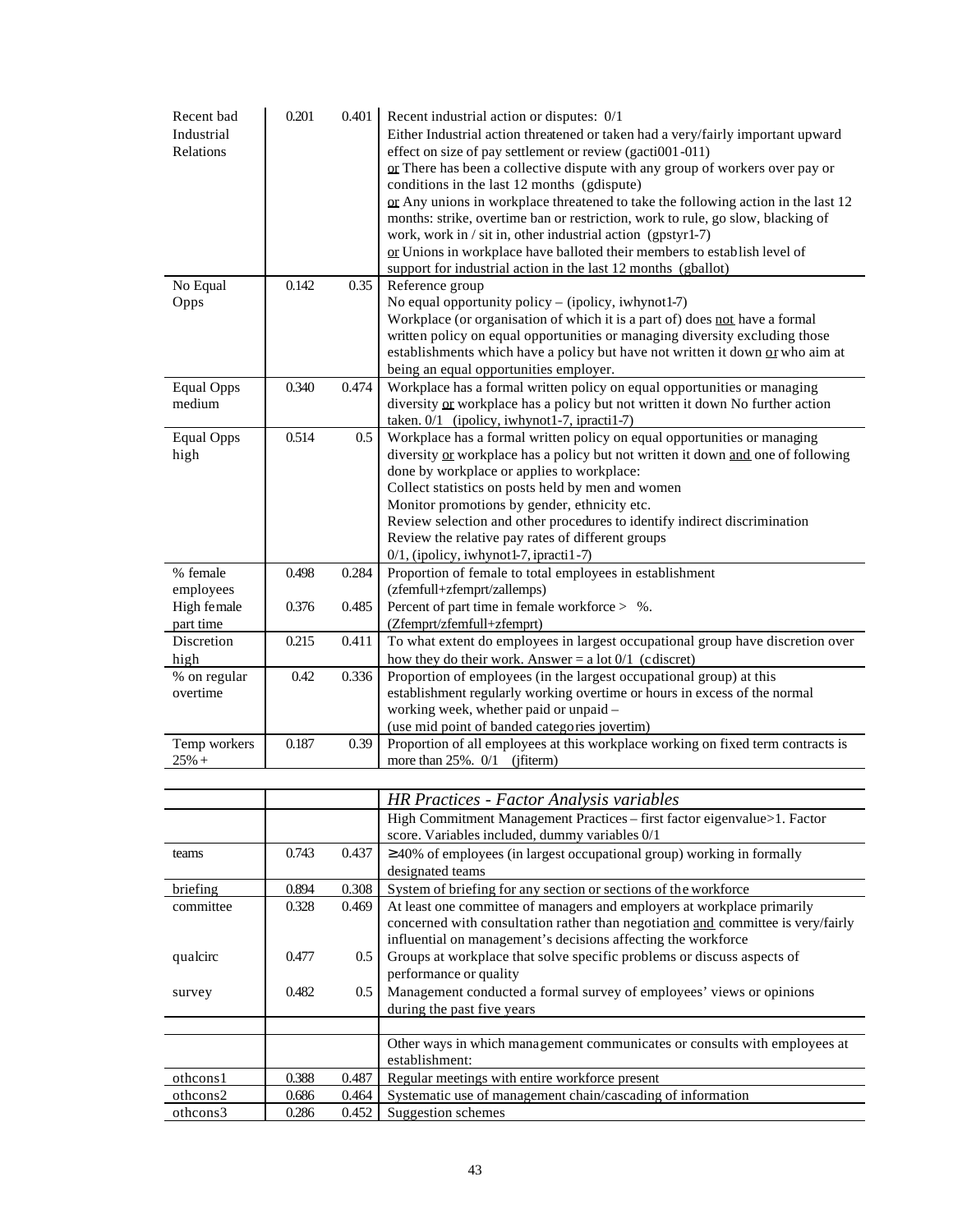| Recent bad<br>Industrial<br>Relations | 0.201 | 0.401   | Recent industrial action or disputes: 0/1<br>Either Industrial action threatened or taken had a very/fairly important upward<br>effect on size of pay settlement or review (gacti001-011)<br>or There has been a collective dispute with any group of workers over pay or<br>conditions in the last 12 months (gdispute)<br>or Any unions in workplace threatened to take the following action in the last 12<br>months: strike, overtime ban or restriction, work to rule, go slow, blacking of<br>work, work in / sit in, other industrial action (gpstyr1-7)<br>or Unions in workplace have balloted their members to establish level of<br>support for industrial action in the last 12 months (gballot) |
|---------------------------------------|-------|---------|--------------------------------------------------------------------------------------------------------------------------------------------------------------------------------------------------------------------------------------------------------------------------------------------------------------------------------------------------------------------------------------------------------------------------------------------------------------------------------------------------------------------------------------------------------------------------------------------------------------------------------------------------------------------------------------------------------------|
| No Equal                              | 0.142 | 0.35    | Reference group                                                                                                                                                                                                                                                                                                                                                                                                                                                                                                                                                                                                                                                                                              |
| Opps                                  |       |         | No equal opportunity policy - (ipolicy, iwhynot1-7)<br>Workplace (or organisation of which it is a part of) does not have a formal<br>written policy on equal opportunities or managing diversity excluding those<br>establishments which have a policy but have not written it down or who aim at<br>being an equal opportunities employer.                                                                                                                                                                                                                                                                                                                                                                 |
| <b>Equal Opps</b><br>medium           | 0.340 | 0.474   | Workplace has a formal written policy on equal opportunities or managing<br>diversity or workplace has a policy but not written it down No further action<br>taken. 0/1 (ipolicy, iwhynot1-7, ipracti1-7)                                                                                                                                                                                                                                                                                                                                                                                                                                                                                                    |
| <b>Equal Opps</b><br>high             | 0.514 | $0.5\,$ | Workplace has a formal written policy on equal opportunities or managing<br>diversity or workplace has a policy but not written it down and one of following<br>done by workplace or applies to workplace:<br>Collect statistics on posts held by men and women<br>Monitor promotions by gender, ethnicity etc.<br>Review selection and other procedures to identify indirect discrimination<br>Review the relative pay rates of different groups<br>0/1, (ipolicy, iwhynot1-7, ipracti1-7)                                                                                                                                                                                                                  |
| % female                              | 0.498 | 0.284   | Proportion of female to total employees in establishment                                                                                                                                                                                                                                                                                                                                                                                                                                                                                                                                                                                                                                                     |
| employees<br>High female<br>part time | 0.376 | 0.485   | (zfemfull+zfemprt/zallemps)<br>Percent of part time in female workforce $>$ %.<br>(Zfemprt/zfemfull+zfemprt)                                                                                                                                                                                                                                                                                                                                                                                                                                                                                                                                                                                                 |
| Discretion<br>high                    | 0.215 | 0.411   | To what extent do employees in largest occupational group have discretion over<br>how they do their work. Answer = $a$ lot $0/1$ (c discret)                                                                                                                                                                                                                                                                                                                                                                                                                                                                                                                                                                 |
| % on regular<br>overtime              | 0.42  | 0.336   | Proportion of employees (in the largest occupational group) at this<br>establishment regularly working overtime or hours in excess of the normal<br>working week, whether paid or unpaid -<br>(use mid point of banded categories jovertim)                                                                                                                                                                                                                                                                                                                                                                                                                                                                  |
| Temp workers<br>$25% +$               | 0.187 | 0.39    | Proportion of all employees at this workplace working on fixed term contracts is<br>more than $25\%$ . $0/1$ (jfiterm)                                                                                                                                                                                                                                                                                                                                                                                                                                                                                                                                                                                       |
|                                       |       |         |                                                                                                                                                                                                                                                                                                                                                                                                                                                                                                                                                                                                                                                                                                              |
|                                       |       |         | <b>HR Practices - Factor Analysis variables</b>                                                                                                                                                                                                                                                                                                                                                                                                                                                                                                                                                                                                                                                              |
|                                       |       |         | High Commitment Management Practices - first factor eigenvalue>1. Factor<br>score. Variables included, dummy variables 0/1                                                                                                                                                                                                                                                                                                                                                                                                                                                                                                                                                                                   |
| teams                                 | 0.743 | 0.437   | $\geq$ 40% of employees (in largest occupational group) working in formally<br>designated teams                                                                                                                                                                                                                                                                                                                                                                                                                                                                                                                                                                                                              |
| briefing                              | 0.894 | 0.308   | System of briefing for any section or sections of the workforce                                                                                                                                                                                                                                                                                                                                                                                                                                                                                                                                                                                                                                              |
| committee                             | 0.328 | 0.469   | At least one committee of managers and employers at workplace primarily<br>concerned with consultation rather than negotiation and committee is very/fairly<br>influential on management's decisions affecting the workforce                                                                                                                                                                                                                                                                                                                                                                                                                                                                                 |
| qualcirc                              | 0.477 | 0.5     | Groups at workplace that solve specific problems or discuss aspects of<br>performance or quality                                                                                                                                                                                                                                                                                                                                                                                                                                                                                                                                                                                                             |
| survey                                | 0.482 | 0.5     | Management conducted a formal survey of employees' views or opinions<br>during the past five years                                                                                                                                                                                                                                                                                                                                                                                                                                                                                                                                                                                                           |
|                                       |       |         |                                                                                                                                                                                                                                                                                                                                                                                                                                                                                                                                                                                                                                                                                                              |
|                                       |       |         | Other ways in which management communicates or consults with employees at<br>establishment:                                                                                                                                                                                                                                                                                                                                                                                                                                                                                                                                                                                                                  |
| othcons1                              | 0.388 | 0.487   | Regular meetings with entire workforce present                                                                                                                                                                                                                                                                                                                                                                                                                                                                                                                                                                                                                                                               |
| othcons2                              | 0.686 | 0.464   | Systematic use of management chain/cascading of information                                                                                                                                                                                                                                                                                                                                                                                                                                                                                                                                                                                                                                                  |
| othcons3                              | 0.286 | 0.452   | Suggestion schemes                                                                                                                                                                                                                                                                                                                                                                                                                                                                                                                                                                                                                                                                                           |